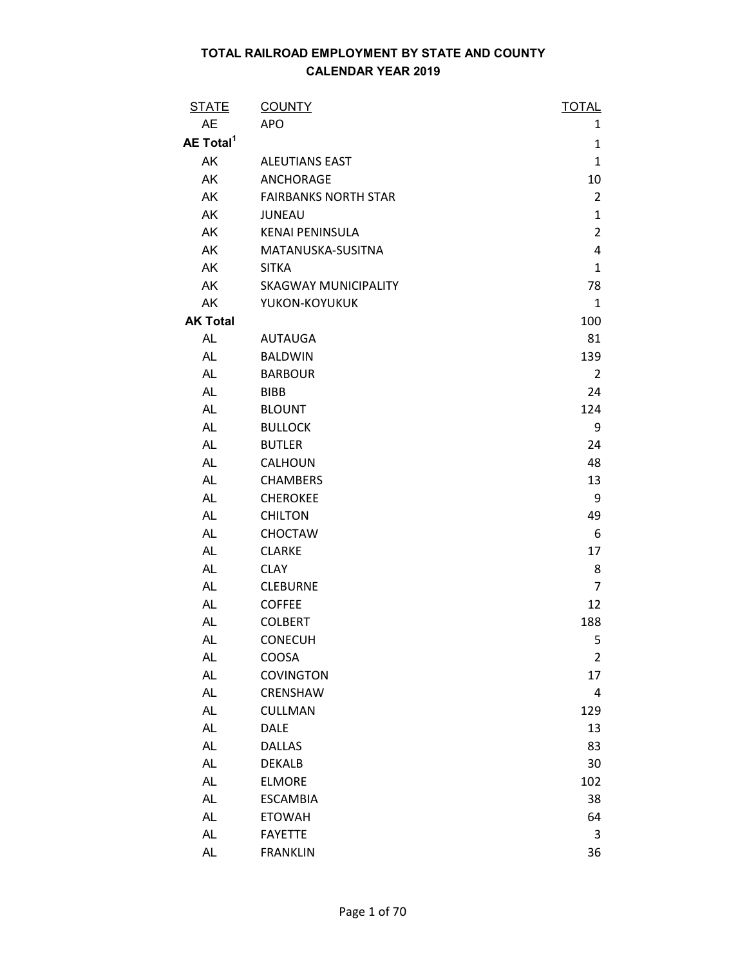| <b>STATE</b>          | <b>COUNTY</b>               | <b>TOTAL</b>   |
|-----------------------|-----------------------------|----------------|
| <b>AE</b>             | <b>APO</b>                  | 1              |
| AE Total <sup>1</sup> |                             | $\mathbf{1}$   |
| AK                    | <b>ALEUTIANS EAST</b>       | $\mathbf{1}$   |
| AK                    | ANCHORAGE                   | 10             |
| AK                    | <b>FAIRBANKS NORTH STAR</b> | $\overline{2}$ |
| AK                    | <b>JUNEAU</b>               | $\mathbf{1}$   |
| AK                    | <b>KENAI PENINSULA</b>      | $\overline{2}$ |
| AK                    | MATANUSKA-SUSITNA           | $\overline{4}$ |
| AK                    | <b>SITKA</b>                | $\mathbf{1}$   |
| AK                    | <b>SKAGWAY MUNICIPALITY</b> | 78             |
| AK                    | YUKON-KOYUKUK               | $\mathbf{1}$   |
| <b>AK Total</b>       |                             | 100            |
| <b>AL</b>             | <b>AUTAUGA</b>              | 81             |
| <b>AL</b>             | <b>BALDWIN</b>              | 139            |
| <b>AL</b>             | <b>BARBOUR</b>              | $\overline{2}$ |
| <b>AL</b>             | <b>BIBB</b>                 | 24             |
| <b>AL</b>             | <b>BLOUNT</b>               | 124            |
| <b>AL</b>             | <b>BULLOCK</b>              | 9              |
| <b>AL</b>             | <b>BUTLER</b>               | 24             |
| <b>AL</b>             | <b>CALHOUN</b>              | 48             |
| <b>AL</b>             | <b>CHAMBERS</b>             | 13             |
| <b>AL</b>             | <b>CHEROKEE</b>             | 9              |
| <b>AL</b>             | <b>CHILTON</b>              | 49             |
| <b>AL</b>             | <b>CHOCTAW</b>              | 6              |
| <b>AL</b>             | <b>CLARKE</b>               | 17             |
| AL                    | <b>CLAY</b>                 | 8              |
| <b>AL</b>             | <b>CLEBURNE</b>             | $\overline{7}$ |
| <b>AL</b>             | <b>COFFEE</b>               | 12             |
| <b>AL</b>             | <b>COLBERT</b>              | 188            |
| <b>AL</b>             | <b>CONECUH</b>              | 5              |
| <b>AL</b>             | COOSA                       | $\overline{2}$ |
| <b>AL</b>             | <b>COVINGTON</b>            | 17             |
| <b>AL</b>             | CRENSHAW                    | 4              |
| <b>AL</b>             | <b>CULLMAN</b>              | 129            |
| <b>AL</b>             | <b>DALE</b>                 | 13             |
| <b>AL</b>             | <b>DALLAS</b>               | 83             |
| <b>AL</b>             | <b>DEKALB</b>               | 30             |
| AL                    | <b>ELMORE</b>               | 102            |
| <b>AL</b>             | <b>ESCAMBIA</b>             | 38             |
| <b>AL</b>             | <b>ETOWAH</b>               | 64             |
| <b>AL</b>             | <b>FAYETTE</b>              | 3              |
| AL                    | <b>FRANKLIN</b>             | 36             |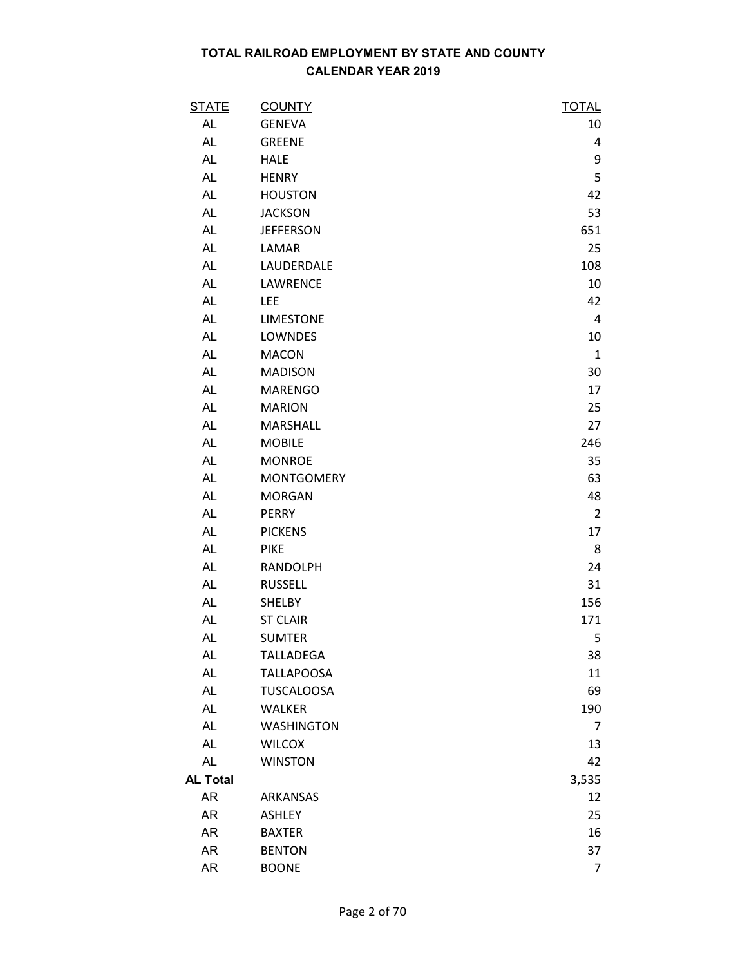| <u>STATE</u>    | <b>COUNTY</b>     | <b>TOTAL</b>   |
|-----------------|-------------------|----------------|
| <b>AL</b>       | <b>GENEVA</b>     | 10             |
| AL              | <b>GREENE</b>     | 4              |
| AL              | <b>HALE</b>       | 9              |
| AL              | <b>HENRY</b>      | 5              |
| <b>AL</b>       | <b>HOUSTON</b>    | 42             |
| AL              | <b>JACKSON</b>    | 53             |
| AL              | <b>JEFFERSON</b>  | 651            |
| AL              | LAMAR             | 25             |
| AL              | LAUDERDALE        | 108            |
| AL              | LAWRENCE          | 10             |
| <b>AL</b>       | <b>LEE</b>        | 42             |
| AL              | <b>LIMESTONE</b>  | 4              |
| <b>AL</b>       | LOWNDES           | 10             |
| AL              | <b>MACON</b>      | $\mathbf{1}$   |
| AL              | <b>MADISON</b>    | 30             |
| AL              | <b>MARENGO</b>    | 17             |
| <b>AL</b>       | <b>MARION</b>     | 25             |
| AL              | MARSHALL          | 27             |
| <b>AL</b>       | <b>MOBILE</b>     | 246            |
| AL              | <b>MONROE</b>     | 35             |
| AL              | <b>MONTGOMERY</b> | 63             |
| AL              | <b>MORGAN</b>     | 48             |
| AL              | <b>PERRY</b>      | $\overline{2}$ |
| <b>AL</b>       | <b>PICKENS</b>    | 17             |
| <b>AL</b>       | <b>PIKE</b>       | 8              |
| AL              | <b>RANDOLPH</b>   | 24             |
| AL              | <b>RUSSELL</b>    | 31             |
| AL              | <b>SHELBY</b>     | 156            |
| <b>AL</b>       | <b>ST CLAIR</b>   | 171            |
| <b>AL</b>       | <b>SUMTER</b>     | 5              |
| AL              | <b>TALLADEGA</b>  | 38             |
| <b>AL</b>       | <b>TALLAPOOSA</b> | 11             |
| AL              | <b>TUSCALOOSA</b> | 69             |
| AL              | <b>WALKER</b>     | 190            |
| AL              | <b>WASHINGTON</b> | 7              |
| AL              | <b>WILCOX</b>     | 13             |
| <b>AL</b>       | <b>WINSTON</b>    | 42             |
| <b>AL Total</b> |                   | 3,535          |
| AR              | ARKANSAS          | 12             |
| <b>AR</b>       | <b>ASHLEY</b>     | 25             |
| AR              | <b>BAXTER</b>     | 16             |
| <b>AR</b>       | <b>BENTON</b>     | 37             |
| AR              | <b>BOONE</b>      | 7              |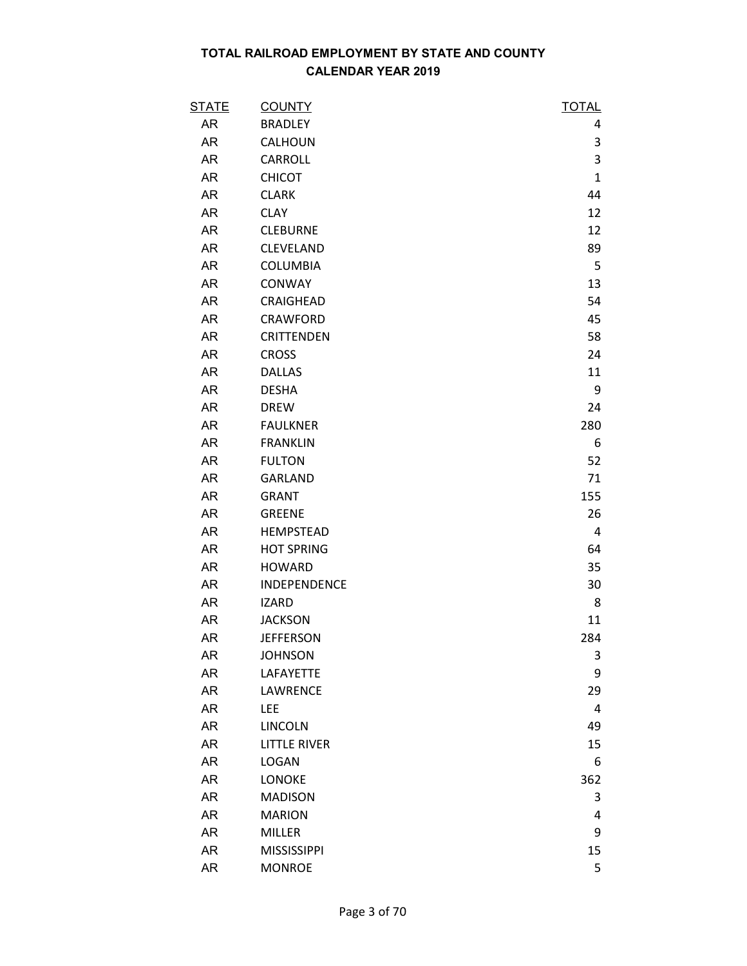| <b>STATE</b> | <b>COUNTY</b>       | <b>TOTAL</b> |
|--------------|---------------------|--------------|
| AR           | <b>BRADLEY</b>      | 4            |
| AR           | <b>CALHOUN</b>      | 3            |
| AR           | CARROLL             | 3            |
| <b>AR</b>    | <b>CHICOT</b>       | $\mathbf{1}$ |
| <b>AR</b>    | <b>CLARK</b>        | 44           |
| AR           | <b>CLAY</b>         | 12           |
| <b>AR</b>    | <b>CLEBURNE</b>     | 12           |
| AR           | CLEVELAND           | 89           |
| AR           | <b>COLUMBIA</b>     | 5            |
| <b>AR</b>    | <b>CONWAY</b>       | 13           |
| AR           | CRAIGHEAD           | 54           |
| <b>AR</b>    | CRAWFORD            | 45           |
| AR           | <b>CRITTENDEN</b>   | 58           |
| AR           | <b>CROSS</b>        | 24           |
| AR           | <b>DALLAS</b>       | 11           |
| AR           | <b>DESHA</b>        | 9            |
| AR           | <b>DREW</b>         | 24           |
| AR           | <b>FAULKNER</b>     | 280          |
| AR           | <b>FRANKLIN</b>     | 6            |
| AR           | <b>FULTON</b>       | 52           |
| <b>AR</b>    | <b>GARLAND</b>      | 71           |
| AR           | <b>GRANT</b>        | 155          |
| <b>AR</b>    | <b>GREENE</b>       | 26           |
| AR           | <b>HEMPSTEAD</b>    | 4            |
| AR           | <b>HOT SPRING</b>   | 64           |
| AR           | <b>HOWARD</b>       | 35           |
| AR           | INDEPENDENCE        | 30           |
| AR           | <b>IZARD</b>        | 8            |
| <b>AR</b>    | <b>JACKSON</b>      | 11           |
| <b>AR</b>    | <b>JEFFERSON</b>    | 284          |
| AR           | <b>JOHNSON</b>      | 3            |
| AR           | LAFAYETTE           | 9            |
| AR           | LAWRENCE            | 29           |
| AR           | LEE                 | 4            |
| AR           | <b>LINCOLN</b>      | 49           |
| AR           | <b>LITTLE RIVER</b> | 15           |
| AR           | <b>LOGAN</b>        | 6            |
| AR           | <b>LONOKE</b>       | 362          |
| AR           | <b>MADISON</b>      | 3            |
| AR           | <b>MARION</b>       | 4            |
| AR           | <b>MILLER</b>       | 9            |
| AR           | <b>MISSISSIPPI</b>  | 15           |
| AR           | <b>MONROE</b>       | 5            |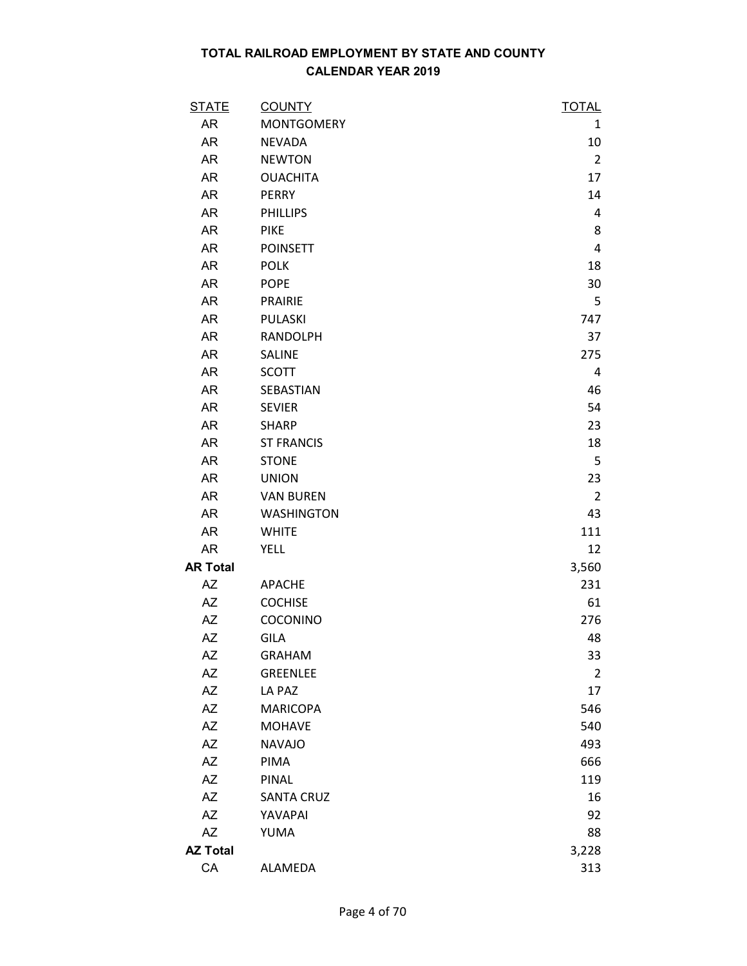| <b>STATE</b>    | <b>COUNTY</b>     | <b>TOTAL</b>   |
|-----------------|-------------------|----------------|
| AR              | <b>MONTGOMERY</b> | 1              |
| AR              | <b>NEVADA</b>     | 10             |
| AR              | <b>NEWTON</b>     | $\overline{2}$ |
| AR              | <b>OUACHITA</b>   | 17             |
| AR              | <b>PERRY</b>      | 14             |
| AR              | <b>PHILLIPS</b>   | 4              |
| <b>AR</b>       | <b>PIKE</b>       | 8              |
| AR              | <b>POINSETT</b>   | 4              |
| AR              | <b>POLK</b>       | 18             |
| AR              | <b>POPE</b>       | 30             |
| AR              | <b>PRAIRIE</b>    | 5              |
| <b>AR</b>       | PULASKI           | 747            |
| AR              | <b>RANDOLPH</b>   | 37             |
| AR              | SALINE            | 275            |
| AR              | <b>SCOTT</b>      | 4              |
| AR              | SEBASTIAN         | 46             |
| AR              | <b>SEVIER</b>     | 54             |
| AR              | <b>SHARP</b>      | 23             |
| AR              | <b>ST FRANCIS</b> | 18             |
| AR              | <b>STONE</b>      | 5              |
| AR              | <b>UNION</b>      | 23             |
| AR              | <b>VAN BUREN</b>  | $\overline{2}$ |
| AR              | <b>WASHINGTON</b> | 43             |
| <b>AR</b>       | <b>WHITE</b>      | 111            |
| AR              | <b>YELL</b>       | 12             |
| <b>AR Total</b> |                   | 3,560          |
| AZ              | <b>APACHE</b>     | 231            |
| AZ              | <b>COCHISE</b>    | 61             |
| <b>AZ</b>       | COCONINO          | 276            |
| <b>AZ</b>       | <b>GILA</b>       | 48             |
| ΑZ              | <b>GRAHAM</b>     | 33             |
| <b>AZ</b>       | <b>GREENLEE</b>   | $\overline{2}$ |
| AZ              | LA PAZ            | 17             |
| <b>AZ</b>       | <b>MARICOPA</b>   | 546            |
| AZ              | <b>MOHAVE</b>     | 540            |
| AZ              | <b>NAVAJO</b>     | 493            |
| <b>AZ</b>       | PIMA              | 666            |
| <b>AZ</b>       | PINAL             | 119            |
| <b>AZ</b>       | <b>SANTA CRUZ</b> | 16             |
| <b>AZ</b>       | YAVAPAI           | 92             |
| <b>AZ</b>       | YUMA              | 88             |
| <b>AZ Total</b> |                   | 3,228          |
| CA              | ALAMEDA           | 313            |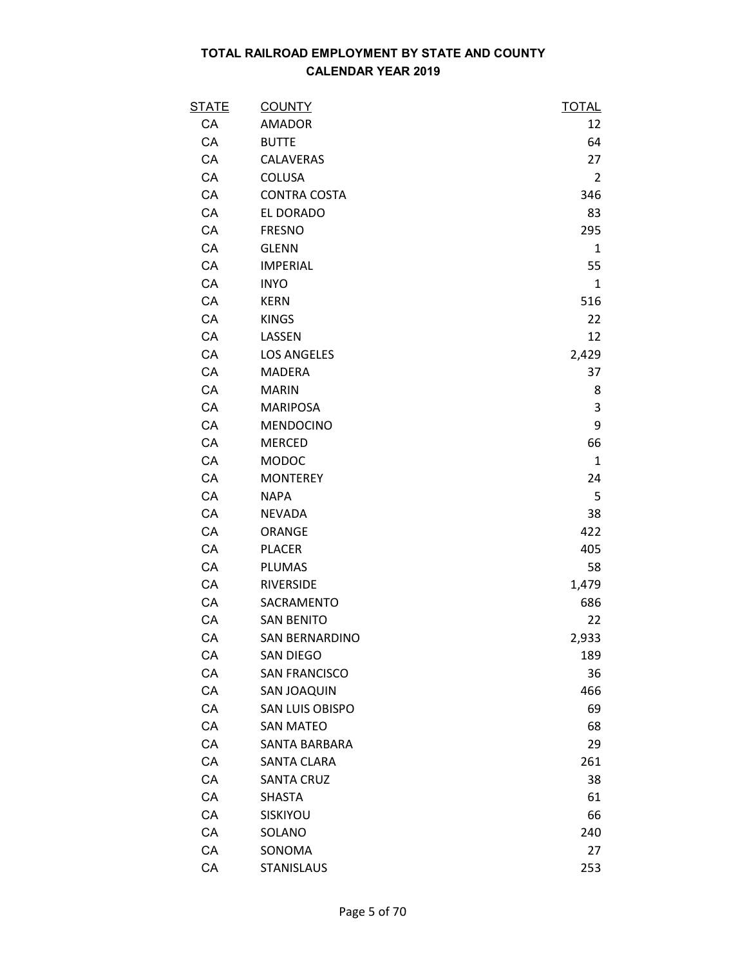| <b>STATE</b> | <b>COUNTY</b>          | <b>TOTAL</b>   |
|--------------|------------------------|----------------|
| CA           | <b>AMADOR</b>          | 12             |
| CA           | <b>BUTTE</b>           | 64             |
| CA           | CALAVERAS              | 27             |
| CA           | <b>COLUSA</b>          | $\overline{2}$ |
| CA           | <b>CONTRA COSTA</b>    | 346            |
| CA           | EL DORADO              | 83             |
| CA           | <b>FRESNO</b>          | 295            |
| CA           | <b>GLENN</b>           | $\mathbf{1}$   |
| CA           | <b>IMPERIAL</b>        | 55             |
| CA           | <b>INYO</b>            | $\mathbf{1}$   |
| CA           | <b>KERN</b>            | 516            |
| CA           | <b>KINGS</b>           | 22             |
| CA           | LASSEN                 | 12             |
| CA           | <b>LOS ANGELES</b>     | 2,429          |
| CA           | <b>MADERA</b>          | 37             |
| CA           | <b>MARIN</b>           | 8              |
| CA           | <b>MARIPOSA</b>        | 3              |
| CA           | <b>MENDOCINO</b>       | 9              |
| CA           | <b>MERCED</b>          | 66             |
| CA           | <b>MODOC</b>           | $\mathbf{1}$   |
| CA           | <b>MONTEREY</b>        | 24             |
| CA           | <b>NAPA</b>            | 5              |
| CA           | <b>NEVADA</b>          | 38             |
| CA           | ORANGE                 | 422            |
| CA           | <b>PLACER</b>          | 405            |
| CA           | <b>PLUMAS</b>          | 58             |
| CA           | <b>RIVERSIDE</b>       | 1,479          |
| CA           | SACRAMENTO             | 686            |
| CA           | <b>SAN BENITO</b>      | 22             |
| CA           | <b>SAN BERNARDINO</b>  | 2,933          |
| CA           | <b>SAN DIEGO</b>       | 189            |
| CA           | <b>SAN FRANCISCO</b>   | 36             |
| CA           | SAN JOAQUIN            | 466            |
| CA           | <b>SAN LUIS OBISPO</b> | 69             |
| CA           | <b>SAN MATEO</b>       | 68             |
| CA           | SANTA BARBARA          | 29             |
| CA           | <b>SANTA CLARA</b>     | 261            |
| CA           | <b>SANTA CRUZ</b>      | 38             |
| CA           | <b>SHASTA</b>          | 61             |
| CA           | SISKIYOU               | 66             |
| CA           | SOLANO                 | 240            |
| CA           | SONOMA                 | 27             |
| CA           | <b>STANISLAUS</b>      | 253            |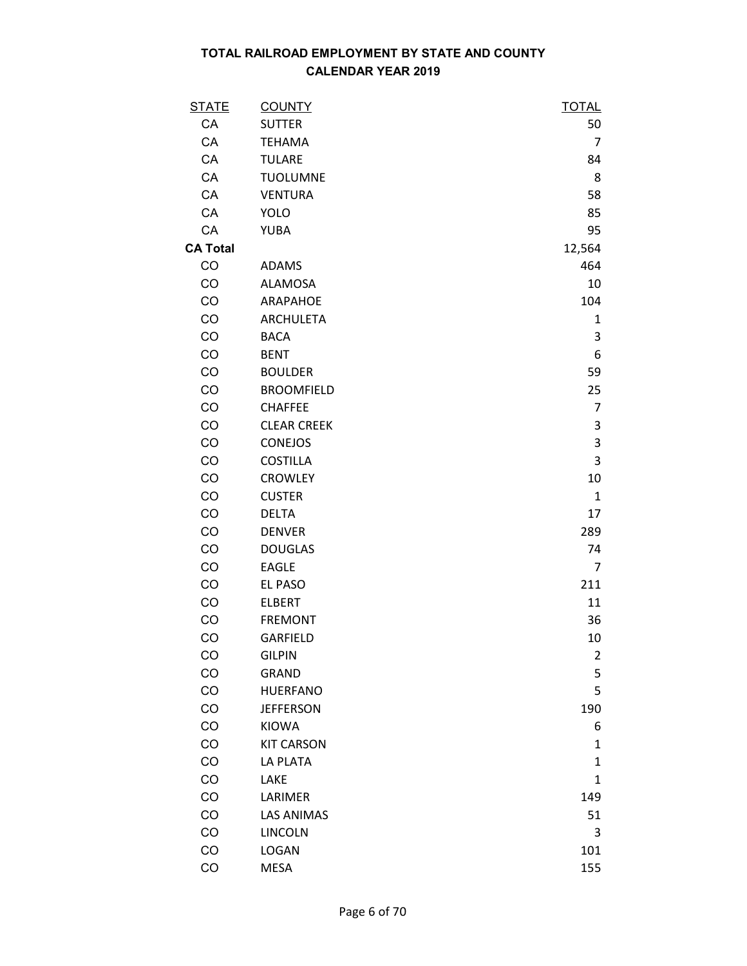| <u>STATE</u>    | <b>COUNTY</b>      | <b>TOTAL</b>   |
|-----------------|--------------------|----------------|
| CA              | <b>SUTTER</b>      | 50             |
| CA              | <b>TEHAMA</b>      | 7              |
| CA              | <b>TULARE</b>      | 84             |
| CA              | <b>TUOLUMNE</b>    | 8              |
| CA              | <b>VENTURA</b>     | 58             |
| CA              | <b>YOLO</b>        | 85             |
| CA              | <b>YUBA</b>        | 95             |
| <b>CA Total</b> |                    | 12,564         |
| CO              | <b>ADAMS</b>       | 464            |
| CO              | <b>ALAMOSA</b>     | 10             |
| CO              | ARAPAHOE           | 104            |
| CO              | <b>ARCHULETA</b>   | 1              |
| CO              | <b>BACA</b>        | 3              |
| CO              | <b>BENT</b>        | 6              |
| CO              | <b>BOULDER</b>     | 59             |
| CO              | <b>BROOMFIELD</b>  | 25             |
| CO              | <b>CHAFFEE</b>     | $\overline{7}$ |
| CO              | <b>CLEAR CREEK</b> | 3              |
| CO              | <b>CONEJOS</b>     | $\mathsf 3$    |
| CO              | <b>COSTILLA</b>    | 3              |
| CO              | <b>CROWLEY</b>     | 10             |
| CO              | <b>CUSTER</b>      | $\mathbf{1}$   |
| CO              | <b>DELTA</b>       | 17             |
| CO              | <b>DENVER</b>      | 289            |
| CO              | <b>DOUGLAS</b>     | 74             |
| CO              | <b>EAGLE</b>       | 7              |
| CO              | EL PASO            | 211            |
| CO              | <b>ELBERT</b>      | 11             |
| CO              | <b>FREMONT</b>     | 36             |
| CO              | GARFIELD           | 10             |
| CO              | <b>GILPIN</b>      | $\overline{2}$ |
| CO              | <b>GRAND</b>       | 5              |
| CO              | <b>HUERFANO</b>    | 5              |
| CO              | <b>JEFFERSON</b>   | 190            |
| CO              | KIOWA              | 6              |
| CO              | <b>KIT CARSON</b>  | 1              |
| CO              | <b>LA PLATA</b>    | $\mathbf{1}$   |
| CO              | LAKE               | $\mathbf{1}$   |
| CO              | LARIMER            | 149            |
| CO              | <b>LAS ANIMAS</b>  | 51             |
| CO              | <b>LINCOLN</b>     | 3              |
| CO              | LOGAN              | 101            |
| CO              | <b>MESA</b>        | 155            |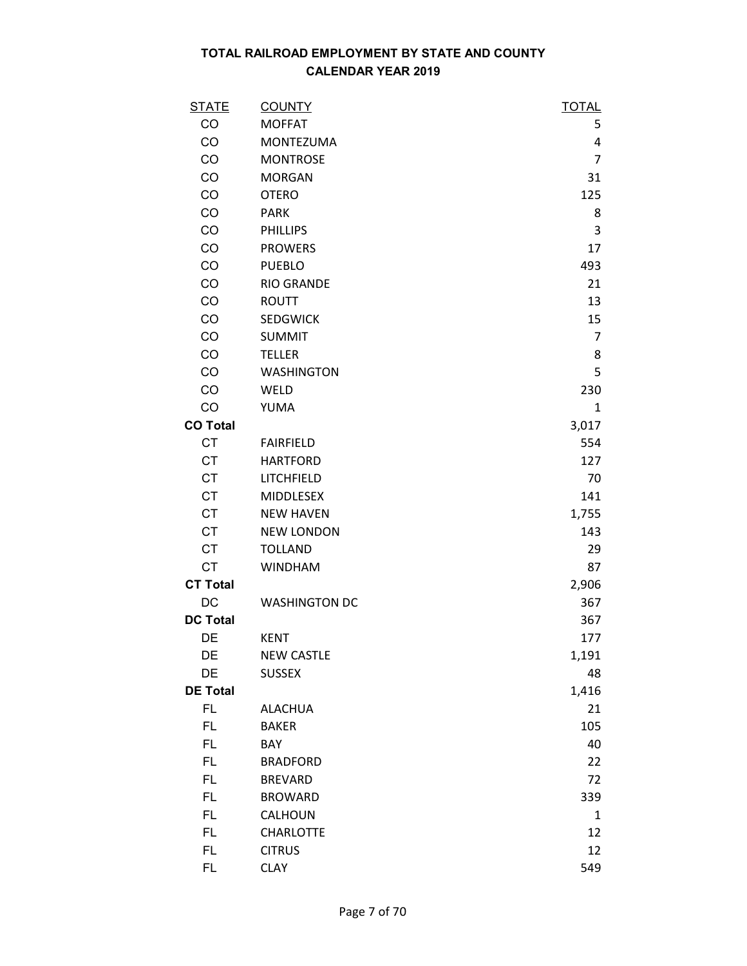| <b>STATE</b>    | <b>COUNTY</b>        | <b>TOTAL</b>   |
|-----------------|----------------------|----------------|
| CO              | <b>MOFFAT</b>        | 5              |
| CO              | <b>MONTEZUMA</b>     | 4              |
| CO              | <b>MONTROSE</b>      | $\overline{7}$ |
| CO              | <b>MORGAN</b>        | 31             |
| CO              | <b>OTERO</b>         | 125            |
| CO              | <b>PARK</b>          | 8              |
| CO              | <b>PHILLIPS</b>      | 3              |
| CO              | <b>PROWERS</b>       | 17             |
| CO              | <b>PUEBLO</b>        | 493            |
| CO              | <b>RIO GRANDE</b>    | 21             |
| CO              | <b>ROUTT</b>         | 13             |
| CO              | <b>SEDGWICK</b>      | 15             |
| CO              | <b>SUMMIT</b>        | $\overline{7}$ |
| CO              | <b>TELLER</b>        | 8              |
| CO              | <b>WASHINGTON</b>    | 5              |
| CO              | WELD                 | 230            |
| CO              | YUMA                 | $\mathbf{1}$   |
| <b>CO Total</b> |                      | 3,017          |
| <b>CT</b>       | <b>FAIRFIELD</b>     | 554            |
| <b>CT</b>       | <b>HARTFORD</b>      | 127            |
| <b>CT</b>       | LITCHFIELD           | 70             |
| <b>CT</b>       | <b>MIDDLESEX</b>     | 141            |
| <b>CT</b>       | <b>NEW HAVEN</b>     | 1,755          |
| <b>CT</b>       | <b>NEW LONDON</b>    | 143            |
| <b>CT</b>       | <b>TOLLAND</b>       | 29             |
| <b>CT</b>       | <b>WINDHAM</b>       | 87             |
| <b>CT Total</b> |                      | 2,906          |
| DC              | <b>WASHINGTON DC</b> | 367            |
| <b>DC Total</b> |                      | 367            |
| DE              | <b>KENT</b>          | 177            |
| DE              | <b>NEW CASTLE</b>    | 1,191          |
| DE              | <b>SUSSEX</b>        | 48             |
| <b>DE Total</b> |                      | 1,416          |
| FL              | <b>ALACHUA</b>       | 21             |
| FL.             | <b>BAKER</b>         | 105            |
| FL.             | BAY                  | 40             |
| FL.             | <b>BRADFORD</b>      | 22             |
| FL.             | <b>BREVARD</b>       | 72             |
| FL.             | <b>BROWARD</b>       | 339            |
| FL              | CALHOUN              | $\mathbf{1}$   |
| FL.             | CHARLOTTE            | 12             |
| FL.             | <b>CITRUS</b>        | 12             |
| FL.             | <b>CLAY</b>          | 549            |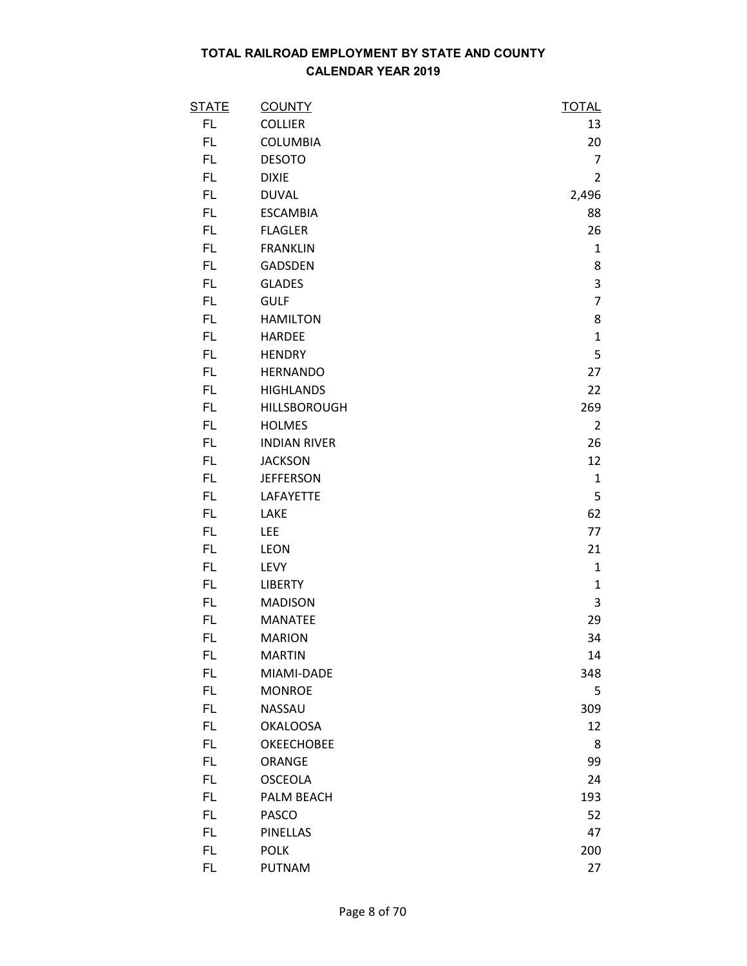| <u>STATE</u> | <b>COUNTY</b>       | <u>TOTAL</u>   |
|--------------|---------------------|----------------|
| FL           | <b>COLLIER</b>      | 13             |
| FL           | <b>COLUMBIA</b>     | 20             |
| FL           | <b>DESOTO</b>       | 7              |
| FL           | <b>DIXIE</b>        | $\overline{2}$ |
| FL           | <b>DUVAL</b>        | 2,496          |
| FL.          | <b>ESCAMBIA</b>     | 88             |
| FL.          | <b>FLAGLER</b>      | 26             |
| FL.          | <b>FRANKLIN</b>     | $\mathbf{1}$   |
| FL.          | <b>GADSDEN</b>      | 8              |
| FL.          | <b>GLADES</b>       | 3              |
| FL.          | <b>GULF</b>         | $\overline{7}$ |
| FL           | <b>HAMILTON</b>     | 8              |
| FL           | <b>HARDEE</b>       | $\mathbf{1}$   |
| FL           | <b>HENDRY</b>       | 5              |
| FL.          | <b>HERNANDO</b>     | 27             |
| FL.          | <b>HIGHLANDS</b>    | 22             |
| FL           | HILLSBOROUGH        | 269            |
| FL.          | <b>HOLMES</b>       | $\overline{2}$ |
| FL           | <b>INDIAN RIVER</b> | 26             |
| FL.          | <b>JACKSON</b>      | 12             |
| FL.          | <b>JEFFERSON</b>    | $\mathbf{1}$   |
| FL           | LAFAYETTE           | 5              |
| FL           | LAKE                | 62             |
| FL           | LEE                 | 77             |
| FL.          | <b>LEON</b>         | 21             |
| FL.          | LEVY                | $\mathbf{1}$   |
| FL           | <b>LIBERTY</b>      | $\mathbf{1}$   |
| FL           | <b>MADISON</b>      | 3              |
| FL           | <b>MANATEE</b>      | 29             |
| FL           | <b>MARION</b>       | 34             |
| FL           | <b>MARTIN</b>       | 14             |
| FL.          | MIAMI-DADE          | 348            |
| FL.          | <b>MONROE</b>       | 5              |
| FL.          | NASSAU              | 309            |
| FL.          | <b>OKALOOSA</b>     | 12             |
| FL           | <b>OKEECHOBEE</b>   | 8              |
| FL.          | ORANGE              | 99             |
| FL           | <b>OSCEOLA</b>      | 24             |
| FL.          | PALM BEACH          | 193            |
| FL.          | <b>PASCO</b>        | 52             |
| FL.          | <b>PINELLAS</b>     | 47             |
| FL.          | <b>POLK</b>         | 200            |
| FL           | <b>PUTNAM</b>       | 27             |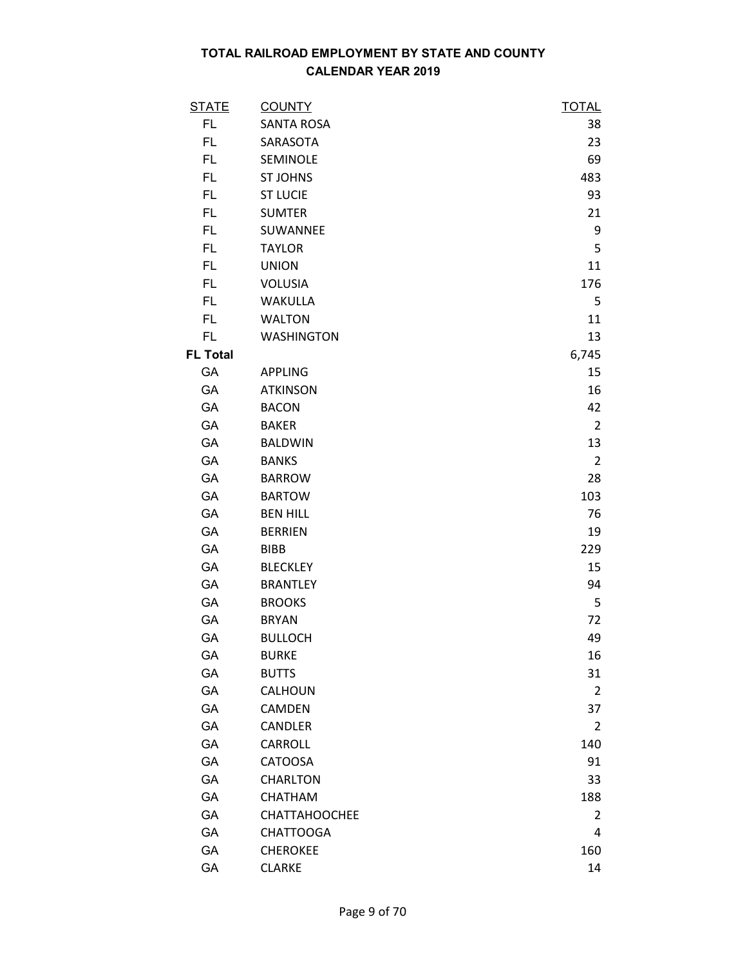| <b>STATE</b>    | <b>COUNTY</b>        | <b>TOTAL</b>   |
|-----------------|----------------------|----------------|
| FL.             | <b>SANTA ROSA</b>    | 38             |
| FL              | SARASOTA             | 23             |
| FL.             | SEMINOLE             | 69             |
| FL.             | <b>ST JOHNS</b>      | 483            |
| FL              | <b>ST LUCIE</b>      | 93             |
| FL.             | <b>SUMTER</b>        | 21             |
| FL.             | SUWANNEE             | 9              |
| FL.             | <b>TAYLOR</b>        | 5              |
| FL.             | <b>UNION</b>         | 11             |
| FL.             | <b>VOLUSIA</b>       | 176            |
| FL.             | <b>WAKULLA</b>       | 5              |
| FL              | <b>WALTON</b>        | 11             |
| FL.             | <b>WASHINGTON</b>    | 13             |
| <b>FL Total</b> |                      | 6,745          |
| GA              | <b>APPLING</b>       | 15             |
| <b>GA</b>       | <b>ATKINSON</b>      | 16             |
| GA              | <b>BACON</b>         | 42             |
| GA              | <b>BAKER</b>         | $\overline{2}$ |
| GA              | <b>BALDWIN</b>       | 13             |
| GA              | <b>BANKS</b>         | $\overline{2}$ |
| GA              | <b>BARROW</b>        | 28             |
| GA              | <b>BARTOW</b>        | 103            |
| <b>GA</b>       | <b>BEN HILL</b>      | 76             |
| GA              | <b>BERRIEN</b>       | 19             |
| GA              | <b>BIBB</b>          | 229            |
| GA              | <b>BLECKLEY</b>      | 15             |
| GA              | <b>BRANTLEY</b>      | 94             |
| GA              | <b>BROOKS</b>        | 5              |
| GA              | <b>BRYAN</b>         | 72             |
| GA              | <b>BULLOCH</b>       | 49             |
| GA              | <b>BURKE</b>         | 16             |
| GA              | <b>BUTTS</b>         | 31             |
| GA              | CALHOUN              | 2              |
| GA              | CAMDEN               | 37             |
| GA              | CANDLER              | 2              |
| GA              | CARROLL              | 140            |
| GA              | <b>CATOOSA</b>       | 91             |
| GA              | <b>CHARLTON</b>      | 33             |
| GA              | CHATHAM              | 188            |
| GA              | <b>CHATTAHOOCHEE</b> | 2              |
| GA              | <b>CHATTOOGA</b>     | 4              |
| GA              | <b>CHEROKEE</b>      | 160            |
| GA              | <b>CLARKE</b>        | 14             |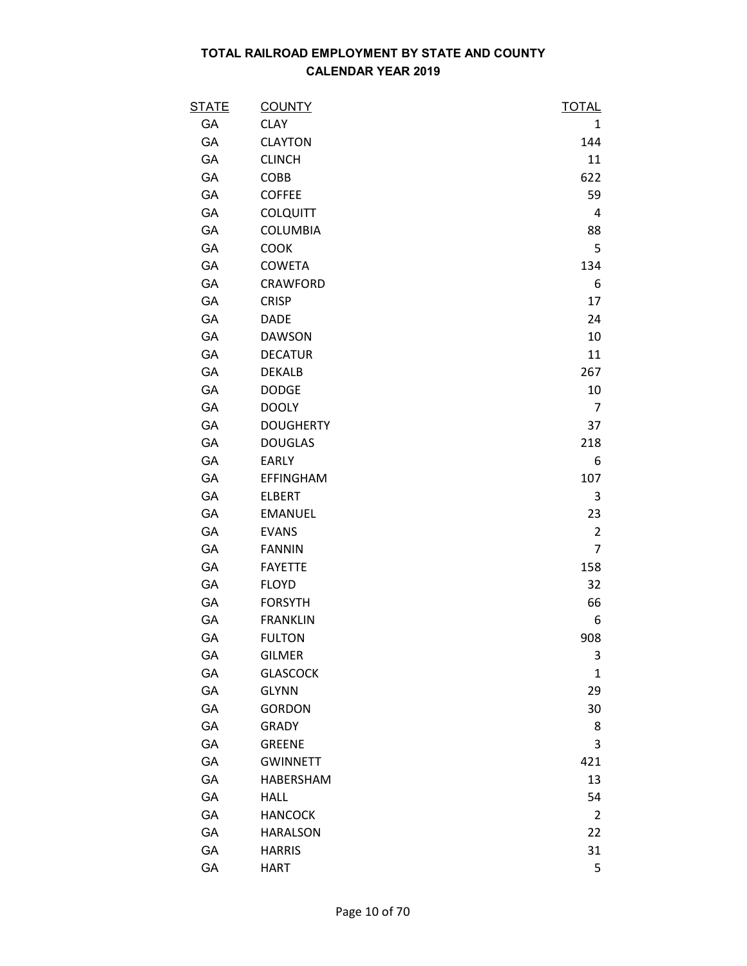| <b>STATE</b> | <b>COUNTY</b>    | <b>TOTAL</b>   |
|--------------|------------------|----------------|
| GA           | <b>CLAY</b>      | 1              |
| GA           | <b>CLAYTON</b>   | 144            |
| GA           | <b>CLINCH</b>    | 11             |
| GA           | COBB             | 622            |
| GA           | <b>COFFEE</b>    | 59             |
| GA           | <b>COLQUITT</b>  | 4              |
| GA           | <b>COLUMBIA</b>  | 88             |
| GA           | <b>COOK</b>      | 5              |
| GA           | <b>COWETA</b>    | 134            |
| GA           | <b>CRAWFORD</b>  | 6              |
| GA           | <b>CRISP</b>     | 17             |
| GA           | <b>DADE</b>      | 24             |
| GA           | <b>DAWSON</b>    | 10             |
| GA           | <b>DECATUR</b>   | 11             |
| GA           | <b>DEKALB</b>    | 267            |
| GA           | <b>DODGE</b>     | 10             |
| GA           | <b>DOOLY</b>     | $\overline{7}$ |
| GA           | <b>DOUGHERTY</b> | 37             |
| GA           | <b>DOUGLAS</b>   | 218            |
| GA           | <b>EARLY</b>     | 6              |
| GA           | <b>EFFINGHAM</b> | 107            |
| GA           | <b>ELBERT</b>    | 3              |
| GA           | <b>EMANUEL</b>   | 23             |
| GA           | <b>EVANS</b>     | $\overline{2}$ |
| GA           | <b>FANNIN</b>    | $\overline{7}$ |
| GA           | <b>FAYETTE</b>   | 158            |
| GA           | <b>FLOYD</b>     | 32             |
| GA           | <b>FORSYTH</b>   | 66             |
| GA           | <b>FRANKLIN</b>  | 6              |
| GA           | <b>FULTON</b>    | 908            |
| GA           | <b>GILMER</b>    | 3              |
| GA           | <b>GLASCOCK</b>  | $\mathbf{1}$   |
| GA           | <b>GLYNN</b>     | 29             |
| GA           | <b>GORDON</b>    | 30             |
| GA           | <b>GRADY</b>     | 8              |
| GA           | <b>GREENE</b>    | 3              |
| GA           | <b>GWINNETT</b>  | 421            |
| GA           | HABERSHAM        | 13             |
| GA           | <b>HALL</b>      | 54             |
| GA           | <b>HANCOCK</b>   | 2              |
| GA           | <b>HARALSON</b>  | 22             |
| GA           | <b>HARRIS</b>    | 31             |
| GA           | <b>HART</b>      | 5              |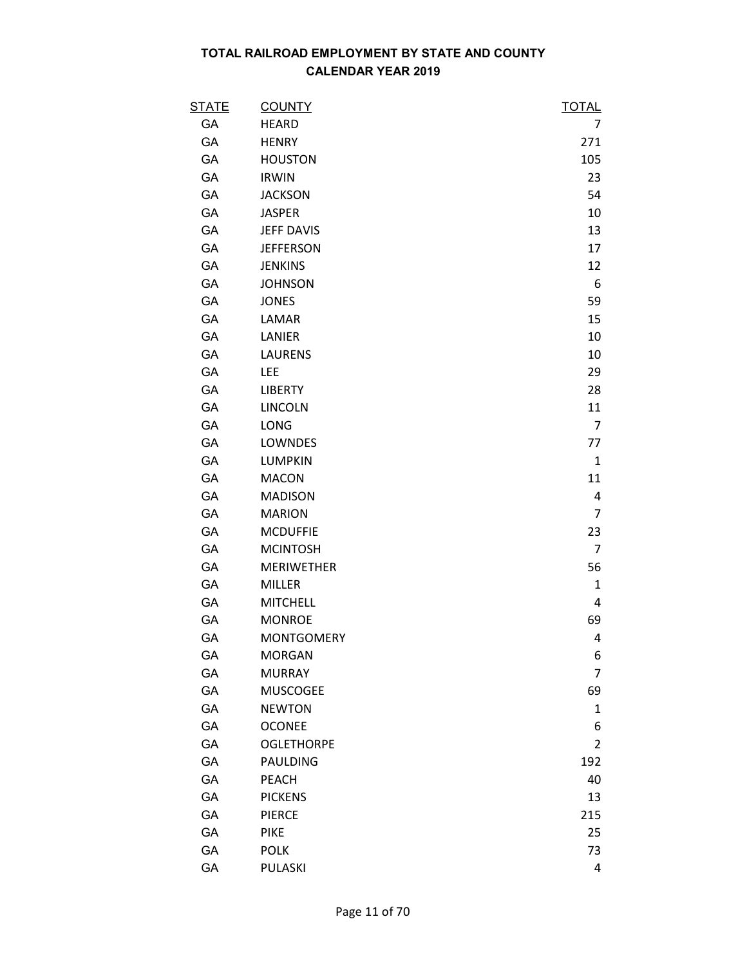| <b>STATE</b> | <b>COUNTY</b>     | <b>TOTAL</b>   |
|--------------|-------------------|----------------|
| GA           | <b>HEARD</b>      | 7              |
| GA           | <b>HENRY</b>      | 271            |
| GA           | <b>HOUSTON</b>    | 105            |
| GA           | <b>IRWIN</b>      | 23             |
| GA           | <b>JACKSON</b>    | 54             |
| GA           | <b>JASPER</b>     | 10             |
| GA           | <b>JEFF DAVIS</b> | 13             |
| GA           | <b>JEFFERSON</b>  | 17             |
| GA           | <b>JENKINS</b>    | 12             |
| GA           | <b>JOHNSON</b>    | 6              |
| GA           | <b>JONES</b>      | 59             |
| GA           | LAMAR             | 15             |
| GA           | LANIER            | 10             |
| GA           | <b>LAURENS</b>    | 10             |
| GA           | <b>LEE</b>        | 29             |
| GA           | <b>LIBERTY</b>    | 28             |
| GA           | <b>LINCOLN</b>    | 11             |
| GA           | <b>LONG</b>       | $\overline{7}$ |
| GA           | LOWNDES           | 77             |
| GA           | <b>LUMPKIN</b>    | $\mathbf{1}$   |
| GA           | <b>MACON</b>      | 11             |
| GA           | <b>MADISON</b>    | 4              |
| GA           | <b>MARION</b>     | $\overline{7}$ |
| <b>GA</b>    | <b>MCDUFFIE</b>   | 23             |
| GA           | <b>MCINTOSH</b>   | $\overline{7}$ |
| GA           | <b>MERIWETHER</b> | 56             |
| GA           | <b>MILLER</b>     | $\mathbf{1}$   |
| GA           | <b>MITCHELL</b>   | 4              |
| GA           | <b>MONROE</b>     | 69             |
| GA           | <b>MONTGOMERY</b> | 4              |
| GA           | <b>MORGAN</b>     | 6              |
| GA           | <b>MURRAY</b>     | $\overline{7}$ |
| GA           | <b>MUSCOGEE</b>   | 69             |
| GA           | <b>NEWTON</b>     | $\mathbf{1}$   |
| GA           | <b>OCONEE</b>     | 6              |
| GA           | <b>OGLETHORPE</b> | 2              |
| GA           | PAULDING          | 192            |
| GA           | <b>PEACH</b>      | 40             |
| GA           | <b>PICKENS</b>    | 13             |
| GA           | <b>PIERCE</b>     | 215            |
| GA           | <b>PIKE</b>       | 25             |
| GA           | <b>POLK</b>       | 73             |
| GA           | PULASKI           | 4              |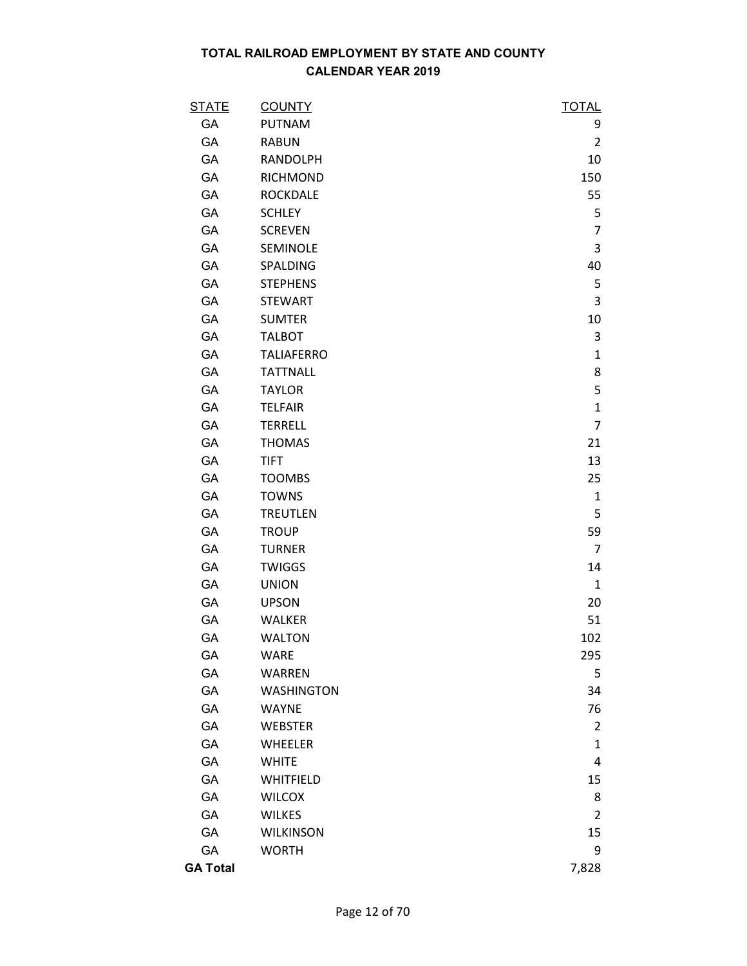| <u>STATE</u>    | <b>COUNTY</b>     | <b>TOTAL</b>   |
|-----------------|-------------------|----------------|
| GA              | <b>PUTNAM</b>     | 9              |
| GA              | <b>RABUN</b>      | $\overline{2}$ |
| GA              | <b>RANDOLPH</b>   | 10             |
| GA              | <b>RICHMOND</b>   | 150            |
| GA              | <b>ROCKDALE</b>   | 55             |
| GA              | <b>SCHLEY</b>     | 5              |
| GA              | <b>SCREVEN</b>    | $\overline{7}$ |
| GA              | SEMINOLE          | 3              |
| GA              | SPALDING          | 40             |
| GA              | <b>STEPHENS</b>   | 5              |
| GA              | <b>STEWART</b>    | 3              |
| <b>GA</b>       | <b>SUMTER</b>     | 10             |
| GA              | <b>TALBOT</b>     | 3              |
| GA              | <b>TALIAFERRO</b> | $\mathbf{1}$   |
| GA              | <b>TATTNALL</b>   | 8              |
| GA              | <b>TAYLOR</b>     | 5              |
| <b>GA</b>       | <b>TELFAIR</b>    | $\mathbf{1}$   |
| GA              | <b>TERRELL</b>    | $\overline{7}$ |
| GA              | <b>THOMAS</b>     | 21             |
| GA              | <b>TIFT</b>       | 13             |
| GA              | <b>TOOMBS</b>     | 25             |
| GA              | <b>TOWNS</b>      | $\mathbf{1}$   |
| GA              | <b>TREUTLEN</b>   | 5              |
| <b>GA</b>       | <b>TROUP</b>      | 59             |
| GA              | <b>TURNER</b>     | $\overline{7}$ |
| GA              | <b>TWIGGS</b>     | 14             |
| GA              | <b>UNION</b>      | $\mathbf{1}$   |
| GA              | <b>UPSON</b>      | 20             |
| GA              | WALKER            | 51             |
| GA              | <b>WALTON</b>     | 102            |
| GA              | <b>WARE</b>       | 295            |
| GA              | <b>WARREN</b>     | 5              |
| GA              | <b>WASHINGTON</b> | 34             |
| GA              | <b>WAYNE</b>      | 76             |
| GA              | <b>WEBSTER</b>    | $\overline{2}$ |
| GA              | <b>WHEELER</b>    | $\mathbf{1}$   |
| GA              | <b>WHITE</b>      | 4              |
| GA              | WHITFIELD         | 15             |
| GA              | <b>WILCOX</b>     | 8              |
| GA              | <b>WILKES</b>     | $\overline{2}$ |
| GA              | <b>WILKINSON</b>  | 15             |
| GA              | <b>WORTH</b>      | 9              |
| <b>GA Total</b> |                   | 7,828          |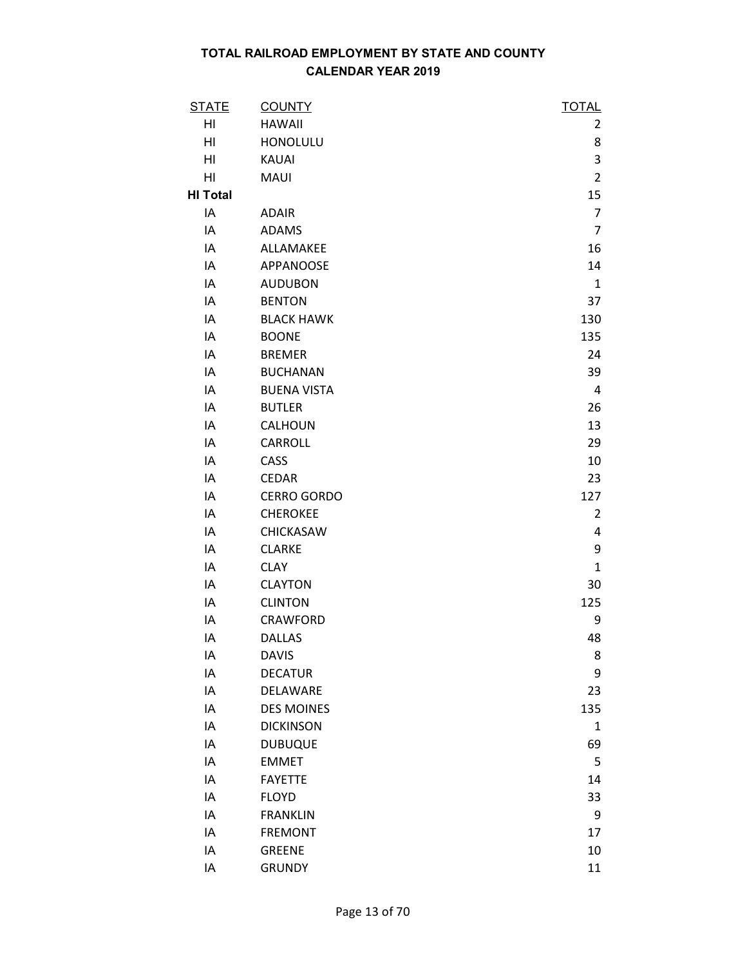| <b>STATE</b>    | <b>COUNTY</b>      | <b>TOTAL</b>   |
|-----------------|--------------------|----------------|
| HI              | <b>HAWAII</b>      | 2              |
| HI              | <b>HONOLULU</b>    | 8              |
| HI              | <b>KAUAI</b>       | 3              |
| HI              | MAUI               | $\overline{2}$ |
| <b>HI Total</b> |                    | 15             |
| IA              | <b>ADAIR</b>       | $\overline{7}$ |
| IA              | <b>ADAMS</b>       | $\overline{7}$ |
| IA              | ALLAMAKEE          | 16             |
| IA              | <b>APPANOOSE</b>   | 14             |
| IA              | <b>AUDUBON</b>     | $\mathbf{1}$   |
| IA              | <b>BENTON</b>      | 37             |
| IA              | <b>BLACK HAWK</b>  | 130            |
| IA              | <b>BOONE</b>       | 135            |
| IA              | <b>BREMER</b>      | 24             |
| IA              | <b>BUCHANAN</b>    | 39             |
| IA              | <b>BUENA VISTA</b> | $\overline{4}$ |
| IA              | <b>BUTLER</b>      | 26             |
| IA              | CALHOUN            | 13             |
| IA              | <b>CARROLL</b>     | 29             |
| IA              | CASS               | 10             |
| IA              | <b>CEDAR</b>       | 23             |
| IA              | <b>CERRO GORDO</b> | 127            |
| IA              | <b>CHEROKEE</b>    | $\overline{2}$ |
| IA              | CHICKASAW          | 4              |
| IA              | <b>CLARKE</b>      | 9              |
| IA              | <b>CLAY</b>        | $\mathbf{1}$   |
| IA              | <b>CLAYTON</b>     | 30             |
| IA              | <b>CLINTON</b>     | 125            |
| IA              | <b>CRAWFORD</b>    | 9              |
| IA              | <b>DALLAS</b>      | 48             |
| IA              | <b>DAVIS</b>       | 8              |
| IA              | <b>DECATUR</b>     | 9              |
| IA              | DELAWARE           | 23             |
| IA              | <b>DES MOINES</b>  | 135            |
| IA              | <b>DICKINSON</b>   | $\mathbf{1}$   |
| IA              | <b>DUBUQUE</b>     | 69             |
| IA              | <b>EMMET</b>       | 5              |
| IA              | <b>FAYETTE</b>     | 14             |
| IA              | <b>FLOYD</b>       | 33             |
| IA              | <b>FRANKLIN</b>    | 9              |
| IA              | <b>FREMONT</b>     | 17             |
| IA              | <b>GREENE</b>      | 10             |
| IA              | <b>GRUNDY</b>      | 11             |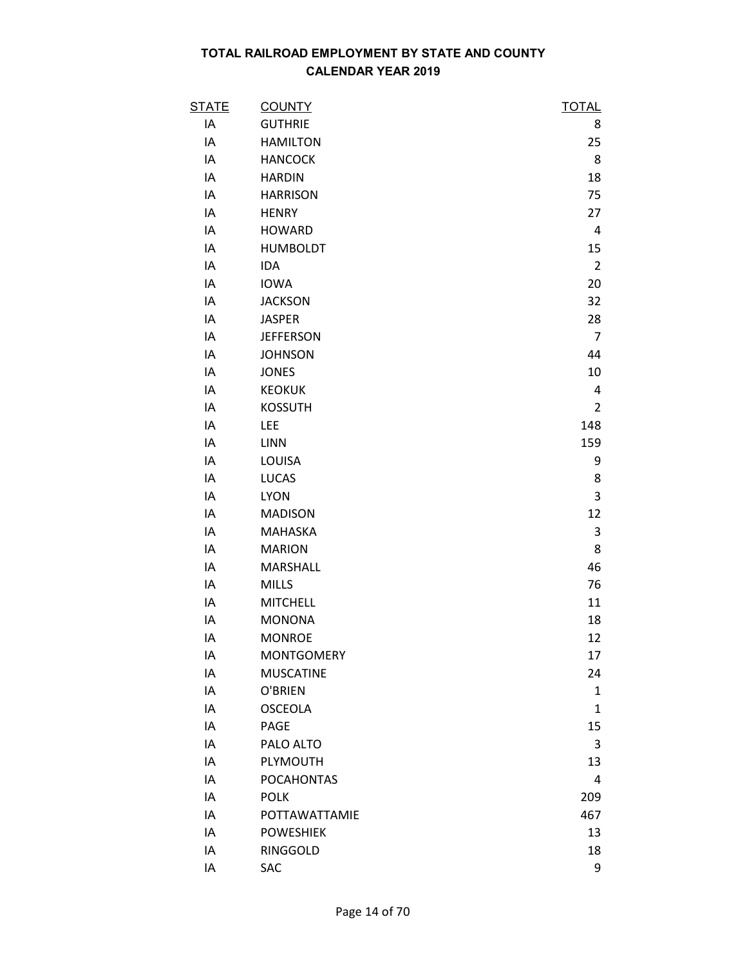| <b>STATE</b> | <b>COUNTY</b>     | <b>TOTAL</b>   |
|--------------|-------------------|----------------|
| IA           | <b>GUTHRIE</b>    | 8              |
| IA           | <b>HAMILTON</b>   | 25             |
| IA           | <b>HANCOCK</b>    | 8              |
| IA           | <b>HARDIN</b>     | 18             |
| IA           | <b>HARRISON</b>   | 75             |
| IA           | <b>HENRY</b>      | 27             |
| IA           | <b>HOWARD</b>     | 4              |
| IA           | <b>HUMBOLDT</b>   | 15             |
| IA           | <b>IDA</b>        | $\overline{2}$ |
| IA           | <b>IOWA</b>       | 20             |
| IA           | <b>JACKSON</b>    | 32             |
| IA           | <b>JASPER</b>     | 28             |
| IA           | <b>JEFFERSON</b>  | $\overline{7}$ |
| IA           | <b>JOHNSON</b>    | 44             |
| IA           | <b>JONES</b>      | 10             |
| IA           | <b>KEOKUK</b>     | 4              |
| IA           | <b>KOSSUTH</b>    | $\overline{2}$ |
| IA           | <b>LEE</b>        | 148            |
| IA           | LINN              | 159            |
| IA           | LOUISA            | 9              |
| IA           | <b>LUCAS</b>      | 8              |
| IA           | <b>LYON</b>       | 3              |
| IA           | <b>MADISON</b>    | 12             |
| IA           | <b>MAHASKA</b>    | 3              |
| IA           | <b>MARION</b>     | 8              |
| IA           | <b>MARSHALL</b>   | 46             |
| IA           | <b>MILLS</b>      | 76             |
| IA           | <b>MITCHELL</b>   | 11             |
| IA           | <b>MONONA</b>     | 18             |
| IA           | <b>MONROE</b>     | 12             |
| IA           | <b>MONTGOMERY</b> | 17             |
| IA           | <b>MUSCATINE</b>  | 24             |
| IA           | O'BRIEN           | 1              |
| IA           | <b>OSCEOLA</b>    | $\mathbf{1}$   |
| IA           | PAGE              | 15             |
| IA           | PALO ALTO         | 3              |
| IA           | PLYMOUTH          | 13             |
| IA           | <b>POCAHONTAS</b> | 4              |
| IA           | <b>POLK</b>       | 209            |
| IA           | POTTAWATTAMIE     | 467            |
| IA           | <b>POWESHIEK</b>  | 13             |
| IA           | RINGGOLD          | 18             |
| IA           | SAC               | 9              |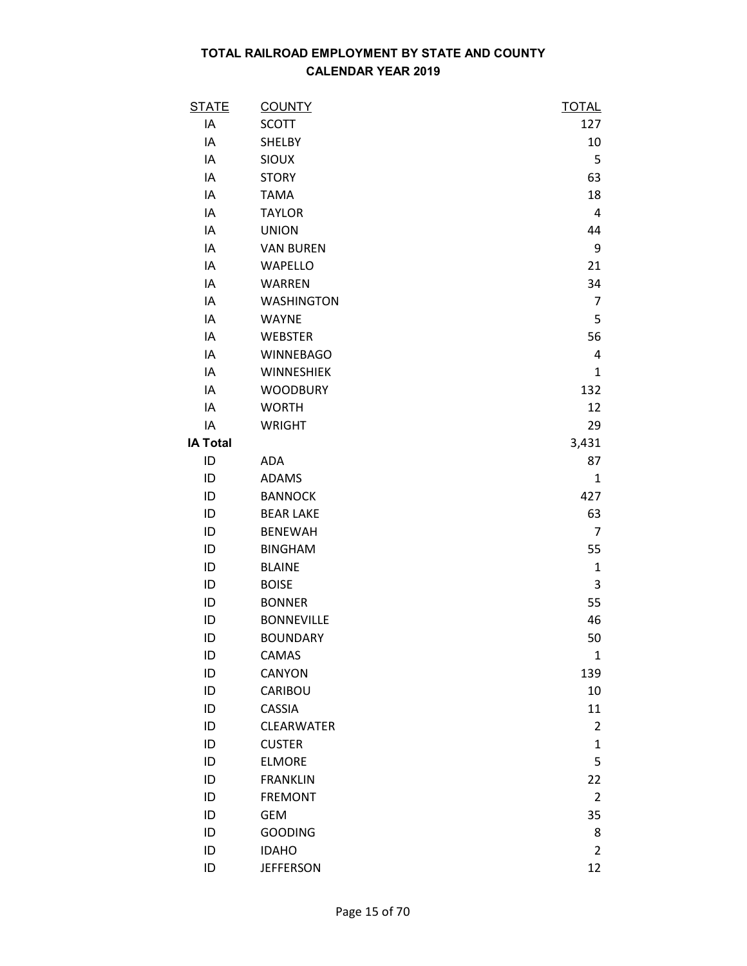| <b>STATE</b>    | <b>COUNTY</b>     | <b>TOTAL</b>   |
|-----------------|-------------------|----------------|
| IA              | <b>SCOTT</b>      | 127            |
| IA              | SHELBY            | 10             |
| IA              | <b>SIOUX</b>      | 5              |
| IA              | <b>STORY</b>      | 63             |
| IA              | <b>TAMA</b>       | 18             |
| IA              | <b>TAYLOR</b>     | $\overline{4}$ |
| IA              | <b>UNION</b>      | 44             |
| IA              | <b>VAN BUREN</b>  | 9              |
| IA              | <b>WAPELLO</b>    | 21             |
| IA              | <b>WARREN</b>     | 34             |
| IA              | <b>WASHINGTON</b> | $\overline{7}$ |
| IA              | <b>WAYNE</b>      | 5              |
| IA              | <b>WEBSTER</b>    | 56             |
| IA              | <b>WINNEBAGO</b>  | 4              |
| IA              | WINNESHIEK        | 1              |
| IA              | <b>WOODBURY</b>   | 132            |
| IA              | <b>WORTH</b>      | 12             |
| IA              | <b>WRIGHT</b>     | 29             |
| <b>IA Total</b> |                   | 3,431          |
| ID              | <b>ADA</b>        | 87             |
| ID              | <b>ADAMS</b>      | $\mathbf{1}$   |
| ID              | <b>BANNOCK</b>    | 427            |
| ID              | <b>BEAR LAKE</b>  | 63             |
| ID              | <b>BENEWAH</b>    | $\overline{7}$ |
| ID              | <b>BINGHAM</b>    | 55             |
| ID              | <b>BLAINE</b>     | $\mathbf 1$    |
| ID              | <b>BOISE</b>      | 3              |
| ID              | <b>BONNER</b>     | 55             |
| ID              | <b>BONNEVILLE</b> | 46             |
| ID              | <b>BOUNDARY</b>   | 50             |
| ID              | CAMAS             | $\mathbf{1}$   |
| ID              | CANYON            | 139            |
| ID              | CARIBOU           | 10             |
| ID              | <b>CASSIA</b>     | 11             |
| ID              | <b>CLEARWATER</b> | $\overline{2}$ |
| ID              | <b>CUSTER</b>     | $\mathbf{1}$   |
| ID              | <b>ELMORE</b>     | 5              |
| ID              | <b>FRANKLIN</b>   | 22             |
| ID              | <b>FREMONT</b>    | $\overline{2}$ |
| ID              | <b>GEM</b>        | 35             |
| ID              | <b>GOODING</b>    | 8              |
| ID              | <b>IDAHO</b>      | $\overline{2}$ |
| ID              | <b>JEFFERSON</b>  | 12             |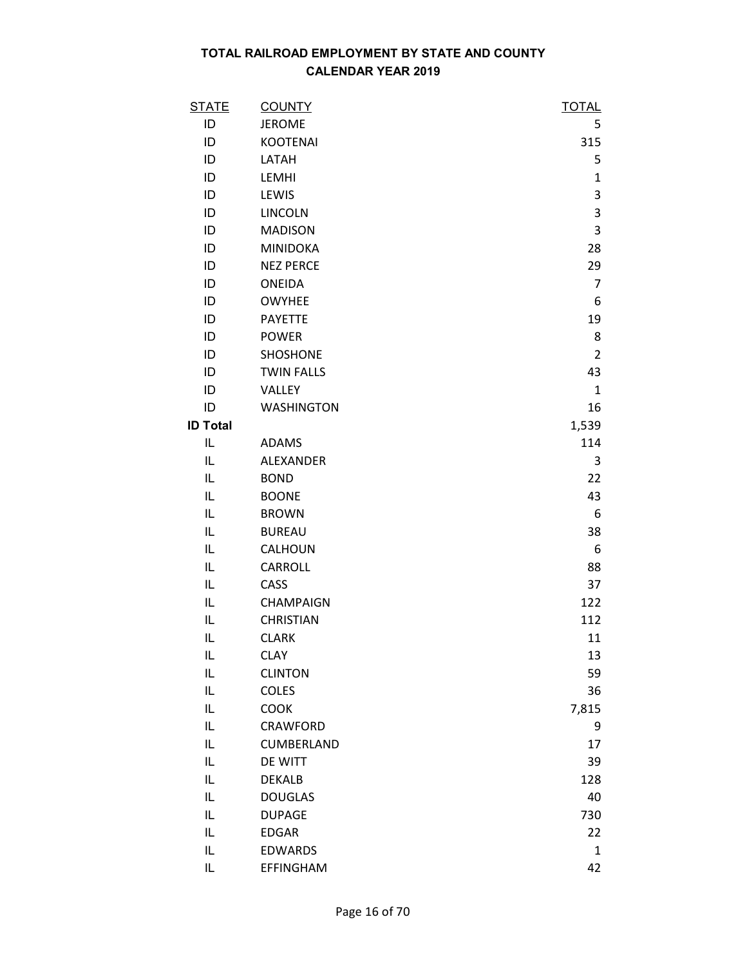| <b>STATE</b>    | <b>COUNTY</b>     | <b>TOTAL</b>   |
|-----------------|-------------------|----------------|
| ID              | <b>JEROME</b>     | 5              |
| ID              | <b>KOOTENAI</b>   | 315            |
| ID              | LATAH             | 5              |
| ID              | LEMHI             | $\mathbf{1}$   |
| ID              | LEWIS             | 3              |
| ID              | <b>LINCOLN</b>    | 3              |
| ID              | <b>MADISON</b>    | 3              |
| ID              | <b>MINIDOKA</b>   | 28             |
| ID              | <b>NEZ PERCE</b>  | 29             |
| ID              | <b>ONEIDA</b>     | $\overline{7}$ |
| ID              | <b>OWYHEE</b>     | 6              |
| ID              | <b>PAYETTE</b>    | 19             |
| ID              | <b>POWER</b>      | 8              |
| ID              | SHOSHONE          | $\overline{2}$ |
| ID              | <b>TWIN FALLS</b> | 43             |
| ID              | VALLEY            | $\mathbf{1}$   |
| ID              | <b>WASHINGTON</b> | 16             |
| <b>ID Total</b> |                   | 1,539          |
| IL              | <b>ADAMS</b>      | 114            |
| IL              | ALEXANDER         | 3              |
| IL              | <b>BOND</b>       | 22             |
| IL              | <b>BOONE</b>      | 43             |
| IL              | <b>BROWN</b>      | 6              |
| IL              | <b>BUREAU</b>     | 38             |
| IL              | CALHOUN           | 6              |
| IL              | <b>CARROLL</b>    | 88             |
| IL              | CASS              | 37             |
| IL              | CHAMPAIGN         | 122            |
| IL              | <b>CHRISTIAN</b>  | 112            |
| IL              | <b>CLARK</b>      | 11             |
| IL              | <b>CLAY</b>       | 13             |
| IL              | <b>CLINTON</b>    | 59             |
| IL              | <b>COLES</b>      | 36             |
| IL              | COOK              | 7,815          |
| IL              | CRAWFORD          | 9              |
| IL              | CUMBERLAND        | 17             |
| IL              | DE WITT           | 39             |
| IL              | <b>DEKALB</b>     | 128            |
| IL              | <b>DOUGLAS</b>    | 40             |
| IL              | <b>DUPAGE</b>     | 730            |
| IL              | <b>EDGAR</b>      | 22             |
| IL              | <b>EDWARDS</b>    | $\mathbf{1}$   |
| IL              | <b>EFFINGHAM</b>  | 42             |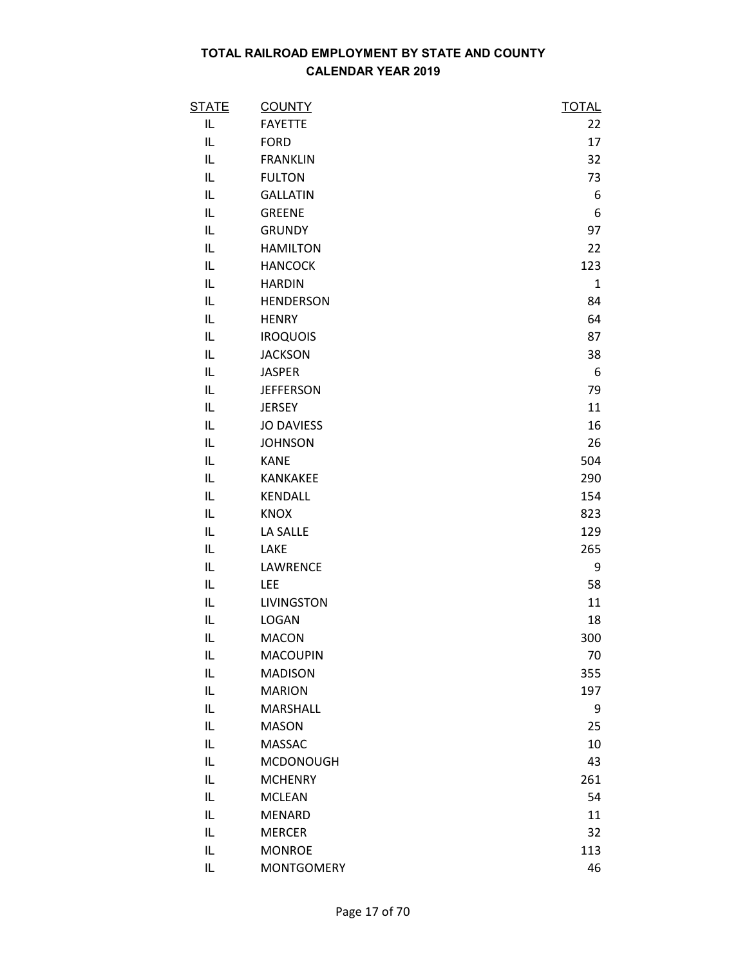| <b>STATE</b> | <b>COUNTY</b>     | <b>TOTAL</b> |
|--------------|-------------------|--------------|
| IL.          | <b>FAYETTE</b>    | 22           |
| IL           | <b>FORD</b>       | 17           |
| IL           | <b>FRANKLIN</b>   | 32           |
| IL           | <b>FULTON</b>     | 73           |
| IL           | <b>GALLATIN</b>   | 6            |
| IL.          | <b>GREENE</b>     | 6            |
| IL           | <b>GRUNDY</b>     | 97           |
| IL           | <b>HAMILTON</b>   | 22           |
| IL           | <b>HANCOCK</b>    | 123          |
| IL           | <b>HARDIN</b>     | $\mathbf{1}$ |
| IL           | <b>HENDERSON</b>  | 84           |
| IL           | <b>HENRY</b>      | 64           |
| IL           | <b>IROQUOIS</b>   | 87           |
| IL           | <b>JACKSON</b>    | 38           |
| IL           | <b>JASPER</b>     | 6            |
| IL           | <b>JEFFERSON</b>  | 79           |
| IL           | <b>JERSEY</b>     | 11           |
| IL           | <b>JO DAVIESS</b> | 16           |
| IL           | <b>JOHNSON</b>    | 26           |
| IL.          | <b>KANE</b>       | 504          |
| IL           | KANKAKEE          | 290          |
| IL           | KENDALL           | 154          |
| IL           | <b>KNOX</b>       | 823          |
| IL           | LA SALLE          | 129          |
| IL           | LAKE              | 265          |
| IL           | LAWRENCE          | 9            |
| IL           | LEE               | 58           |
| IL           | <b>LIVINGSTON</b> | 11           |
| IL           | <b>LOGAN</b>      | 18           |
| IL           | <b>MACON</b>      | 300          |
| IL           | <b>MACOUPIN</b>   | 70           |
| IL           | <b>MADISON</b>    | 355          |
| IL           | <b>MARION</b>     | 197          |
| IL.          | MARSHALL          | 9            |
| IL           | <b>MASON</b>      | 25           |
| IL           | <b>MASSAC</b>     | 10           |
| IL           | <b>MCDONOUGH</b>  | 43           |
| IL           | <b>MCHENRY</b>    | 261          |
| IL.          | <b>MCLEAN</b>     | 54           |
| IL           | <b>MENARD</b>     | 11           |
| IL           | <b>MERCER</b>     | 32           |
| IL           | <b>MONROE</b>     | 113          |
| IL           | <b>MONTGOMERY</b> | 46           |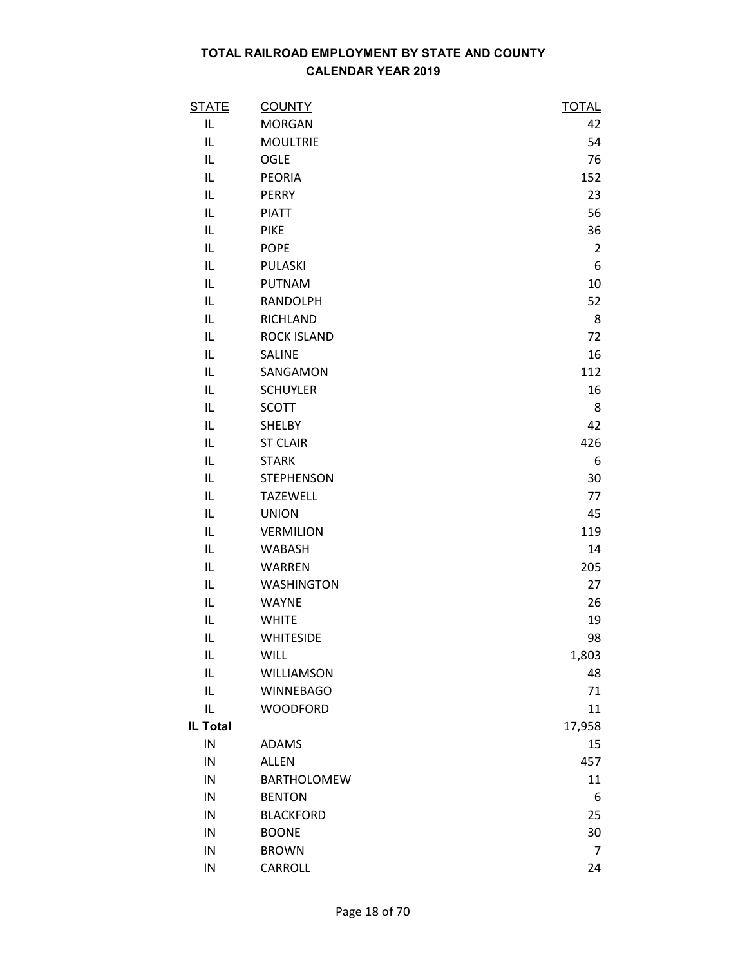| <b>STATE</b>    | <b>COUNTY</b>      | <b>TOTAL</b>   |
|-----------------|--------------------|----------------|
| IL              | <b>MORGAN</b>      | 42             |
| IL              | <b>MOULTRIE</b>    | 54             |
| IL              | OGLE               | 76             |
| IL              | <b>PEORIA</b>      | 152            |
| IL              | <b>PERRY</b>       | 23             |
| IL              | <b>PIATT</b>       | 56             |
| IL              | <b>PIKE</b>        | 36             |
| IL              | <b>POPE</b>        | $\overline{2}$ |
| IL              | PULASKI            | 6              |
| IL              | <b>PUTNAM</b>      | 10             |
| IL              | <b>RANDOLPH</b>    | 52             |
| IL              | <b>RICHLAND</b>    | 8              |
| IL              | <b>ROCK ISLAND</b> | 72             |
| IL              | <b>SALINE</b>      | 16             |
| IL              | SANGAMON           | 112            |
| IL              | <b>SCHUYLER</b>    | 16             |
| IL              | <b>SCOTT</b>       | 8              |
| IL              | <b>SHELBY</b>      | 42             |
| IL              | <b>ST CLAIR</b>    | 426            |
| IL              | <b>STARK</b>       | 6              |
| IL              | <b>STEPHENSON</b>  | 30             |
| IL              | <b>TAZEWELL</b>    | 77             |
| IL              | <b>UNION</b>       | 45             |
| IL              | <b>VERMILION</b>   | 119            |
| IL              | <b>WABASH</b>      | 14             |
| IL              | <b>WARREN</b>      | 205            |
| IL              | <b>WASHINGTON</b>  | 27             |
| IL              | <b>WAYNE</b>       | 26             |
| IL              | <b>WHITE</b>       | 19             |
| IL              | <b>WHITESIDE</b>   | 98             |
| IL              | <b>WILL</b>        | 1,803          |
| IL              | WILLIAMSON         | 48             |
| IL              | <b>WINNEBAGO</b>   | 71             |
| IL              | <b>WOODFORD</b>    | 11             |
| <b>IL Total</b> |                    | 17,958         |
| IN              | <b>ADAMS</b>       | 15             |
| IN              | <b>ALLEN</b>       | 457            |
| IN              | <b>BARTHOLOMEW</b> | 11             |
| IN              | <b>BENTON</b>      | 6              |
| IN              | <b>BLACKFORD</b>   | 25             |
| IN              | <b>BOONE</b>       | 30             |
| IN              | <b>BROWN</b>       | $\overline{7}$ |
| IN              | CARROLL            | 24             |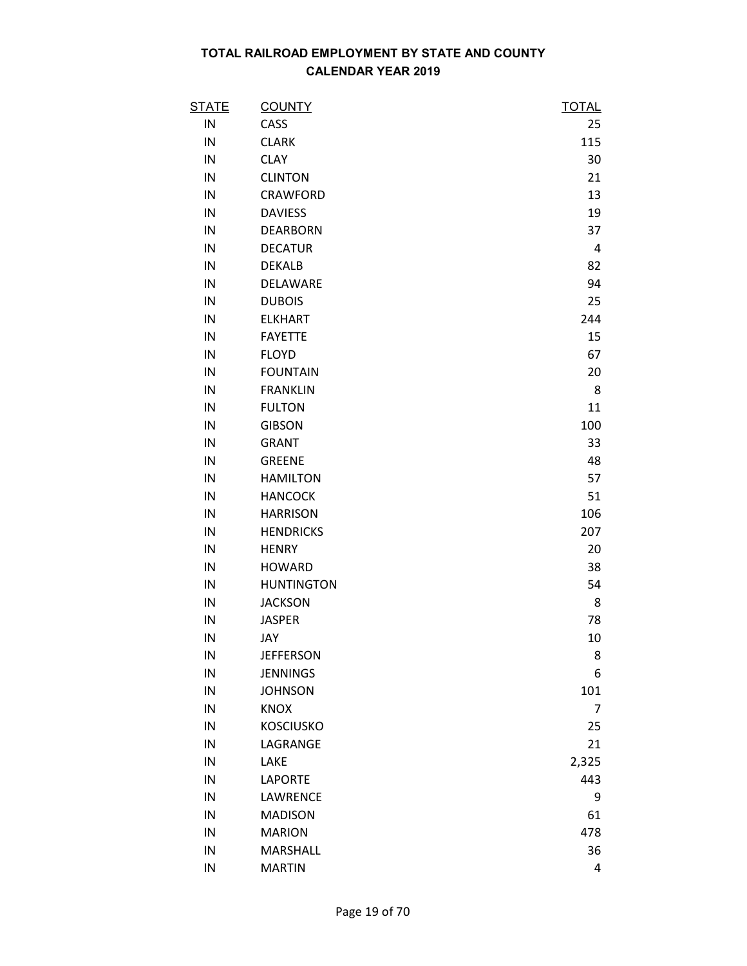| <b>STATE</b> | <b>COUNTY</b>     | <u>TOTAL</u> |
|--------------|-------------------|--------------|
| IN           | CASS              | 25           |
| IN           | <b>CLARK</b>      | 115          |
| IN           | <b>CLAY</b>       | 30           |
| IN           | <b>CLINTON</b>    | 21           |
| IN           | <b>CRAWFORD</b>   | 13           |
| IN           | <b>DAVIESS</b>    | 19           |
| IN           | <b>DEARBORN</b>   | 37           |
| IN           | <b>DECATUR</b>    | 4            |
| IN           | <b>DEKALB</b>     | 82           |
| IN           | DELAWARE          | 94           |
| IN           | <b>DUBOIS</b>     | 25           |
| IN           | <b>ELKHART</b>    | 244          |
| IN           | <b>FAYETTE</b>    | 15           |
| IN           | <b>FLOYD</b>      | 67           |
| IN           | <b>FOUNTAIN</b>   | 20           |
| IN           | <b>FRANKLIN</b>   | 8            |
| IN           | <b>FULTON</b>     | 11           |
| IN           | <b>GIBSON</b>     | 100          |
| IN           | <b>GRANT</b>      | 33           |
| IN           | <b>GREENE</b>     | 48           |
| IN           | <b>HAMILTON</b>   | 57           |
| IN           | <b>HANCOCK</b>    | 51           |
| IN           | <b>HARRISON</b>   | 106          |
| IN           | <b>HENDRICKS</b>  | 207          |
| IN           | <b>HENRY</b>      | 20           |
| IN           | <b>HOWARD</b>     | 38           |
| IN           | <b>HUNTINGTON</b> | 54           |
| IN           | <b>JACKSON</b>    | 8            |
| IN           | <b>JASPER</b>     | 78           |
| IN           | JAY               | 10           |
| IN           | <b>JEFFERSON</b>  | 8            |
| IN           | <b>JENNINGS</b>   | 6            |
| IN           | <b>JOHNSON</b>    | 101          |
| IN           | <b>KNOX</b>       | 7            |
| IN           | <b>KOSCIUSKO</b>  | 25           |
| IN           | LAGRANGE          | 21           |
| IN           | LAKE              | 2,325        |
| IN           | <b>LAPORTE</b>    | 443          |
| IN           | LAWRENCE          | 9            |
| IN           | <b>MADISON</b>    | 61           |
| IN           | <b>MARION</b>     | 478          |
| IN           | MARSHALL          | 36           |
| IN           | <b>MARTIN</b>     | 4            |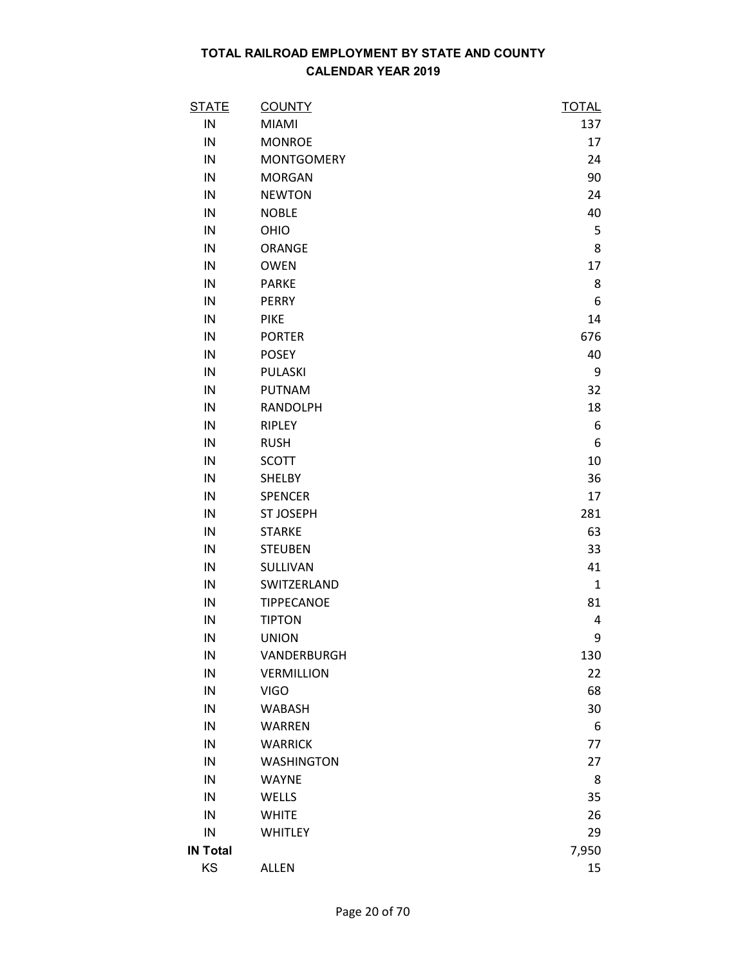| <b>STATE</b>    | <b>COUNTY</b>     | <b>TOTAL</b> |
|-----------------|-------------------|--------------|
| IN              | <b>MIAMI</b>      | 137          |
| IN              | <b>MONROE</b>     | 17           |
| IN              | <b>MONTGOMERY</b> | 24           |
| IN              | <b>MORGAN</b>     | 90           |
| IN              | <b>NEWTON</b>     | 24           |
| IN              | <b>NOBLE</b>      | 40           |
| IN              | OHIO              | 5            |
| IN              | ORANGE            | 8            |
| IN              | <b>OWEN</b>       | 17           |
| IN              | <b>PARKE</b>      | 8            |
| IN              | <b>PERRY</b>      | 6            |
| IN              | <b>PIKE</b>       | 14           |
| IN              | <b>PORTER</b>     | 676          |
| IN              | <b>POSEY</b>      | 40           |
| IN              | PULASKI           | 9            |
| IN              | <b>PUTNAM</b>     | 32           |
| IN              | <b>RANDOLPH</b>   | 18           |
| IN              | RIPLEY            | 6            |
| IN              | <b>RUSH</b>       | 6            |
| IN              | <b>SCOTT</b>      | 10           |
| IN              | <b>SHELBY</b>     | 36           |
| IN              | <b>SPENCER</b>    | 17           |
| IN              | <b>ST JOSEPH</b>  | 281          |
| IN              | <b>STARKE</b>     | 63           |
| IN              | <b>STEUBEN</b>    | 33           |
| IN              | SULLIVAN          | 41           |
| IN              | SWITZERLAND       | $\mathbf{1}$ |
| IN              | TIPPECANOE        | 81           |
| IN              | <b>TIPTON</b>     | 4            |
| IN              | <b>UNION</b>      | 9            |
| IN              | VANDERBURGH       | 130          |
| IN              | <b>VERMILLION</b> | 22           |
| IN              | <b>VIGO</b>       | 68           |
| IN              | <b>WABASH</b>     | 30           |
| IN              | <b>WARREN</b>     | 6            |
| IN              | <b>WARRICK</b>    | 77           |
| IN              | <b>WASHINGTON</b> | 27           |
| IN              | <b>WAYNE</b>      | 8            |
| IN              | WELLS             | 35           |
| IN              | <b>WHITE</b>      | 26           |
| IN              | <b>WHITLEY</b>    | 29           |
| <b>IN Total</b> |                   | 7,950        |
| KS              | <b>ALLEN</b>      | 15           |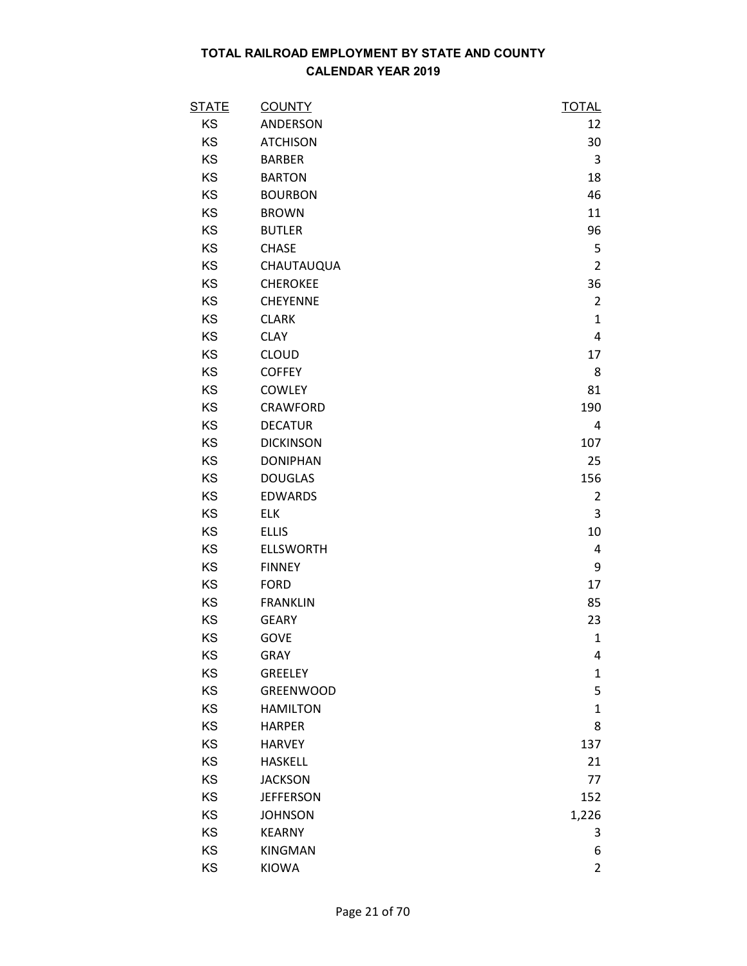| <u>STATE</u> | <b>COUNTY</b>    | <b>TOTAL</b>   |
|--------------|------------------|----------------|
| KS           | ANDERSON         | 12             |
| KS           | <b>ATCHISON</b>  | 30             |
| KS           | <b>BARBER</b>    | 3              |
| KS           | <b>BARTON</b>    | 18             |
| KS           | <b>BOURBON</b>   | 46             |
| KS           | <b>BROWN</b>     | 11             |
| KS           | <b>BUTLER</b>    | 96             |
| KS           | <b>CHASE</b>     | 5              |
| KS           | CHAUTAUQUA       | $\overline{2}$ |
| KS           | <b>CHEROKEE</b>  | 36             |
| KS           | CHEYENNE         | $\overline{2}$ |
| KS           | <b>CLARK</b>     | $\mathbf{1}$   |
| KS           | <b>CLAY</b>      | 4              |
| KS           | <b>CLOUD</b>     | 17             |
| KS           | <b>COFFEY</b>    | 8              |
| KS           | <b>COWLEY</b>    | 81             |
| KS           | <b>CRAWFORD</b>  | 190            |
| KS           | <b>DECATUR</b>   | 4              |
| KS           | <b>DICKINSON</b> | 107            |
| KS           | <b>DONIPHAN</b>  | 25             |
| KS           | <b>DOUGLAS</b>   | 156            |
| KS           | <b>EDWARDS</b>   | 2              |
| KS           | <b>ELK</b>       | 3              |
| KS           | <b>ELLIS</b>     | 10             |
| KS           | <b>ELLSWORTH</b> | 4              |
| KS           | <b>FINNEY</b>    | 9              |
| KS           | <b>FORD</b>      | 17             |
| KS           | <b>FRANKLIN</b>  | 85             |
| KS           | <b>GEARY</b>     | 23             |
| KS           | <b>GOVE</b>      | $\mathbf{1}$   |
| KS           | <b>GRAY</b>      | 4              |
| KS           | GREELEY          | $\mathbf{1}$   |
| KS           | <b>GREENWOOD</b> | 5              |
| KS           | <b>HAMILTON</b>  | $\mathbf{1}$   |
| KS           | <b>HARPER</b>    | 8              |
| KS           | <b>HARVEY</b>    | 137            |
| KS           | <b>HASKELL</b>   | 21             |
| KS           | <b>JACKSON</b>   | 77             |
| KS           | <b>JEFFERSON</b> | 152            |
| KS           | <b>JOHNSON</b>   | 1,226          |
| KS           | <b>KEARNY</b>    | 3              |
| KS           | <b>KINGMAN</b>   | 6              |
| KS           | <b>KIOWA</b>     | $\overline{2}$ |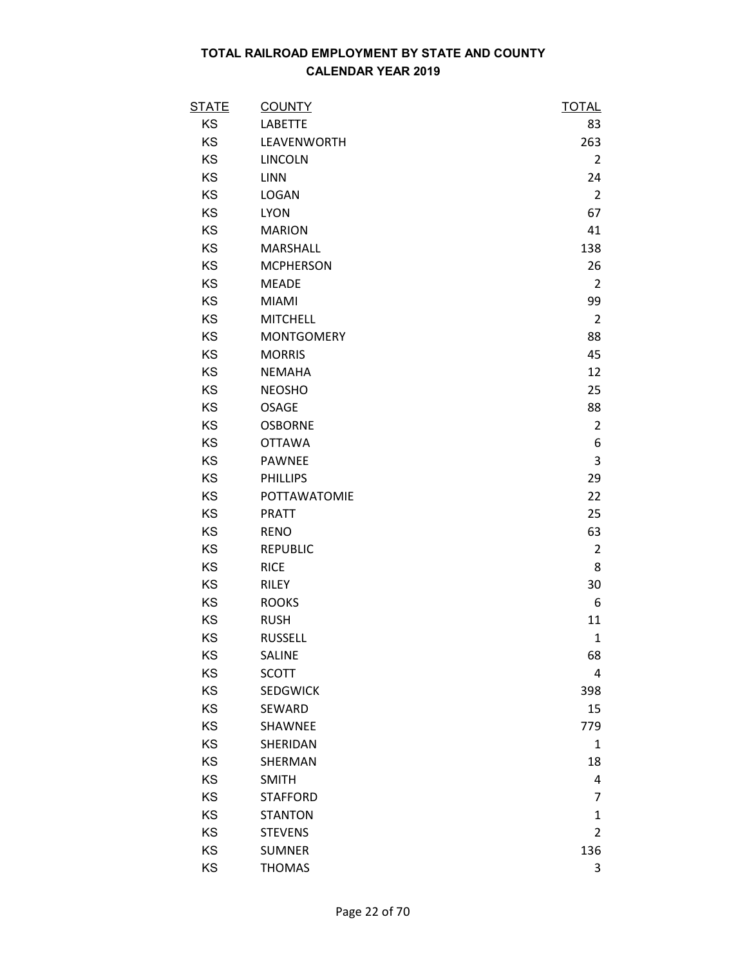| <b>STATE</b> | <b>COUNTY</b>     | <b>TOTAL</b>   |
|--------------|-------------------|----------------|
| KS           | <b>LABETTE</b>    | 83             |
| KS           | LEAVENWORTH       | 263            |
| KS           | <b>LINCOLN</b>    | $\overline{2}$ |
| KS           | <b>LINN</b>       | 24             |
| KS           | <b>LOGAN</b>      | $\overline{2}$ |
| KS           | <b>LYON</b>       | 67             |
| KS           | <b>MARION</b>     | 41             |
| KS           | MARSHALL          | 138            |
| KS           | <b>MCPHERSON</b>  | 26             |
| KS           | <b>MEADE</b>      | $\overline{2}$ |
| KS           | <b>MIAMI</b>      | 99             |
| KS           | <b>MITCHELL</b>   | $\overline{2}$ |
| KS           | <b>MONTGOMERY</b> | 88             |
| KS           | <b>MORRIS</b>     | 45             |
| KS           | <b>NEMAHA</b>     | 12             |
| KS           | <b>NEOSHO</b>     | 25             |
| KS           | <b>OSAGE</b>      | 88             |
| KS           | <b>OSBORNE</b>    | $\overline{2}$ |
| KS           | <b>OTTAWA</b>     | 6              |
| KS           | <b>PAWNEE</b>     | 3              |
| KS           | <b>PHILLIPS</b>   | 29             |
| KS           | POTTAWATOMIE      | 22             |
| KS           | <b>PRATT</b>      | 25             |
| KS           | <b>RENO</b>       | 63             |
| KS           | <b>REPUBLIC</b>   | $\overline{2}$ |
| KS           | <b>RICE</b>       | 8              |
| KS           | <b>RILEY</b>      | 30             |
| KS           | <b>ROOKS</b>      | 6              |
| KS           | <b>RUSH</b>       | 11             |
| KS           | <b>RUSSELL</b>    | $\mathbf{1}$   |
| KS           | <b>SALINE</b>     | 68             |
| KS           | <b>SCOTT</b>      | 4              |
| KS           | <b>SEDGWICK</b>   | 398            |
| KS           | SEWARD            | 15             |
| KS           | SHAWNEE           | 779            |
| KS           | SHERIDAN          | 1              |
| KS           | SHERMAN           | 18             |
| KS           | <b>SMITH</b>      | 4              |
| KS           | <b>STAFFORD</b>   | $\overline{7}$ |
| KS           | <b>STANTON</b>    | $\mathbf{1}$   |
| KS           | <b>STEVENS</b>    | $\overline{2}$ |
| KS           | <b>SUMNER</b>     | 136            |
| KS           | <b>THOMAS</b>     | 3              |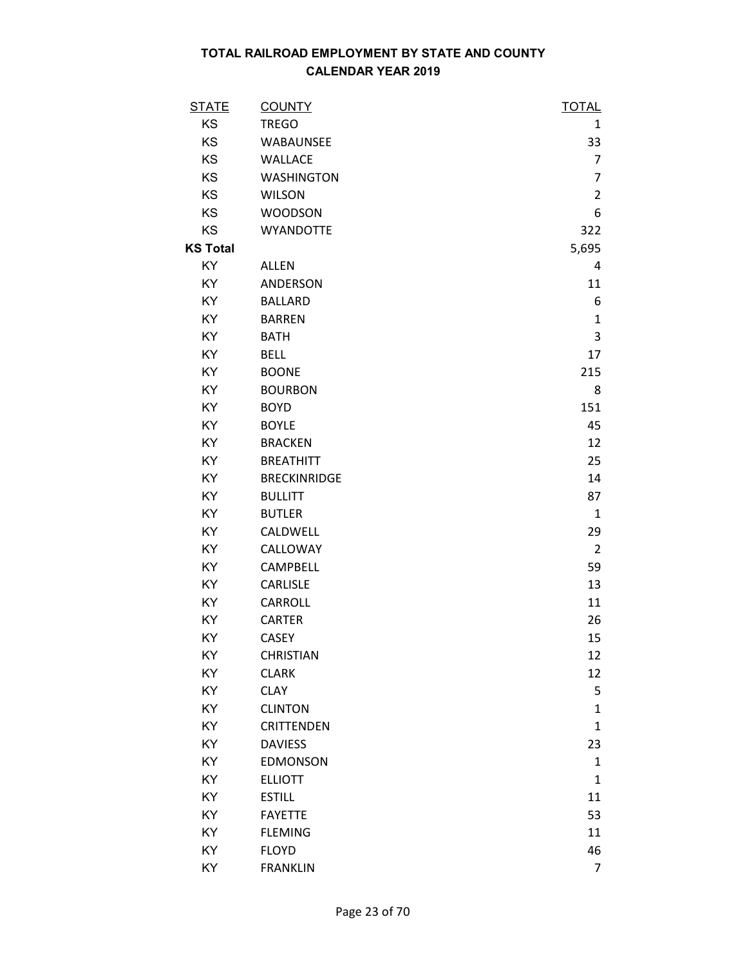| <b>STATE</b>    | <b>COUNTY</b>       | <b>TOTAL</b>   |
|-----------------|---------------------|----------------|
| KS              | <b>TREGO</b>        | 1              |
| KS              | WABAUNSEE           | 33             |
| KS              | <b>WALLACE</b>      | $\overline{7}$ |
| KS              | <b>WASHINGTON</b>   | $\overline{7}$ |
| KS              | <b>WILSON</b>       | $\overline{2}$ |
| KS              | <b>WOODSON</b>      | 6              |
| KS              | <b>WYANDOTTE</b>    | 322            |
| <b>KS Total</b> |                     | 5,695          |
| KY              | <b>ALLEN</b>        | 4              |
| KY              | ANDERSON            | 11             |
| KY              | <b>BALLARD</b>      | 6              |
| KY              | <b>BARREN</b>       | $\mathbf{1}$   |
| KY              | <b>BATH</b>         | 3              |
| KY              | <b>BELL</b>         | 17             |
| KY              | <b>BOONE</b>        | 215            |
| KY              | <b>BOURBON</b>      | 8              |
| KY              | <b>BOYD</b>         | 151            |
| KY              | <b>BOYLE</b>        | 45             |
| KY              | <b>BRACKEN</b>      | 12             |
| KY              | <b>BREATHITT</b>    | 25             |
| KY              | <b>BRECKINRIDGE</b> | 14             |
| KY              | <b>BULLITT</b>      | 87             |
| KY              | <b>BUTLER</b>       | $\mathbf{1}$   |
| KY              | CALDWELL            | 29             |
| KY              | CALLOWAY            | $\overline{2}$ |
| KY              | CAMPBELL            | 59             |
| KY              | CARLISLE            | 13             |
| KY              | CARROLL             | 11             |
| KY              | <b>CARTER</b>       | 26             |
| KY              | <b>CASEY</b>        | 15             |
| KY              | <b>CHRISTIAN</b>    | 12             |
| KY              | <b>CLARK</b>        | 12             |
| KY              | <b>CLAY</b>         | 5              |
| KY              | <b>CLINTON</b>      | 1              |
| KY              | <b>CRITTENDEN</b>   | $\mathbf{1}$   |
| KY              | <b>DAVIESS</b>      | 23             |
| KY              | <b>EDMONSON</b>     | $\mathbf{1}$   |
| KY              | <b>ELLIOTT</b>      | $\mathbf{1}$   |
| KY              | <b>ESTILL</b>       | 11             |
| KY              | <b>FAYETTE</b>      | 53             |
| KY              | <b>FLEMING</b>      | 11             |
| KY              | <b>FLOYD</b>        | 46             |
| KY              | <b>FRANKLIN</b>     | $\overline{7}$ |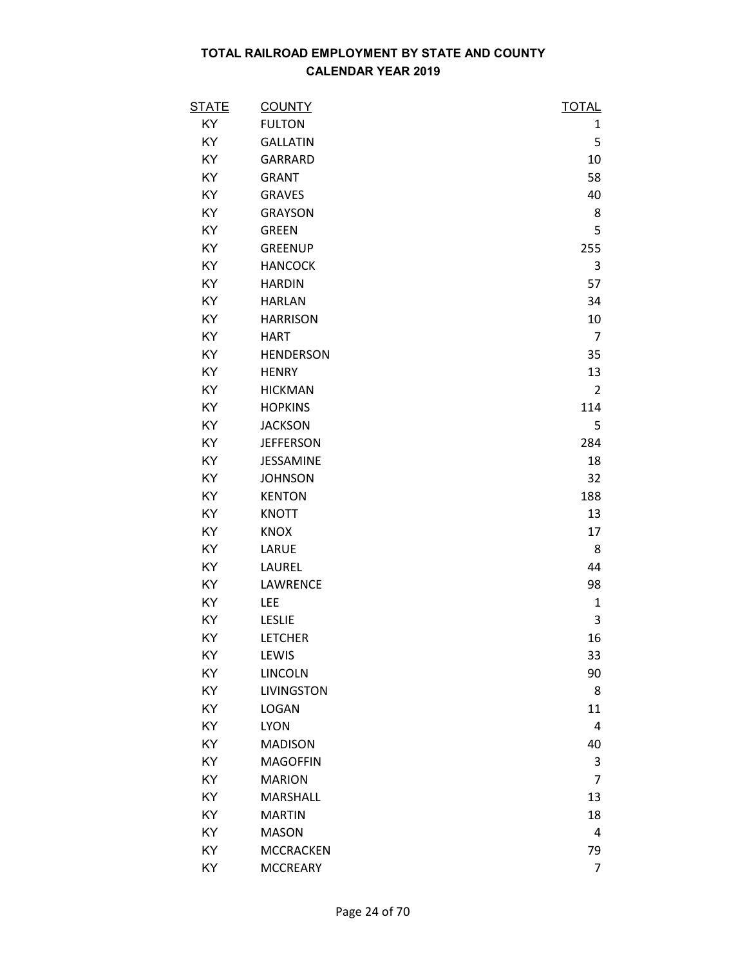| <b>STATE</b> | <b>COUNTY</b>     | <b>TOTAL</b>   |
|--------------|-------------------|----------------|
| KY           | <b>FULTON</b>     | 1              |
| KY           | <b>GALLATIN</b>   | 5              |
| KY           | <b>GARRARD</b>    | 10             |
| KY           | <b>GRANT</b>      | 58             |
| KY           | <b>GRAVES</b>     | 40             |
| KY           | <b>GRAYSON</b>    | 8              |
| KY           | <b>GREEN</b>      | 5              |
| KY           | <b>GREENUP</b>    | 255            |
| KY           | <b>HANCOCK</b>    | 3              |
| KY           | <b>HARDIN</b>     | 57             |
| KY           | <b>HARLAN</b>     | 34             |
| KY           | <b>HARRISON</b>   | 10             |
| KY           | <b>HART</b>       | $\overline{7}$ |
| KY           | <b>HENDERSON</b>  | 35             |
| KY           | <b>HENRY</b>      | 13             |
| KY           | <b>HICKMAN</b>    | $\overline{2}$ |
| KY           | <b>HOPKINS</b>    | 114            |
| KY           | <b>JACKSON</b>    | 5              |
| KY           | <b>JEFFERSON</b>  | 284            |
| KY           | JESSAMINE         | 18             |
| KY           | <b>JOHNSON</b>    | 32             |
| KY           | <b>KENTON</b>     | 188            |
| KY           | <b>KNOTT</b>      | 13             |
| KY           | <b>KNOX</b>       | 17             |
| KY           | LARUE             | 8              |
| KY           | LAUREL            | 44             |
| KY           | LAWRENCE          | 98             |
| KY           | LEE               | $\mathbf{1}$   |
| KY           | <b>LESLIE</b>     | 3              |
| KY           | <b>LETCHER</b>    | 16             |
| KY           | LEWIS             | 33             |
| KY           | <b>LINCOLN</b>    | 90             |
| KY           | <b>LIVINGSTON</b> | 8              |
| KY           | <b>LOGAN</b>      | 11             |
| KY           | <b>LYON</b>       | 4              |
| KY           | <b>MADISON</b>    | 40             |
| KY           | <b>MAGOFFIN</b>   | 3              |
| KY           | <b>MARION</b>     | $\overline{7}$ |
| KY           | <b>MARSHALL</b>   | 13             |
| KY           | <b>MARTIN</b>     | 18             |
| KY           | <b>MASON</b>      | 4              |
| KY           | <b>MCCRACKEN</b>  | 79             |
| KY           | <b>MCCREARY</b>   | 7              |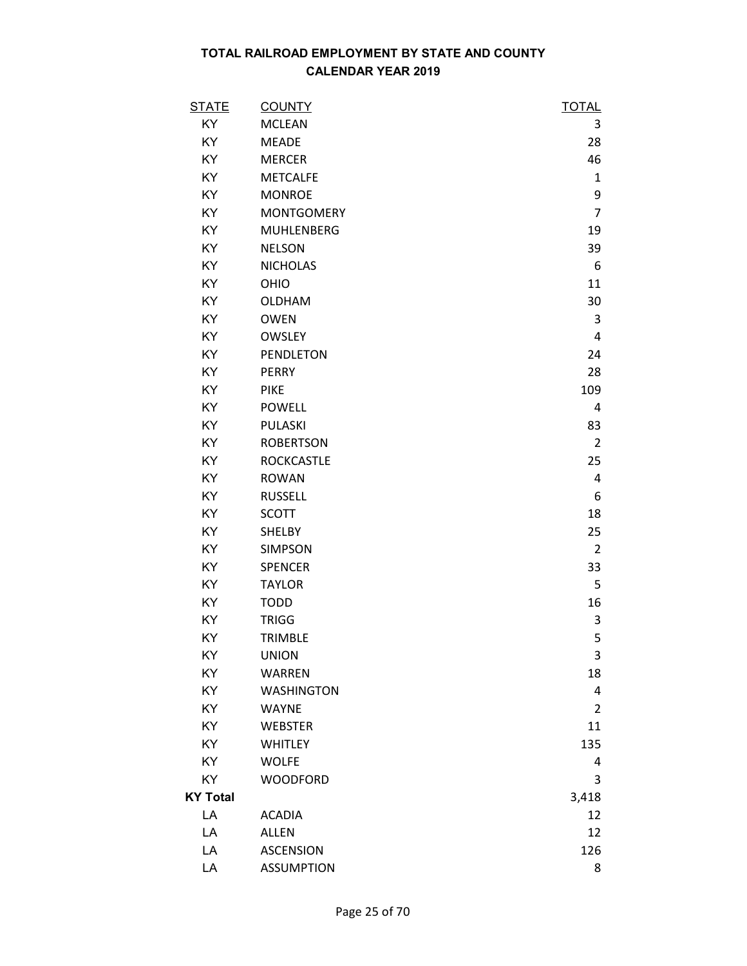| <b>STATE</b>    | <b>COUNTY</b>     | <b>TOTAL</b>   |
|-----------------|-------------------|----------------|
| KY              | <b>MCLEAN</b>     | 3              |
| KY              | <b>MEADE</b>      | 28             |
| KY              | <b>MERCER</b>     | 46             |
| KY              | <b>METCALFE</b>   | $\mathbf{1}$   |
| KY              | <b>MONROE</b>     | 9              |
| KY              | <b>MONTGOMERY</b> | $\overline{7}$ |
| KY              | <b>MUHLENBERG</b> | 19             |
| KY              | <b>NELSON</b>     | 39             |
| KY              | <b>NICHOLAS</b>   | 6              |
| KY              | OHIO              | 11             |
| KY              | <b>OLDHAM</b>     | 30             |
| KY              | <b>OWEN</b>       | 3              |
| KY              | <b>OWSLEY</b>     | 4              |
| KY              | PENDLETON         | 24             |
| KY              | <b>PERRY</b>      | 28             |
| KY              | <b>PIKE</b>       | 109            |
| KY              | <b>POWELL</b>     | 4              |
| KY              | PULASKI           | 83             |
| KY              | <b>ROBERTSON</b>  | $\overline{2}$ |
| KY              | <b>ROCKCASTLE</b> | 25             |
| KY              | <b>ROWAN</b>      | 4              |
| KY              | <b>RUSSELL</b>    | 6              |
| KY              | <b>SCOTT</b>      | 18             |
| KY              | <b>SHELBY</b>     | 25             |
| KY              | <b>SIMPSON</b>    | $\overline{2}$ |
| KY              | <b>SPENCER</b>    | 33             |
| KY              | <b>TAYLOR</b>     | 5              |
| KY              | <b>TODD</b>       | 16             |
| KY              | <b>TRIGG</b>      | 3              |
| KY              | <b>TRIMBLE</b>    | 5              |
| KY              | <b>UNION</b>      | 3              |
| KY              | <b>WARREN</b>     | 18             |
| KY              | <b>WASHINGTON</b> | 4              |
| KY              | <b>WAYNE</b>      | $\overline{2}$ |
| KY              | <b>WEBSTER</b>    | 11             |
| KY              | <b>WHITLEY</b>    | 135            |
| KY              | <b>WOLFE</b>      | 4              |
| KY              | <b>WOODFORD</b>   | 3              |
| <b>KY Total</b> |                   | 3,418          |
| LA              | <b>ACADIA</b>     | 12             |
| LA              | <b>ALLEN</b>      | 12             |
| LA              | <b>ASCENSION</b>  | 126            |
| LA              | <b>ASSUMPTION</b> | 8              |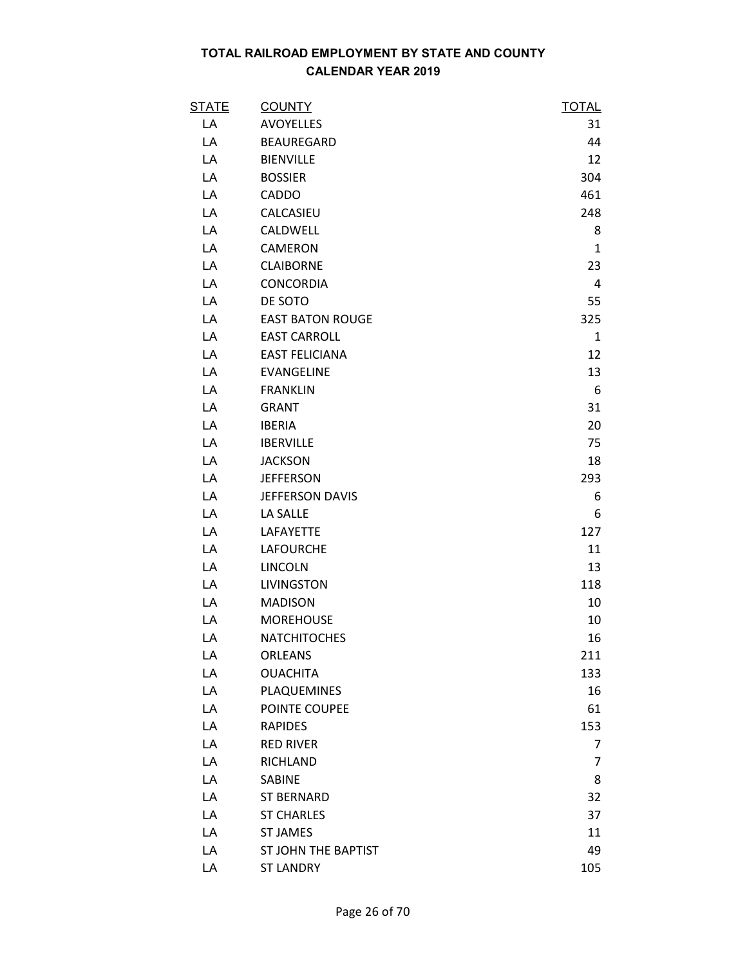| <b>STATE</b> | <b>COUNTY</b>           | <b>TOTAL</b>   |
|--------------|-------------------------|----------------|
| LA           | <b>AVOYELLES</b>        | 31             |
| LA           | <b>BEAUREGARD</b>       | 44             |
| LA           | <b>BIENVILLE</b>        | 12             |
| LA           | <b>BOSSIER</b>          | 304            |
| LA           | <b>CADDO</b>            | 461            |
| LA           | CALCASIEU               | 248            |
| LA           | CALDWELL                | 8              |
| LA           | CAMERON                 | $\mathbf{1}$   |
| LA           | <b>CLAIBORNE</b>        | 23             |
| LA           | <b>CONCORDIA</b>        | 4              |
| LA           | DE SOTO                 | 55             |
| LA           | <b>EAST BATON ROUGE</b> | 325            |
| LA           | <b>EAST CARROLL</b>     | $\mathbf{1}$   |
| LA           | <b>EAST FELICIANA</b>   | 12             |
| LA           | <b>EVANGELINE</b>       | 13             |
| LA           | <b>FRANKLIN</b>         | 6              |
| LA           | <b>GRANT</b>            | 31             |
| LA           | <b>IBERIA</b>           | 20             |
| LA           | <b>IBERVILLE</b>        | 75             |
| LA           | <b>JACKSON</b>          | 18             |
| LA           | <b>JEFFERSON</b>        | 293            |
| LA           | JEFFERSON DAVIS         | 6              |
| LA           | LA SALLE                | 6              |
| LA           | LAFAYETTE               | 127            |
| LA           | <b>LAFOURCHE</b>        | 11             |
| LA           | <b>LINCOLN</b>          | 13             |
| LA           | <b>LIVINGSTON</b>       | 118            |
| LA           | <b>MADISON</b>          | 10             |
| LA           | <b>MOREHOUSE</b>        | 10             |
| LA           | <b>NATCHITOCHES</b>     | 16             |
| LA           | <b>ORLEANS</b>          | 211            |
| LA           | <b>OUACHITA</b>         | 133            |
| LA           | PLAQUEMINES             | 16             |
| LA           | POINTE COUPEE           | 61             |
| LA           | <b>RAPIDES</b>          | 153            |
| LA           | <b>RED RIVER</b>        | 7              |
| LA           | <b>RICHLAND</b>         | $\overline{7}$ |
| LA           | <b>SABINE</b>           | 8              |
| LA           | <b>ST BERNARD</b>       | 32             |
| LA           | <b>ST CHARLES</b>       | 37             |
| LA           | <b>ST JAMES</b>         | 11             |
| LA           | ST JOHN THE BAPTIST     | 49             |
| LA           | <b>ST LANDRY</b>        | 105            |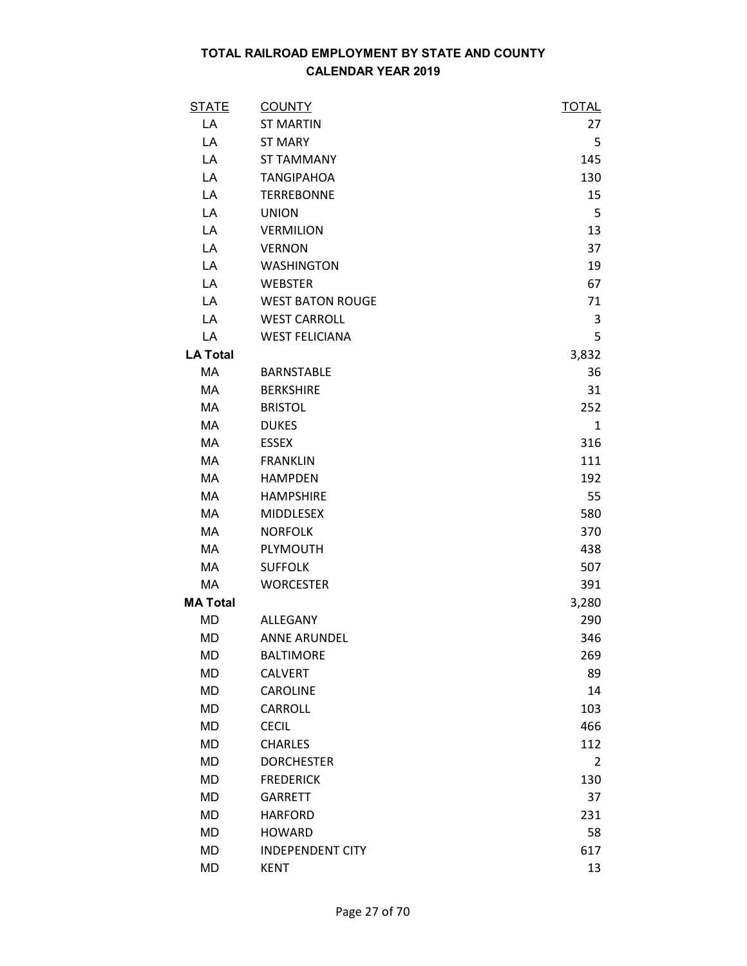| <b>STATE</b>    | <b>COUNTY</b>           | <b>TOTAL</b>   |
|-----------------|-------------------------|----------------|
| LA              | <b>ST MARTIN</b>        | 27             |
| LA              | <b>ST MARY</b>          | 5              |
| LA              | <b>ST TAMMANY</b>       | 145            |
| LA              | <b>TANGIPAHOA</b>       | 130            |
| LA              | <b>TERREBONNE</b>       | 15             |
| LA              | <b>UNION</b>            | 5              |
| LA              | <b>VERMILION</b>        | 13             |
| LA              | <b>VERNON</b>           | 37             |
| LA              | <b>WASHINGTON</b>       | 19             |
| LA              | <b>WEBSTER</b>          | 67             |
| LA              | <b>WEST BATON ROUGE</b> | 71             |
| LA              | <b>WEST CARROLL</b>     | 3              |
| LA              | <b>WEST FELICIANA</b>   | 5              |
| <b>LA Total</b> |                         | 3,832          |
| MA              | <b>BARNSTABLE</b>       | 36             |
| MA              | <b>BERKSHIRE</b>        | 31             |
| MA              | <b>BRISTOL</b>          | 252            |
| MA              | <b>DUKES</b>            | $\mathbf{1}$   |
| MA              | <b>ESSEX</b>            | 316            |
| MA              | <b>FRANKLIN</b>         | 111            |
| МA              | <b>HAMPDEN</b>          | 192            |
| MA              | <b>HAMPSHIRE</b>        | 55             |
| MA              | <b>MIDDLESEX</b>        | 580            |
| MA              | <b>NORFOLK</b>          | 370            |
| MA              | PLYMOUTH                | 438            |
| МA              | <b>SUFFOLK</b>          | 507            |
| МA              | <b>WORCESTER</b>        | 391            |
| <b>MA Total</b> |                         | 3,280          |
| MD              | ALLEGANY                | 290            |
| <b>MD</b>       | <b>ANNE ARUNDEL</b>     | 346            |
| MD              | <b>BALTIMORE</b>        | 269            |
| MD              | <b>CALVERT</b>          | 89             |
| MD              | <b>CAROLINE</b>         | 14             |
| <b>MD</b>       | <b>CARROLL</b>          | 103            |
| <b>MD</b>       | <b>CECIL</b>            | 466            |
| MD              | <b>CHARLES</b>          | 112            |
| MD              | <b>DORCHESTER</b>       | $\overline{2}$ |
| <b>MD</b>       | <b>FREDERICK</b>        | 130            |
| MD              | <b>GARRETT</b>          | 37             |
| MD              | <b>HARFORD</b>          | 231            |
| <b>MD</b>       | <b>HOWARD</b>           | 58             |
| MD              | <b>INDEPENDENT CITY</b> | 617            |
| <b>MD</b>       | <b>KENT</b>             | 13             |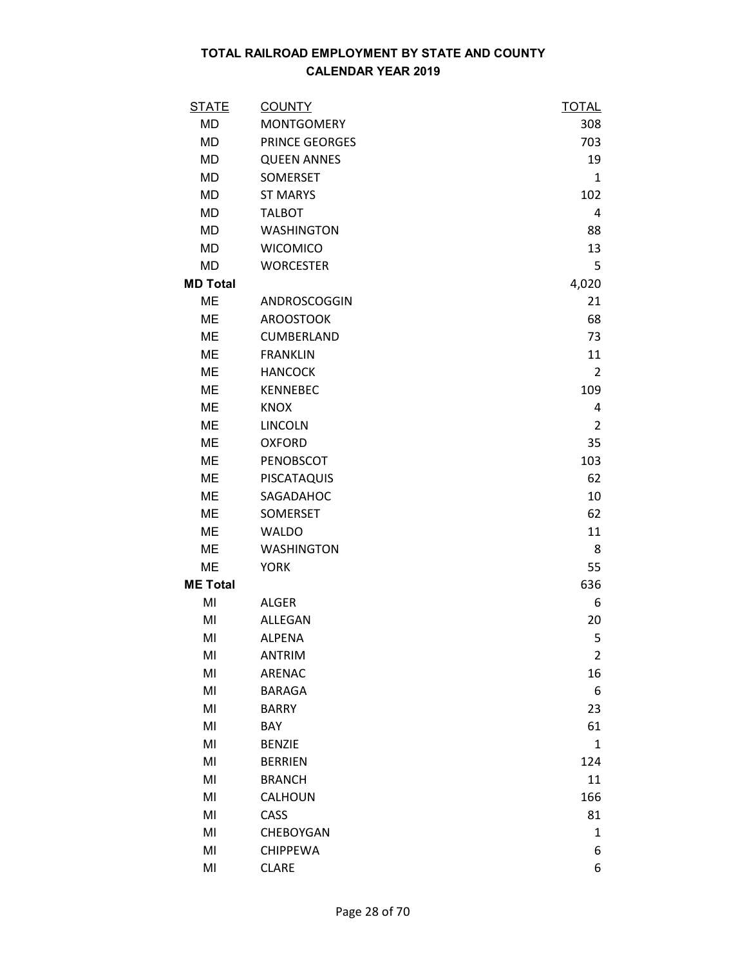| <u>STATE</u>    | <b>COUNTY</b>      | <b>TOTAL</b>   |
|-----------------|--------------------|----------------|
| <b>MD</b>       | <b>MONTGOMERY</b>  | 308            |
| MD              | PRINCE GEORGES     | 703            |
| MD              | <b>QUEEN ANNES</b> | 19             |
| MD              | SOMERSET           | $\mathbf{1}$   |
| <b>MD</b>       | <b>ST MARYS</b>    | 102            |
| MD              | <b>TALBOT</b>      | 4              |
| MD              | <b>WASHINGTON</b>  | 88             |
| MD              | <b>WICOMICO</b>    | 13             |
| MD              | <b>WORCESTER</b>   | 5              |
| <b>MD Total</b> |                    | 4,020          |
| ME              | ANDROSCOGGIN       | 21             |
| ME              | <b>AROOSTOOK</b>   | 68             |
| <b>ME</b>       | CUMBERLAND         | 73             |
| ME              | <b>FRANKLIN</b>    | 11             |
| ME              | <b>HANCOCK</b>     | $\overline{2}$ |
| ME              | <b>KENNEBEC</b>    | 109            |
| ME              | <b>KNOX</b>        | 4              |
| ME              | <b>LINCOLN</b>     | 2              |
| ME              | <b>OXFORD</b>      | 35             |
| <b>ME</b>       | PENOBSCOT          | 103            |
| ME              | PISCATAQUIS        | 62             |
| ME              | SAGADAHOC          | 10             |
| ME              | <b>SOMERSET</b>    | 62             |
| ME              | <b>WALDO</b>       | 11             |
| ME              | <b>WASHINGTON</b>  | 8              |
| ME              | <b>YORK</b>        | 55             |
| <b>ME Total</b> |                    | 636            |
| MI              | <b>ALGER</b>       | 6              |
| MI              | <b>ALLEGAN</b>     | 20             |
| MI              | <b>ALPENA</b>      | 5              |
| MI              | <b>ANTRIM</b>      | $\overline{2}$ |
| MI              | ARENAC             | 16             |
| MI              | <b>BARAGA</b>      | 6              |
| MI              | <b>BARRY</b>       | 23             |
| MI              | <b>BAY</b>         | 61             |
| MI              | <b>BENZIE</b>      | 1              |
| MI              | <b>BERRIEN</b>     | 124            |
| MI              | <b>BRANCH</b>      | 11             |
| MI              | CALHOUN            | 166            |
| MI              | CASS               | 81             |
| MI              | CHEBOYGAN          | 1              |
| MI              | <b>CHIPPEWA</b>    | 6              |
| MI              | <b>CLARE</b>       | 6              |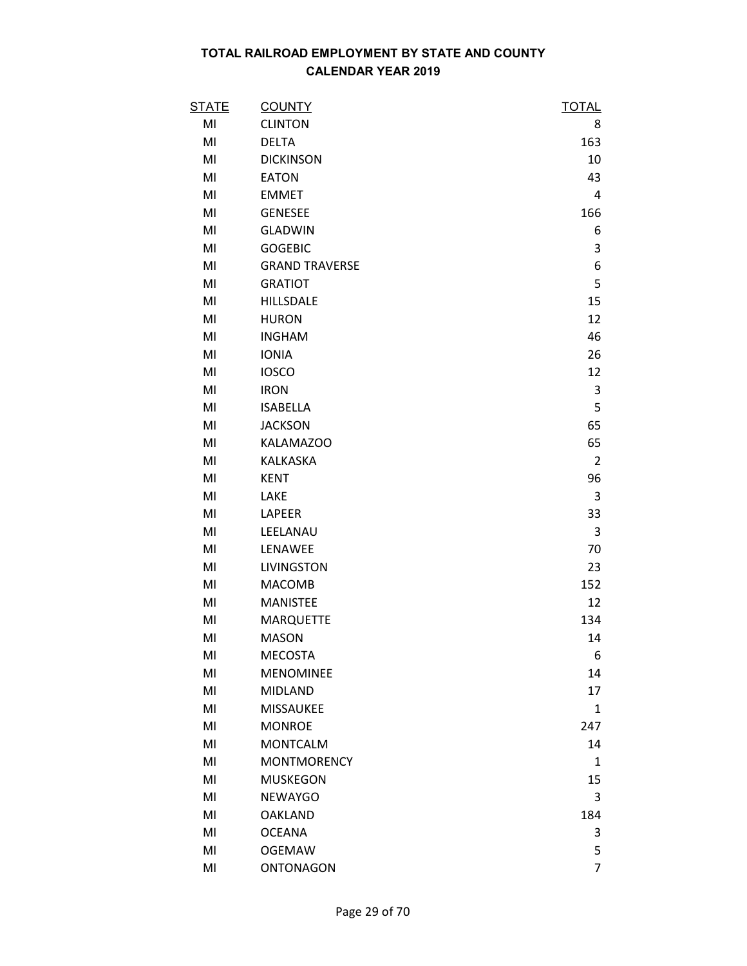| <b>STATE</b> | <b>COUNTY</b>         | <b>TOTAL</b>   |
|--------------|-----------------------|----------------|
| MI           | <b>CLINTON</b>        | 8              |
| MI           | <b>DELTA</b>          | 163            |
| MI           | <b>DICKINSON</b>      | 10             |
| MI           | <b>EATON</b>          | 43             |
| MI           | <b>EMMET</b>          | 4              |
| MI           | <b>GENESEE</b>        | 166            |
| MI           | <b>GLADWIN</b>        | 6              |
| MI           | <b>GOGEBIC</b>        | 3              |
| MI           | <b>GRAND TRAVERSE</b> | 6              |
| MI           | <b>GRATIOT</b>        | 5              |
| MI           | HILLSDALE             | 15             |
| MI           | <b>HURON</b>          | 12             |
| MI           | <b>INGHAM</b>         | 46             |
| MI           | <b>IONIA</b>          | 26             |
| MI           | <b>IOSCO</b>          | 12             |
| MI           | <b>IRON</b>           | 3              |
| MI           | <b>ISABELLA</b>       | 5              |
| MI           | <b>JACKSON</b>        | 65             |
| MI           | KALAMAZOO             | 65             |
| MI           | KALKASKA              | $\overline{2}$ |
| MI           | <b>KENT</b>           | 96             |
| MI           | LAKE                  | 3              |
| MI           | LAPEER                | 33             |
| MI           | LEELANAU              | 3              |
| MI           | LENAWEE               | 70             |
| MI           | <b>LIVINGSTON</b>     | 23             |
| MI           | <b>MACOMB</b>         | 152            |
| MI           | <b>MANISTEE</b>       | 12             |
| MI           | <b>MARQUETTE</b>      | 134            |
| MI           | <b>MASON</b>          | 14             |
| MI           | <b>MECOSTA</b>        | 6              |
| MI           | <b>MENOMINEE</b>      | 14             |
| MI           | <b>MIDLAND</b>        | 17             |
| MI           | <b>MISSAUKEE</b>      | $\mathbf{1}$   |
| MI           | <b>MONROE</b>         | 247            |
| MI           | <b>MONTCALM</b>       | 14             |
| MI           | <b>MONTMORENCY</b>    | $\mathbf{1}$   |
| MI           | <b>MUSKEGON</b>       | 15             |
| MI           | <b>NEWAYGO</b>        | 3              |
| MI           | <b>OAKLAND</b>        | 184            |
| MI           | <b>OCEANA</b>         | 3              |
| MI           | <b>OGEMAW</b>         | 5              |
| MI           | <b>ONTONAGON</b>      | 7              |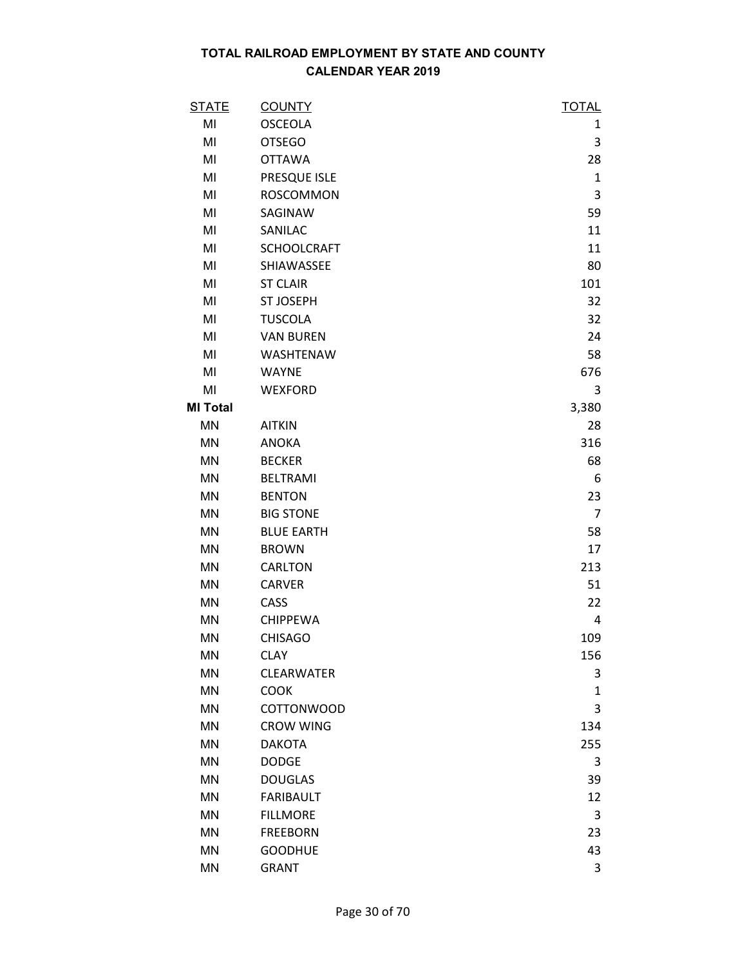| <b>STATE</b>    | <b>COUNTY</b>      | <b>TOTAL</b>   |
|-----------------|--------------------|----------------|
| MI              | <b>OSCEOLA</b>     | 1              |
| MI              | <b>OTSEGO</b>      | 3              |
| MI              | <b>OTTAWA</b>      | 28             |
| MI              | PRESQUE ISLE       | $\mathbf{1}$   |
| MI              | <b>ROSCOMMON</b>   | 3              |
| MI              | SAGINAW            | 59             |
| MI              | SANILAC            | 11             |
| MI              | <b>SCHOOLCRAFT</b> | 11             |
| MI              | SHIAWASSEE         | 80             |
| MI              | <b>ST CLAIR</b>    | 101            |
| MI              | <b>ST JOSEPH</b>   | 32             |
| MI              | <b>TUSCOLA</b>     | 32             |
| MI              | <b>VAN BUREN</b>   | 24             |
| MI              | WASHTENAW          | 58             |
| MI              | <b>WAYNE</b>       | 676            |
| MI              | <b>WEXFORD</b>     | 3              |
| <b>MI Total</b> |                    | 3,380          |
| <b>MN</b>       | <b>AITKIN</b>      | 28             |
| <b>MN</b>       | <b>ANOKA</b>       | 316            |
| <b>MN</b>       | <b>BECKER</b>      | 68             |
| <b>MN</b>       | <b>BELTRAMI</b>    | 6              |
| <b>MN</b>       | <b>BENTON</b>      | 23             |
| <b>MN</b>       | <b>BIG STONE</b>   | $\overline{7}$ |
| <b>MN</b>       | <b>BLUE EARTH</b>  | 58             |
| <b>MN</b>       | <b>BROWN</b>       | 17             |
| <b>MN</b>       | CARLTON            | 213            |
| <b>MN</b>       | <b>CARVER</b>      | 51             |
| <b>MN</b>       | CASS               | 22             |
| <b>MN</b>       | <b>CHIPPEWA</b>    | 4              |
| <b>MN</b>       | <b>CHISAGO</b>     | 109            |
| <b>MN</b>       | <b>CLAY</b>        | 156            |
| <b>MN</b>       | CLEARWATER         | 3              |
| <b>MN</b>       | <b>COOK</b>        | $\mathbf{1}$   |
| <b>MN</b>       | <b>COTTONWOOD</b>  | 3              |
| <b>MN</b>       | <b>CROW WING</b>   | 134            |
| <b>MN</b>       | <b>DAKOTA</b>      | 255            |
| <b>MN</b>       | <b>DODGE</b>       | 3              |
| <b>MN</b>       | <b>DOUGLAS</b>     | 39             |
| <b>MN</b>       | <b>FARIBAULT</b>   | 12             |
| <b>MN</b>       | <b>FILLMORE</b>    | 3              |
| <b>MN</b>       | <b>FREEBORN</b>    | 23             |
| <b>MN</b>       | <b>GOODHUE</b>     | 43             |
| <b>MN</b>       | <b>GRANT</b>       | 3              |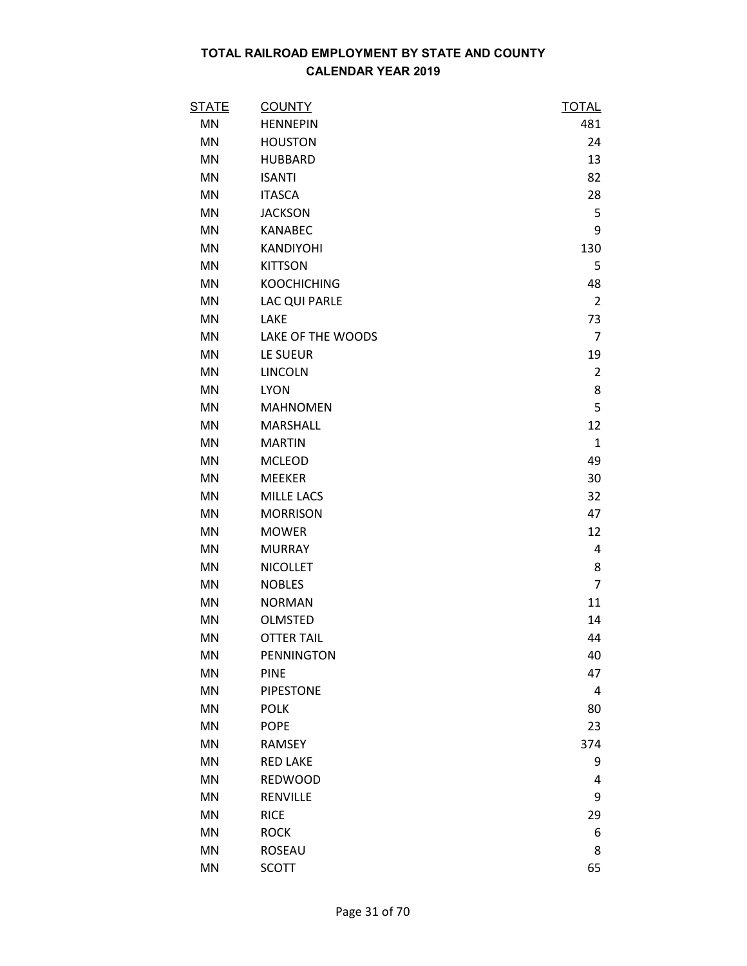| <b>STATE</b> | <b>COUNTY</b>      | <b>TOTAL</b>   |
|--------------|--------------------|----------------|
| MN           | <b>HENNEPIN</b>    | 481            |
| MN           | <b>HOUSTON</b>     | 24             |
| <b>MN</b>    | <b>HUBBARD</b>     | 13             |
| <b>MN</b>    | <b>ISANTI</b>      | 82             |
| <b>MN</b>    | <b>ITASCA</b>      | 28             |
| <b>MN</b>    | <b>JACKSON</b>     | 5              |
| <b>MN</b>    | <b>KANABEC</b>     | 9              |
| <b>MN</b>    | KANDIYOHI          | 130            |
| <b>MN</b>    | <b>KITTSON</b>     | 5              |
| <b>MN</b>    | <b>KOOCHICHING</b> | 48             |
| MN           | LAC QUI PARLE      | $\overline{2}$ |
| MN           | LAKE               | 73             |
| <b>MN</b>    | LAKE OF THE WOODS  | $\overline{7}$ |
| <b>MN</b>    | LE SUEUR           | 19             |
| MN           | <b>LINCOLN</b>     | $\overline{2}$ |
| <b>MN</b>    | <b>LYON</b>        | 8              |
| <b>MN</b>    | <b>MAHNOMEN</b>    | 5              |
| <b>MN</b>    | <b>MARSHALL</b>    | 12             |
| <b>MN</b>    | <b>MARTIN</b>      | $\mathbf{1}$   |
| MN           | <b>MCLEOD</b>      | 49             |
| MN           | <b>MEEKER</b>      | 30             |
| MN           | <b>MILLE LACS</b>  | 32             |
| <b>MN</b>    | <b>MORRISON</b>    | 47             |
| <b>MN</b>    | <b>MOWER</b>       | 12             |
| <b>MN</b>    | <b>MURRAY</b>      | 4              |
| <b>MN</b>    | <b>NICOLLET</b>    | 8              |
| <b>MN</b>    | <b>NOBLES</b>      | $\overline{7}$ |
| <b>MN</b>    | <b>NORMAN</b>      | 11             |
| <b>MN</b>    | OLMSTED            | 14             |
| <b>MN</b>    | <b>OTTER TAIL</b>  | 44             |
| MN           | <b>PENNINGTON</b>  | 40             |
| <b>MN</b>    | <b>PINE</b>        | 47             |
| MN           | <b>PIPESTONE</b>   | 4              |
| <b>MN</b>    | <b>POLK</b>        | 80             |
| <b>MN</b>    | <b>POPE</b>        | 23             |
| <b>MN</b>    | RAMSEY             | 374            |
| <b>MN</b>    | <b>RED LAKE</b>    | 9              |
| MN           | <b>REDWOOD</b>     | 4              |
| <b>MN</b>    | RENVILLE           | 9              |
| <b>MN</b>    | <b>RICE</b>        | 29             |
| <b>MN</b>    | <b>ROCK</b>        | 6              |
| MN           | ROSEAU             | 8              |
| MN           | <b>SCOTT</b>       | 65             |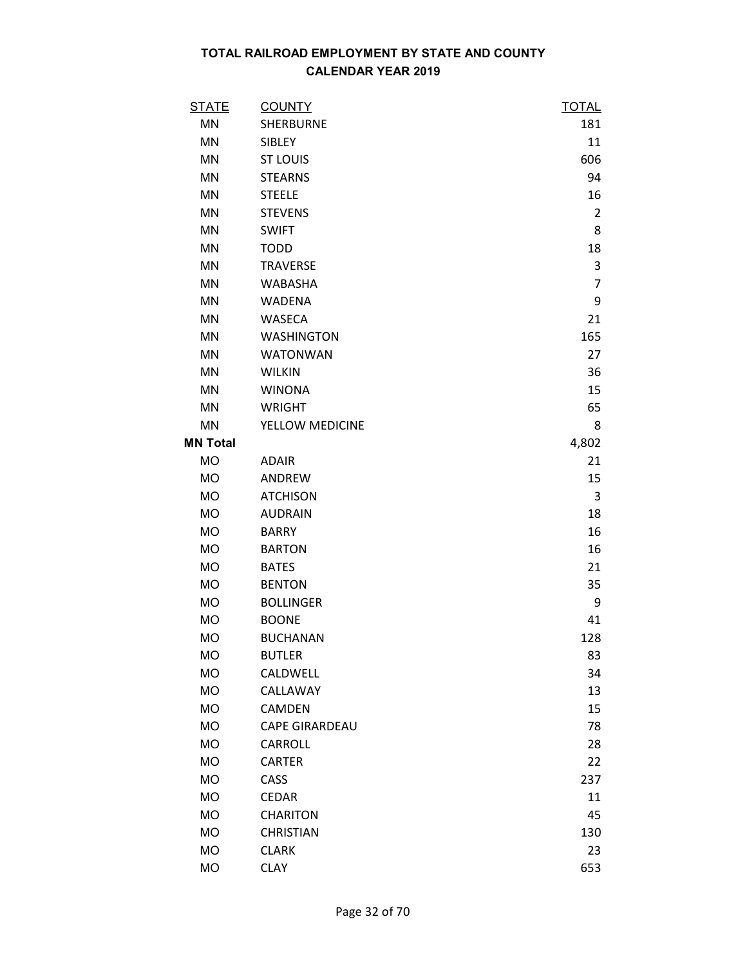| <b>STATE</b>    | <b>COUNTY</b>         | <b>TOTAL</b>   |
|-----------------|-----------------------|----------------|
| <b>MN</b>       | <b>SHERBURNE</b>      | 181            |
| <b>MN</b>       | SIBLEY                | 11             |
| MN              | <b>ST LOUIS</b>       | 606            |
| <b>MN</b>       | <b>STEARNS</b>        | 94             |
| <b>MN</b>       | <b>STEELE</b>         | 16             |
| <b>MN</b>       | <b>STEVENS</b>        | $\overline{2}$ |
| <b>MN</b>       | <b>SWIFT</b>          | 8              |
| MN              | <b>TODD</b>           | 18             |
| <b>MN</b>       | <b>TRAVERSE</b>       | 3              |
| MN              | <b>WABASHA</b>        | $\overline{7}$ |
| <b>MN</b>       | <b>WADENA</b>         | 9              |
| <b>MN</b>       | <b>WASECA</b>         | 21             |
| MN              | <b>WASHINGTON</b>     | 165            |
| <b>MN</b>       | <b>WATONWAN</b>       | 27             |
| <b>MN</b>       | <b>WILKIN</b>         | 36             |
| <b>MN</b>       | <b>WINONA</b>         | 15             |
| <b>MN</b>       | <b>WRIGHT</b>         | 65             |
| MN              | YELLOW MEDICINE       | 8              |
| <b>MN Total</b> |                       | 4,802          |
| <b>MO</b>       | <b>ADAIR</b>          | 21             |
| <b>MO</b>       | ANDREW                | 15             |
| <b>MO</b>       | <b>ATCHISON</b>       | 3              |
| <b>MO</b>       | <b>AUDRAIN</b>        | 18             |
| <b>MO</b>       | <b>BARRY</b>          | 16             |
| <b>MO</b>       | <b>BARTON</b>         | 16             |
| <b>MO</b>       | <b>BATES</b>          | 21             |
| <b>MO</b>       | <b>BENTON</b>         | 35             |
| MO              | <b>BOLLINGER</b>      | 9              |
| <b>MO</b>       | <b>BOONE</b>          | 41             |
| <b>MO</b>       | <b>BUCHANAN</b>       | 128            |
| <b>MO</b>       | <b>BUTLER</b>         | 83             |
| <b>MO</b>       | CALDWELL              | 34             |
| MO              | CALLAWAY              | 13             |
| <b>MO</b>       | CAMDEN                | 15             |
| <b>MO</b>       | <b>CAPE GIRARDEAU</b> | 78             |
| <b>MO</b>       | CARROLL               | 28             |
| <b>MO</b>       | <b>CARTER</b>         | 22             |
| <b>MO</b>       | CASS                  | 237            |
| <b>MO</b>       | <b>CEDAR</b>          | 11             |
| <b>MO</b>       | <b>CHARITON</b>       | 45             |
| <b>MO</b>       | <b>CHRISTIAN</b>      | 130            |
| <b>MO</b>       | <b>CLARK</b>          | 23             |
| <b>MO</b>       | <b>CLAY</b>           | 653            |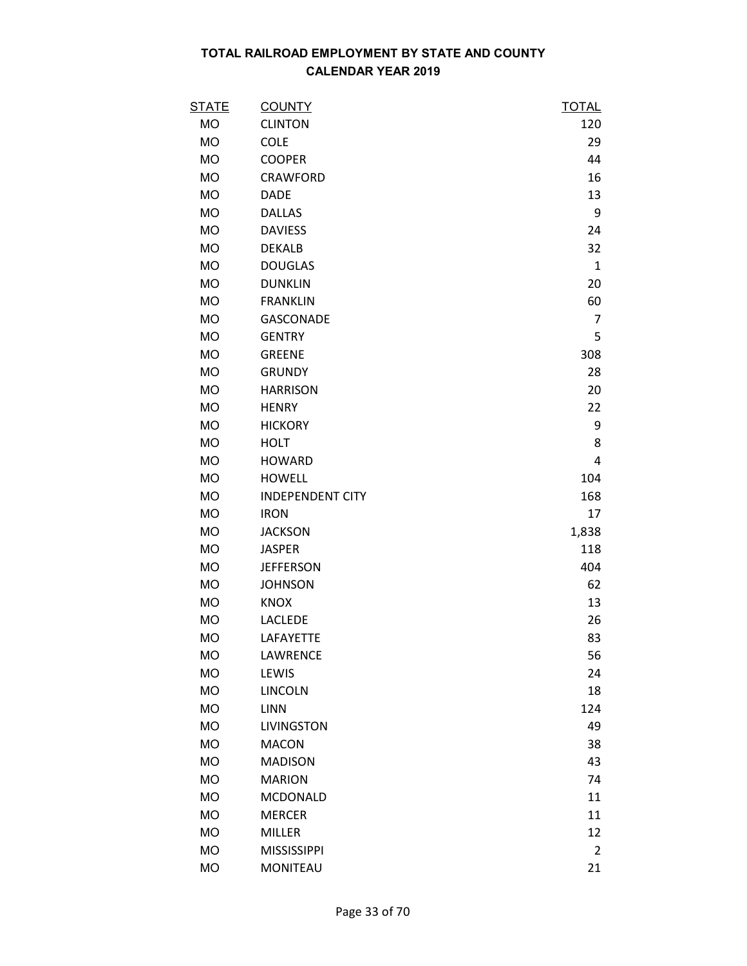| <u>STATE</u> | <b>COUNTY</b>           | <u>TOTAL</u>   |
|--------------|-------------------------|----------------|
| MO           | <b>CLINTON</b>          | 120            |
| MO           | <b>COLE</b>             | 29             |
| <b>MO</b>    | <b>COOPER</b>           | 44             |
| <b>MO</b>    | CRAWFORD                | 16             |
| <b>MO</b>    | <b>DADE</b>             | 13             |
| <b>MO</b>    | <b>DALLAS</b>           | 9              |
| MO           | <b>DAVIESS</b>          | 24             |
| <b>MO</b>    | <b>DEKALB</b>           | 32             |
| <b>MO</b>    | <b>DOUGLAS</b>          | $\mathbf{1}$   |
| <b>MO</b>    | <b>DUNKLIN</b>          | 20             |
| <b>MO</b>    | <b>FRANKLIN</b>         | 60             |
| <b>MO</b>    | <b>GASCONADE</b>        | 7              |
| <b>MO</b>    | <b>GENTRY</b>           | 5              |
| MO           | <b>GREENE</b>           | 308            |
| MO           | <b>GRUNDY</b>           | 28             |
| MO           | <b>HARRISON</b>         | 20             |
| <b>MO</b>    | <b>HENRY</b>            | 22             |
| <b>MO</b>    | <b>HICKORY</b>          | 9              |
| MO           | <b>HOLT</b>             | 8              |
| <b>MO</b>    | <b>HOWARD</b>           | 4              |
| MO           | <b>HOWELL</b>           | 104            |
| <b>MO</b>    | <b>INDEPENDENT CITY</b> | 168            |
| <b>MO</b>    | <b>IRON</b>             | 17             |
| <b>MO</b>    | <b>JACKSON</b>          | 1,838          |
| MO           | <b>JASPER</b>           | 118            |
| <b>MO</b>    | <b>JEFFERSON</b>        | 404            |
| <b>MO</b>    | <b>JOHNSON</b>          | 62             |
| MO           | <b>KNOX</b>             | 13             |
| <b>MO</b>    | LACLEDE                 | 26             |
| <b>MO</b>    | LAFAYETTE               | 83             |
| <b>MO</b>    | LAWRENCE                | 56             |
| MO           | LEWIS                   | 24             |
| MO           | <b>LINCOLN</b>          | 18             |
| <b>MO</b>    | <b>LINN</b>             | 124            |
| <b>MO</b>    | <b>LIVINGSTON</b>       | 49             |
| <b>MO</b>    | <b>MACON</b>            | 38             |
| <b>MO</b>    | <b>MADISON</b>          | 43             |
| <b>MO</b>    | <b>MARION</b>           | 74             |
| <b>MO</b>    | <b>MCDONALD</b>         | 11             |
| <b>MO</b>    | <b>MERCER</b>           | 11             |
| <b>MO</b>    | <b>MILLER</b>           | 12             |
| <b>MO</b>    | <b>MISSISSIPPI</b>      | $\overline{2}$ |
| <b>MO</b>    | <b>MONITEAU</b>         | 21             |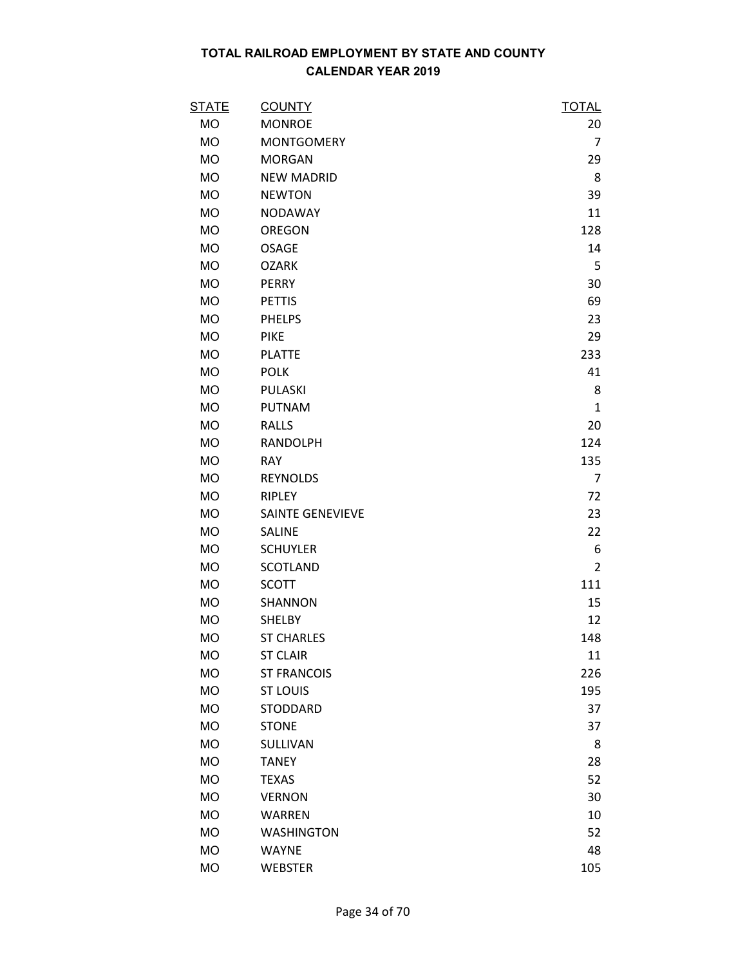| <b>STATE</b> | <b>COUNTY</b>           | <b>TOTAL</b>   |
|--------------|-------------------------|----------------|
| MO           | <b>MONROE</b>           | 20             |
| MO           | <b>MONTGOMERY</b>       | $\overline{7}$ |
| MO           | <b>MORGAN</b>           | 29             |
| <b>MO</b>    | <b>NEW MADRID</b>       | 8              |
| <b>MO</b>    | <b>NEWTON</b>           | 39             |
| <b>MO</b>    | <b>NODAWAY</b>          | 11             |
| MO           | OREGON                  | 128            |
| MO           | <b>OSAGE</b>            | 14             |
| <b>MO</b>    | <b>OZARK</b>            | 5              |
| MO           | <b>PERRY</b>            | 30             |
| MO           | <b>PETTIS</b>           | 69             |
| <b>MO</b>    | <b>PHELPS</b>           | 23             |
| <b>MO</b>    | <b>PIKE</b>             | 29             |
| MO           | <b>PLATTE</b>           | 233            |
| <b>MO</b>    | <b>POLK</b>             | 41             |
| <b>MO</b>    | PULASKI                 | 8              |
| <b>MO</b>    | <b>PUTNAM</b>           | $\mathbf{1}$   |
| <b>MO</b>    | <b>RALLS</b>            | 20             |
| <b>MO</b>    | RANDOLPH                | 124            |
| MO           | <b>RAY</b>              | 135            |
| MO           | <b>REYNOLDS</b>         | 7              |
| <b>MO</b>    | RIPLEY                  | 72             |
| <b>MO</b>    | <b>SAINTE GENEVIEVE</b> | 23             |
| <b>MO</b>    | <b>SALINE</b>           | 22             |
| <b>MO</b>    | <b>SCHUYLER</b>         | 6              |
| MO           | <b>SCOTLAND</b>         | $\overline{2}$ |
| <b>MO</b>    | <b>SCOTT</b>            | 111            |
| MO           | SHANNON                 | 15             |
| <b>MO</b>    | <b>SHELBY</b>           | 12             |
| <b>MO</b>    | <b>ST CHARLES</b>       | 148            |
| <b>MO</b>    | <b>ST CLAIR</b>         | 11             |
| <b>MO</b>    | <b>ST FRANCOIS</b>      | 226            |
| MO           | <b>ST LOUIS</b>         | 195            |
| <b>MO</b>    | <b>STODDARD</b>         | 37             |
| <b>MO</b>    | <b>STONE</b>            | 37             |
| <b>MO</b>    | <b>SULLIVAN</b>         | 8              |
| <b>MO</b>    | <b>TANEY</b>            | 28             |
| <b>MO</b>    | <b>TEXAS</b>            | 52             |
| <b>MO</b>    | <b>VERNON</b>           | 30             |
| <b>MO</b>    | <b>WARREN</b>           | 10             |
| <b>MO</b>    | <b>WASHINGTON</b>       | 52             |
| <b>MO</b>    | <b>WAYNE</b>            | 48             |
| <b>MO</b>    | <b>WEBSTER</b>          | 105            |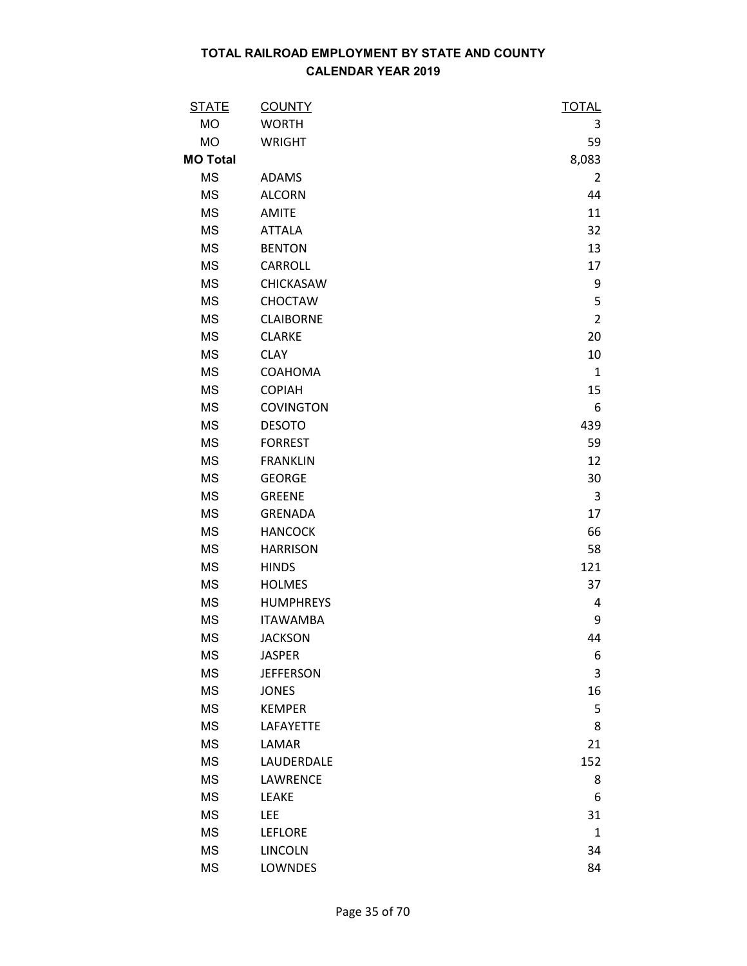| <b>STATE</b>    | <b>COUNTY</b>    | <b>TOTAL</b>   |
|-----------------|------------------|----------------|
| <b>MO</b>       | <b>WORTH</b>     | 3              |
| <b>MO</b>       | <b>WRIGHT</b>    | 59             |
| <b>MO Total</b> |                  | 8,083          |
| <b>MS</b>       | <b>ADAMS</b>     | $\overline{2}$ |
| <b>MS</b>       | <b>ALCORN</b>    | 44             |
| <b>MS</b>       | <b>AMITE</b>     | 11             |
| <b>MS</b>       | <b>ATTALA</b>    | 32             |
| <b>MS</b>       | <b>BENTON</b>    | 13             |
| <b>MS</b>       | <b>CARROLL</b>   | 17             |
| <b>MS</b>       | CHICKASAW        | 9              |
| <b>MS</b>       | <b>CHOCTAW</b>   | 5              |
| <b>MS</b>       | <b>CLAIBORNE</b> | $\overline{2}$ |
| <b>MS</b>       | <b>CLARKE</b>    | 20             |
| <b>MS</b>       | <b>CLAY</b>      | 10             |
| <b>MS</b>       | COAHOMA          | $\mathbf{1}$   |
| <b>MS</b>       | <b>COPIAH</b>    | 15             |
| <b>MS</b>       | <b>COVINGTON</b> | 6              |
| <b>MS</b>       | <b>DESOTO</b>    | 439            |
| <b>MS</b>       | <b>FORREST</b>   | 59             |
| <b>MS</b>       | <b>FRANKLIN</b>  | 12             |
| <b>MS</b>       | <b>GEORGE</b>    | 30             |
| <b>MS</b>       | <b>GREENE</b>    | 3              |
| <b>MS</b>       | <b>GRENADA</b>   | 17             |
| <b>MS</b>       | <b>HANCOCK</b>   | 66             |
| <b>MS</b>       | <b>HARRISON</b>  | 58             |
| <b>MS</b>       | <b>HINDS</b>     | 121            |
| <b>MS</b>       | <b>HOLMES</b>    | 37             |
| <b>MS</b>       | <b>HUMPHREYS</b> | 4              |
| <b>MS</b>       | <b>ITAWAMBA</b>  | 9              |
| <b>MS</b>       | <b>JACKSON</b>   | 44             |
| <b>MS</b>       | <b>JASPER</b>    | 6              |
| <b>MS</b>       | <b>JEFFERSON</b> | 3              |
| <b>MS</b>       | <b>JONES</b>     | 16             |
| <b>MS</b>       | <b>KEMPER</b>    | 5              |
| <b>MS</b>       | LAFAYETTE        | 8              |
| <b>MS</b>       | LAMAR            | 21             |
| <b>MS</b>       | LAUDERDALE       | 152            |
| <b>MS</b>       | LAWRENCE         | 8              |
| <b>MS</b>       | LEAKE            | 6              |
| <b>MS</b>       | LEE              | 31             |
| <b>MS</b>       | <b>LEFLORE</b>   | $\mathbf{1}$   |
| <b>MS</b>       | <b>LINCOLN</b>   | 34             |
| <b>MS</b>       | LOWNDES          | 84             |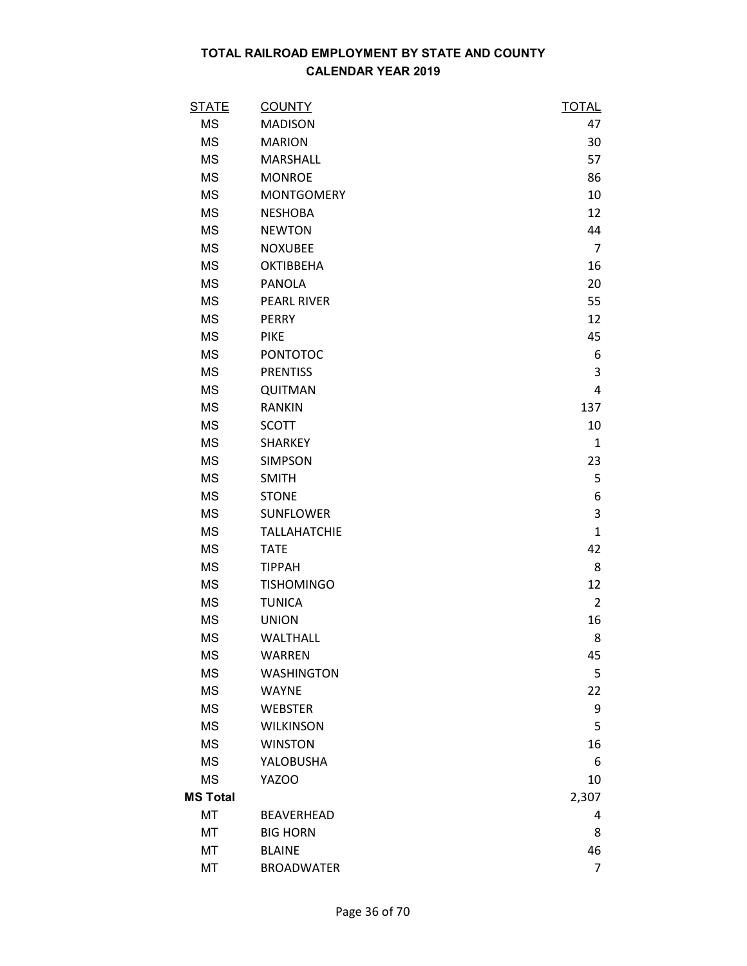| <b>STATE</b>    | <b>COUNTY</b>       | <b>TOTAL</b>   |
|-----------------|---------------------|----------------|
| <b>MS</b>       | <b>MADISON</b>      | 47             |
| <b>MS</b>       | <b>MARION</b>       | 30             |
| <b>MS</b>       | <b>MARSHALL</b>     | 57             |
| <b>MS</b>       | <b>MONROE</b>       | 86             |
| <b>MS</b>       | <b>MONTGOMERY</b>   | 10             |
| <b>MS</b>       | <b>NESHOBA</b>      | 12             |
| <b>MS</b>       | <b>NEWTON</b>       | 44             |
| <b>MS</b>       | <b>NOXUBEE</b>      | $\overline{7}$ |
| <b>MS</b>       | <b>OKTIBBEHA</b>    | 16             |
| <b>MS</b>       | PANOLA              | 20             |
| <b>MS</b>       | <b>PEARL RIVER</b>  | 55             |
| <b>MS</b>       | <b>PERRY</b>        | 12             |
| <b>MS</b>       | <b>PIKE</b>         | 45             |
| <b>MS</b>       | <b>PONTOTOC</b>     | 6              |
| <b>MS</b>       | <b>PRENTISS</b>     | 3              |
| <b>MS</b>       | QUITMAN             | 4              |
| <b>MS</b>       | <b>RANKIN</b>       | 137            |
| <b>MS</b>       | <b>SCOTT</b>        | 10             |
| MS              | <b>SHARKEY</b>      | $\mathbf{1}$   |
| <b>MS</b>       | <b>SIMPSON</b>      | 23             |
| <b>MS</b>       | <b>SMITH</b>        | 5              |
| <b>MS</b>       | <b>STONE</b>        | 6              |
| <b>MS</b>       | <b>SUNFLOWER</b>    | 3              |
| <b>MS</b>       | <b>TALLAHATCHIE</b> | $\mathbf{1}$   |
| <b>MS</b>       | <b>TATE</b>         | 42             |
| <b>MS</b>       | <b>TIPPAH</b>       | 8              |
| <b>MS</b>       | <b>TISHOMINGO</b>   | 12             |
| <b>MS</b>       | <b>TUNICA</b>       | $\overline{2}$ |
| <b>MS</b>       | <b>UNION</b>        | 16             |
| <b>MS</b>       | WALTHALL            | 8              |
| <b>MS</b>       | <b>WARREN</b>       | 45             |
| <b>MS</b>       | <b>WASHINGTON</b>   | 5              |
| MS              | <b>WAYNE</b>        | 22             |
| <b>MS</b>       | <b>WEBSTER</b>      | 9              |
| <b>MS</b>       | <b>WILKINSON</b>    | 5              |
| <b>MS</b>       | <b>WINSTON</b>      | 16             |
| <b>MS</b>       | YALOBUSHA           | 6              |
| MS              | YAZOO               | 10             |
| <b>MS Total</b> |                     | 2,307          |
| МT              | <b>BEAVERHEAD</b>   | 4              |
| МT              | <b>BIG HORN</b>     | 8              |
| МT              | <b>BLAINE</b>       | 46             |
| MT              | <b>BROADWATER</b>   | 7              |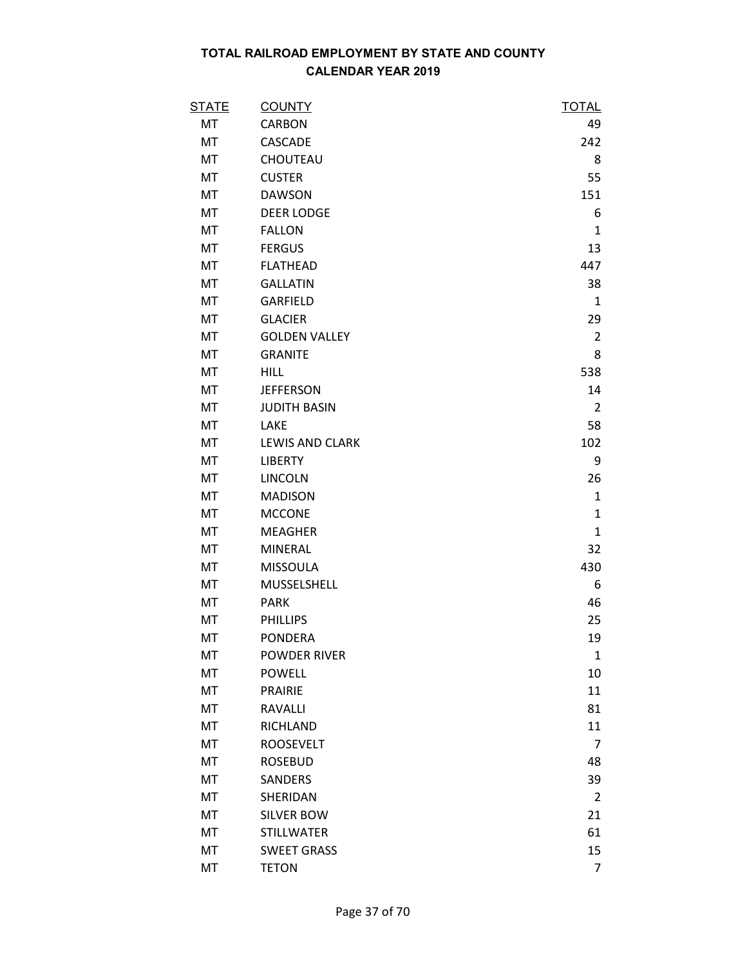| <b>STATE</b> | <b>COUNTY</b>          | <b>TOTAL</b>   |
|--------------|------------------------|----------------|
| МT           | CARBON                 | 49             |
| МT           | CASCADE                | 242            |
| МT           | CHOUTEAU               | 8              |
| МT           | <b>CUSTER</b>          | 55             |
| МT           | <b>DAWSON</b>          | 151            |
| MT           | <b>DEER LODGE</b>      | 6              |
| МT           | <b>FALLON</b>          | 1              |
| MT           | <b>FERGUS</b>          | 13             |
| MT           | <b>FLATHEAD</b>        | 447            |
| МT           | <b>GALLATIN</b>        | 38             |
| МT           | GARFIELD               | $\mathbf{1}$   |
| МT           | <b>GLACIER</b>         | 29             |
| MT           | <b>GOLDEN VALLEY</b>   | $\overline{2}$ |
| МT           | <b>GRANITE</b>         | 8              |
| МT           | <b>HILL</b>            | 538            |
| МT           | <b>JEFFERSON</b>       | 14             |
| МT           | <b>JUDITH BASIN</b>    | 2              |
| MT           | <b>LAKE</b>            | 58             |
| МT           | <b>LEWIS AND CLARK</b> | 102            |
| MT           | <b>LIBERTY</b>         | 9              |
| МT           | <b>LINCOLN</b>         | 26             |
| МT           | <b>MADISON</b>         | $\mathbf{1}$   |
| MT           | <b>MCCONE</b>          | $\mathbf{1}$   |
| МT           | <b>MEAGHER</b>         | $\mathbf{1}$   |
| MT           | <b>MINERAL</b>         | 32             |
| МT           | <b>MISSOULA</b>        | 430            |
| МT           | MUSSELSHELL            | 6              |
| МT           | <b>PARK</b>            | 46             |
| МT           | <b>PHILLIPS</b>        | 25             |
| МT           | <b>PONDERA</b>         | 19             |
| МT           | <b>POWDER RIVER</b>    | $\mathbf{1}$   |
| MT           | <b>POWELL</b>          | 10             |
| MT           | <b>PRAIRIE</b>         | 11             |
| МT           | <b>RAVALLI</b>         | 81             |
| МT           | RICHLAND               | 11             |
| МT           | <b>ROOSEVELT</b>       | $\overline{7}$ |
| MT           | <b>ROSEBUD</b>         | 48             |
| МT           | <b>SANDERS</b>         | 39             |
| МT           | SHERIDAN               | $\overline{2}$ |
| МT           | <b>SILVER BOW</b>      | 21             |
| МT           | <b>STILLWATER</b>      | 61             |
| MT           | <b>SWEET GRASS</b>     | 15             |
| МT           | <b>TETON</b>           | 7              |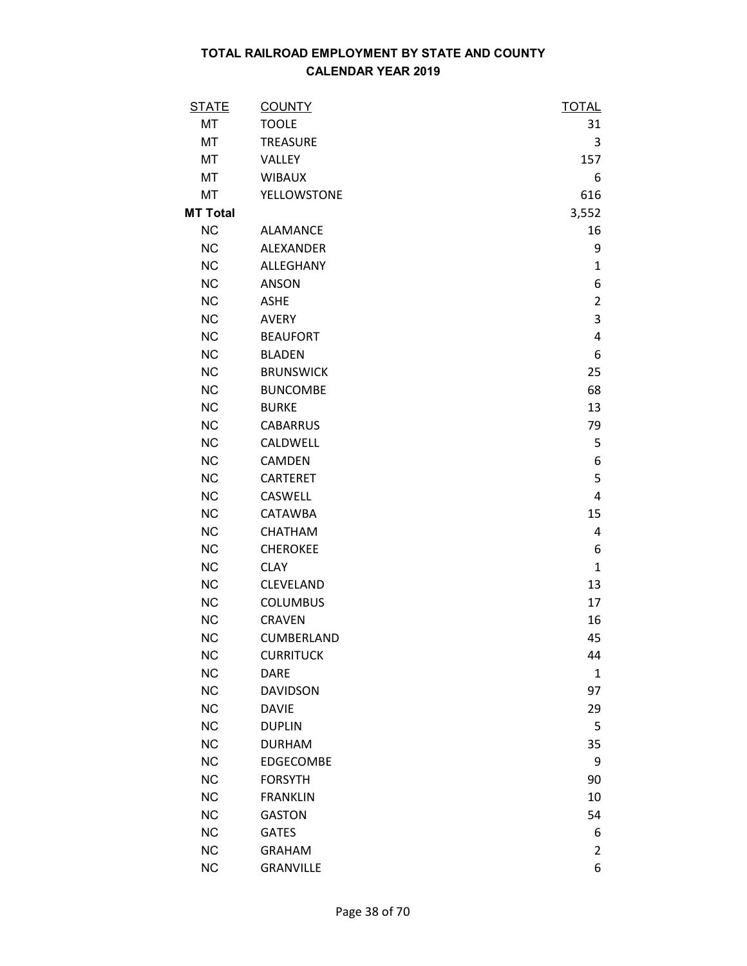| <b>STATE</b>    | <b>COUNTY</b>      | <b>TOTAL</b>   |
|-----------------|--------------------|----------------|
| MT              | <b>TOOLE</b>       | 31             |
| МT              | TREASURE           | 3              |
| MT              | VALLEY             | 157            |
| МT              | <b>WIBAUX</b>      | 6              |
| МT              | <b>YELLOWSTONE</b> | 616            |
| <b>MT Total</b> |                    | 3,552          |
| <b>NC</b>       | <b>ALAMANCE</b>    | 16             |
| <b>NC</b>       | ALEXANDER          | 9              |
| <b>NC</b>       | ALLEGHANY          | $\mathbf{1}$   |
| <b>NC</b>       | <b>ANSON</b>       | 6              |
| <b>NC</b>       | <b>ASHE</b>        | $\overline{2}$ |
| <b>NC</b>       | <b>AVERY</b>       | 3              |
| <b>NC</b>       | <b>BEAUFORT</b>    | 4              |
| <b>NC</b>       | <b>BLADEN</b>      | 6              |
| <b>NC</b>       | <b>BRUNSWICK</b>   | 25             |
| <b>NC</b>       | <b>BUNCOMBE</b>    | 68             |
| <b>NC</b>       | <b>BURKE</b>       | 13             |
| <b>NC</b>       | <b>CABARRUS</b>    | 79             |
| <b>NC</b>       | CALDWELL           | 5              |
| <b>NC</b>       | <b>CAMDEN</b>      | 6              |
| <b>NC</b>       | <b>CARTERET</b>    | 5              |
| <b>NC</b>       | CASWELL            | 4              |
| <b>NC</b>       | <b>CATAWBA</b>     | 15             |
| <b>NC</b>       | CHATHAM            | 4              |
| <b>NC</b>       | <b>CHEROKEE</b>    | 6              |
| <b>NC</b>       | <b>CLAY</b>        | $\mathbf{1}$   |
| <b>NC</b>       | CLEVELAND          | 13             |
| <b>NC</b>       | <b>COLUMBUS</b>    | 17             |
| <b>NC</b>       | <b>CRAVEN</b>      | 16             |
| <b>NC</b>       | CUMBERLAND         | 45             |
| <b>NC</b>       | <b>CURRITUCK</b>   | 44             |
| <b>NC</b>       | <b>DARE</b>        | 1              |
| <b>NC</b>       | <b>DAVIDSON</b>    | 97             |
| <b>NC</b>       | <b>DAVIE</b>       | 29             |
| <b>NC</b>       | <b>DUPLIN</b>      | 5              |
| <b>NC</b>       | <b>DURHAM</b>      | 35             |
| <b>NC</b>       | EDGECOMBE          | 9              |
| <b>NC</b>       | <b>FORSYTH</b>     | 90             |
| <b>NC</b>       | <b>FRANKLIN</b>    | 10             |
| <b>NC</b>       | <b>GASTON</b>      | 54             |
| <b>NC</b>       | <b>GATES</b>       | 6              |
| <b>NC</b>       | <b>GRAHAM</b>      | $\overline{2}$ |
| <b>NC</b>       | <b>GRANVILLE</b>   | 6              |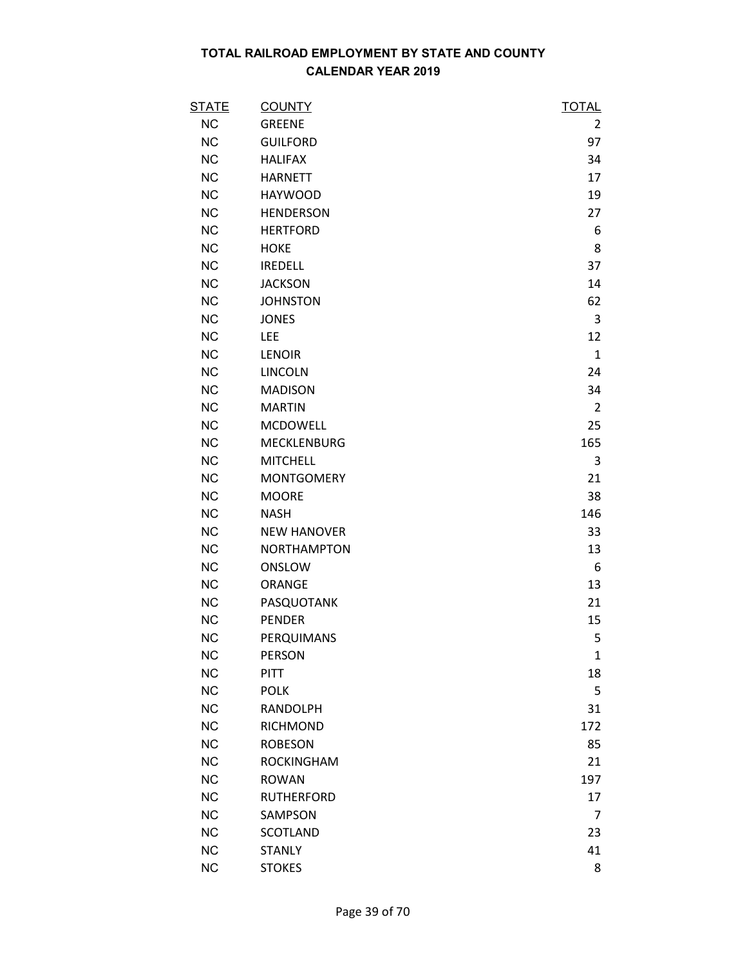| <b>STATE</b> | <b>COUNTY</b>      | <b>TOTAL</b>   |
|--------------|--------------------|----------------|
| <b>NC</b>    | <b>GREENE</b>      | 2              |
| <b>NC</b>    | <b>GUILFORD</b>    | 97             |
| <b>NC</b>    | <b>HALIFAX</b>     | 34             |
| <b>NC</b>    | <b>HARNETT</b>     | 17             |
| <b>NC</b>    | <b>HAYWOOD</b>     | 19             |
| <b>NC</b>    | <b>HENDERSON</b>   | 27             |
| <b>NC</b>    | <b>HERTFORD</b>    | 6              |
| <b>NC</b>    | <b>HOKE</b>        | 8              |
| <b>NC</b>    | <b>IREDELL</b>     | 37             |
| <b>NC</b>    | <b>JACKSON</b>     | 14             |
| <b>NC</b>    | <b>JOHNSTON</b>    | 62             |
| NC           | <b>JONES</b>       | 3              |
| <b>NC</b>    | <b>LEE</b>         | 12             |
| <b>NC</b>    | <b>LENOIR</b>      | $\mathbf{1}$   |
| <b>NC</b>    | <b>LINCOLN</b>     | 24             |
| <b>NC</b>    | <b>MADISON</b>     | 34             |
| <b>NC</b>    | <b>MARTIN</b>      | $\overline{2}$ |
| <b>NC</b>    | <b>MCDOWELL</b>    | 25             |
| <b>NC</b>    | <b>MECKLENBURG</b> | 165            |
| <b>NC</b>    | <b>MITCHELL</b>    | 3              |
| <b>NC</b>    | <b>MONTGOMERY</b>  | 21             |
| <b>NC</b>    | <b>MOORE</b>       | 38             |
| <b>NC</b>    | <b>NASH</b>        | 146            |
| <b>NC</b>    | <b>NEW HANOVER</b> | 33             |
| <b>NC</b>    | <b>NORTHAMPTON</b> | 13             |
| <b>NC</b>    | ONSLOW             | 6              |
| <b>NC</b>    | ORANGE             | 13             |
| <b>NC</b>    | PASQUOTANK         | 21             |
| <b>NC</b>    | <b>PENDER</b>      | 15             |
| <b>NC</b>    | PERQUIMANS         | 5              |
| <b>NC</b>    | <b>PERSON</b>      | $\mathbf{1}$   |
| <b>NC</b>    | <b>PITT</b>        | 18             |
| <b>NC</b>    | <b>POLK</b>        | 5              |
| <b>NC</b>    | <b>RANDOLPH</b>    | 31             |
| <b>NC</b>    | <b>RICHMOND</b>    | 172            |
| <b>NC</b>    | <b>ROBESON</b>     | 85             |
| <b>NC</b>    | <b>ROCKINGHAM</b>  | 21             |
| <b>NC</b>    | <b>ROWAN</b>       | 197            |
| <b>NC</b>    | <b>RUTHERFORD</b>  | 17             |
| <b>NC</b>    | SAMPSON            | $\overline{7}$ |
| <b>NC</b>    | <b>SCOTLAND</b>    | 23             |
| <b>NC</b>    | <b>STANLY</b>      | 41             |
| <b>NC</b>    | <b>STOKES</b>      | 8              |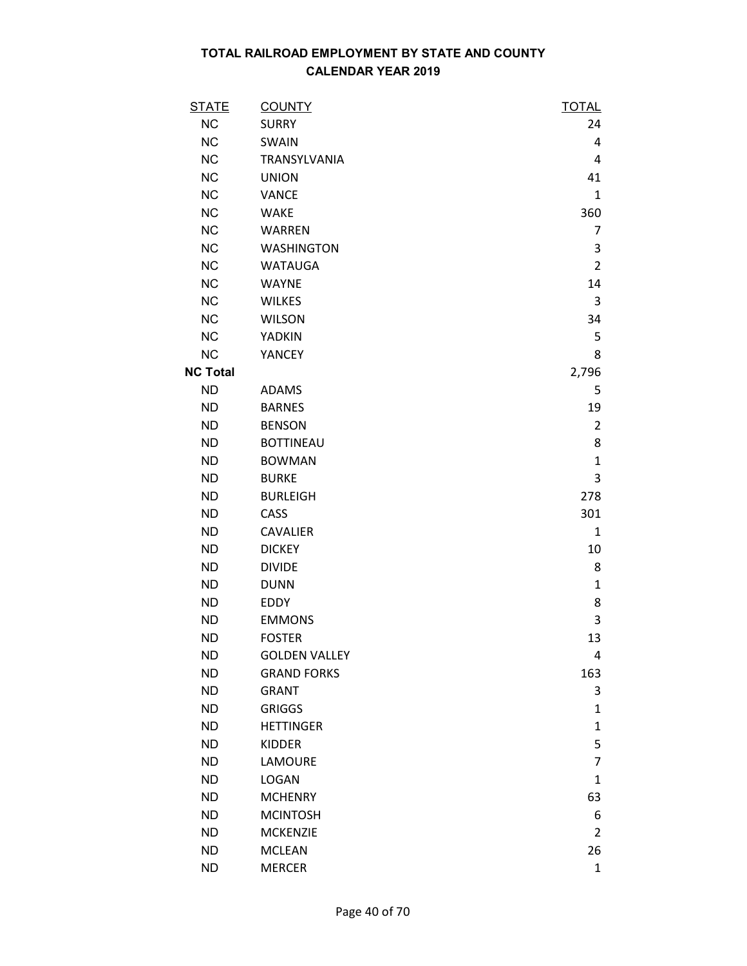| <b>STATE</b>    | <b>COUNTY</b>        | <b>TOTAL</b>   |
|-----------------|----------------------|----------------|
| <b>NC</b>       | <b>SURRY</b>         | 24             |
| <b>NC</b>       | SWAIN                | 4              |
| <b>NC</b>       | TRANSYLVANIA         | 4              |
| <b>NC</b>       | <b>UNION</b>         | 41             |
| <b>NC</b>       | <b>VANCE</b>         | $\mathbf{1}$   |
| <b>NC</b>       | <b>WAKE</b>          | 360            |
| <b>NC</b>       | <b>WARREN</b>        | 7              |
| <b>NC</b>       | <b>WASHINGTON</b>    | 3              |
| <b>NC</b>       | <b>WATAUGA</b>       | $\overline{2}$ |
| <b>NC</b>       | <b>WAYNE</b>         | 14             |
| <b>NC</b>       | <b>WILKES</b>        | 3              |
| <b>NC</b>       | <b>WILSON</b>        | 34             |
| <b>NC</b>       | YADKIN               | 5              |
| <b>NC</b>       | YANCEY               | 8              |
| <b>NC Total</b> |                      | 2,796          |
| <b>ND</b>       | <b>ADAMS</b>         | 5              |
| <b>ND</b>       | <b>BARNES</b>        | 19             |
| <b>ND</b>       | <b>BENSON</b>        | $\overline{2}$ |
| <b>ND</b>       | <b>BOTTINEAU</b>     | 8              |
| <b>ND</b>       | <b>BOWMAN</b>        | $\mathbf{1}$   |
| <b>ND</b>       | <b>BURKE</b>         | 3              |
| <b>ND</b>       | <b>BURLEIGH</b>      | 278            |
| <b>ND</b>       | CASS                 | 301            |
| <b>ND</b>       | <b>CAVALIER</b>      | 1              |
| <b>ND</b>       | <b>DICKEY</b>        | 10             |
| <b>ND</b>       | <b>DIVIDE</b>        | 8              |
| <b>ND</b>       | <b>DUNN</b>          | $\mathbf{1}$   |
| <b>ND</b>       | <b>EDDY</b>          | 8              |
| <b>ND</b>       | <b>EMMONS</b>        | 3              |
| <b>ND</b>       | <b>FOSTER</b>        | 13             |
| <b>ND</b>       | <b>GOLDEN VALLEY</b> | 4              |
| <b>ND</b>       | <b>GRAND FORKS</b>   | 163            |
| <b>ND</b>       | <b>GRANT</b>         | 3              |
| <b>ND</b>       | <b>GRIGGS</b>        | $\mathbf{1}$   |
| <b>ND</b>       | <b>HETTINGER</b>     | $\mathbf{1}$   |
| <b>ND</b>       | <b>KIDDER</b>        | 5              |
| <b>ND</b>       | LAMOURE              | $\overline{7}$ |
| <b>ND</b>       | <b>LOGAN</b>         | $\mathbf{1}$   |
| <b>ND</b>       | <b>MCHENRY</b>       | 63             |
| <b>ND</b>       | <b>MCINTOSH</b>      | 6              |
| <b>ND</b>       | <b>MCKENZIE</b>      | 2              |
| <b>ND</b>       | <b>MCLEAN</b>        | 26             |
| <b>ND</b>       | <b>MERCER</b>        | $\mathbf{1}$   |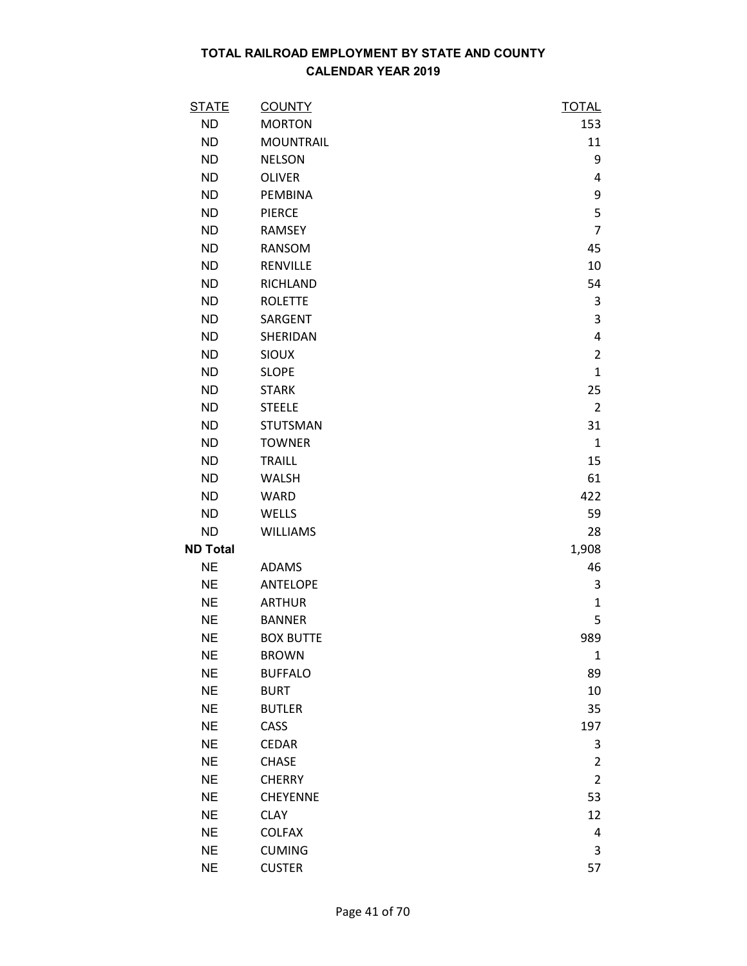| <u>STATE</u>    | <b>COUNTY</b>    | <b>TOTAL</b>   |
|-----------------|------------------|----------------|
| <b>ND</b>       | <b>MORTON</b>    | 153            |
| <b>ND</b>       | <b>MOUNTRAIL</b> | 11             |
| <b>ND</b>       | <b>NELSON</b>    | 9              |
| <b>ND</b>       | <b>OLIVER</b>    | 4              |
| <b>ND</b>       | <b>PEMBINA</b>   | 9              |
| <b>ND</b>       | <b>PIERCE</b>    | 5              |
| <b>ND</b>       | RAMSEY           | $\overline{7}$ |
| <b>ND</b>       | RANSOM           | 45             |
| <b>ND</b>       | RENVILLE         | 10             |
| <b>ND</b>       | <b>RICHLAND</b>  | 54             |
| <b>ND</b>       | <b>ROLETTE</b>   | 3              |
| <b>ND</b>       | SARGENT          | 3              |
| <b>ND</b>       | SHERIDAN         | 4              |
| <b>ND</b>       | <b>SIOUX</b>     | $\overline{2}$ |
| <b>ND</b>       | <b>SLOPE</b>     | $\mathbf{1}$   |
| <b>ND</b>       | <b>STARK</b>     | 25             |
| <b>ND</b>       | <b>STEELE</b>    | $\overline{2}$ |
| <b>ND</b>       | <b>STUTSMAN</b>  | 31             |
| <b>ND</b>       | <b>TOWNER</b>    | $\mathbf{1}$   |
| <b>ND</b>       | <b>TRAILL</b>    | 15             |
| <b>ND</b>       | <b>WALSH</b>     | 61             |
| <b>ND</b>       | <b>WARD</b>      | 422            |
| <b>ND</b>       | WELLS            | 59             |
| <b>ND</b>       | <b>WILLIAMS</b>  | 28             |
| <b>ND Total</b> |                  | 1,908          |
| <b>NE</b>       | ADAMS            | 46             |
| <b>NE</b>       | <b>ANTELOPE</b>  | 3              |
| <b>NE</b>       | <b>ARTHUR</b>    | $\mathbf{1}$   |
| <b>NE</b>       | <b>BANNER</b>    | 5              |
| <b>NE</b>       | <b>BOX BUTTE</b> | 989            |
| <b>NE</b>       | <b>BROWN</b>     | $\mathbf{1}$   |
| <b>NE</b>       | <b>BUFFALO</b>   | 89             |
| <b>NE</b>       | <b>BURT</b>      | 10             |
| <b>NE</b>       | <b>BUTLER</b>    | 35             |
| <b>NE</b>       | CASS             | 197            |
| <b>NE</b>       | <b>CEDAR</b>     | 3              |
| <b>NE</b>       | <b>CHASE</b>     | $\overline{2}$ |
| <b>NE</b>       | <b>CHERRY</b>    | $\overline{2}$ |
| <b>NE</b>       | CHEYENNE         | 53             |
| <b>NE</b>       | <b>CLAY</b>      | 12             |
| <b>NE</b>       | <b>COLFAX</b>    | 4              |
| <b>NE</b>       | <b>CUMING</b>    | 3              |
| <b>NE</b>       | <b>CUSTER</b>    | 57             |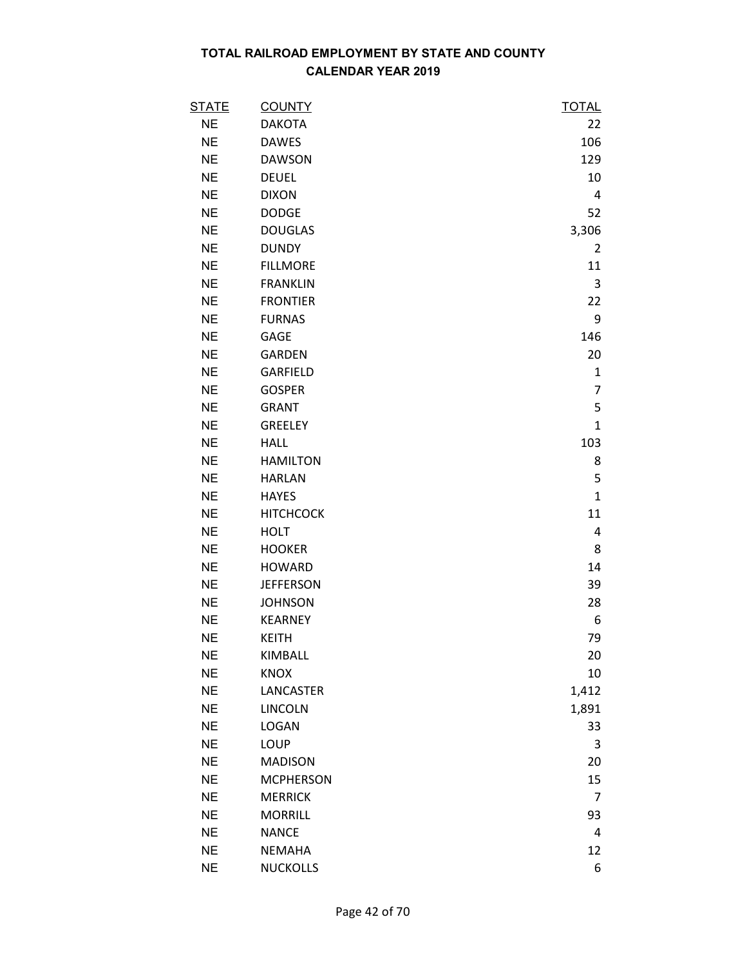| <b>STATE</b> | <b>COUNTY</b>    | <b>TOTAL</b> |
|--------------|------------------|--------------|
| <b>NE</b>    | <b>DAKOTA</b>    | 22           |
| <b>NE</b>    | <b>DAWES</b>     | 106          |
| <b>NE</b>    | <b>DAWSON</b>    | 129          |
| <b>NE</b>    | <b>DEUEL</b>     | 10           |
| <b>NE</b>    | <b>DIXON</b>     | 4            |
| <b>NE</b>    | <b>DODGE</b>     | 52           |
| <b>NE</b>    | <b>DOUGLAS</b>   | 3,306        |
| <b>NE</b>    | <b>DUNDY</b>     | 2            |
| <b>NE</b>    | <b>FILLMORE</b>  | 11           |
| <b>NE</b>    | <b>FRANKLIN</b>  | 3            |
| <b>NE</b>    | <b>FRONTIER</b>  | 22           |
| <b>NE</b>    | <b>FURNAS</b>    | 9            |
| <b>NE</b>    | GAGE             | 146          |
| <b>NE</b>    | <b>GARDEN</b>    | 20           |
| <b>NE</b>    | GARFIELD         | $\mathbf{1}$ |
| <b>NE</b>    | <b>GOSPER</b>    | 7            |
| <b>NE</b>    | <b>GRANT</b>     | 5            |
| <b>NE</b>    | <b>GREELEY</b>   | $\mathbf{1}$ |
| <b>NE</b>    | <b>HALL</b>      | 103          |
| <b>NE</b>    | <b>HAMILTON</b>  | 8            |
| <b>NE</b>    | <b>HARLAN</b>    | 5            |
| <b>NE</b>    | <b>HAYES</b>     | $\mathbf{1}$ |
| <b>NE</b>    | <b>HITCHCOCK</b> | 11           |
| <b>NE</b>    | <b>HOLT</b>      | 4            |
| <b>NE</b>    | <b>HOOKER</b>    | 8            |
| <b>NE</b>    | <b>HOWARD</b>    | 14           |
| <b>NE</b>    | <b>JEFFERSON</b> | 39           |
| <b>NE</b>    | <b>JOHNSON</b>   | 28           |
| <b>NE</b>    | <b>KEARNEY</b>   | 6            |
| <b>NE</b>    | <b>KEITH</b>     | 79           |
| <b>NE</b>    | KIMBALL          | 20           |
| <b>NE</b>    | <b>KNOX</b>      | 10           |
| <b>NE</b>    | LANCASTER        | 1,412        |
| <b>NE</b>    | <b>LINCOLN</b>   | 1,891        |
| <b>NE</b>    | LOGAN            | 33           |
| <b>NE</b>    | <b>LOUP</b>      | 3            |
| <b>NE</b>    | <b>MADISON</b>   | 20           |
| <b>NE</b>    | <b>MCPHERSON</b> | 15           |
| <b>NE</b>    | <b>MERRICK</b>   | 7            |
| <b>NE</b>    | <b>MORRILL</b>   | 93           |
| <b>NE</b>    | <b>NANCE</b>     | 4            |
| <b>NE</b>    | <b>NEMAHA</b>    | 12           |
| <b>NE</b>    | <b>NUCKOLLS</b>  | 6            |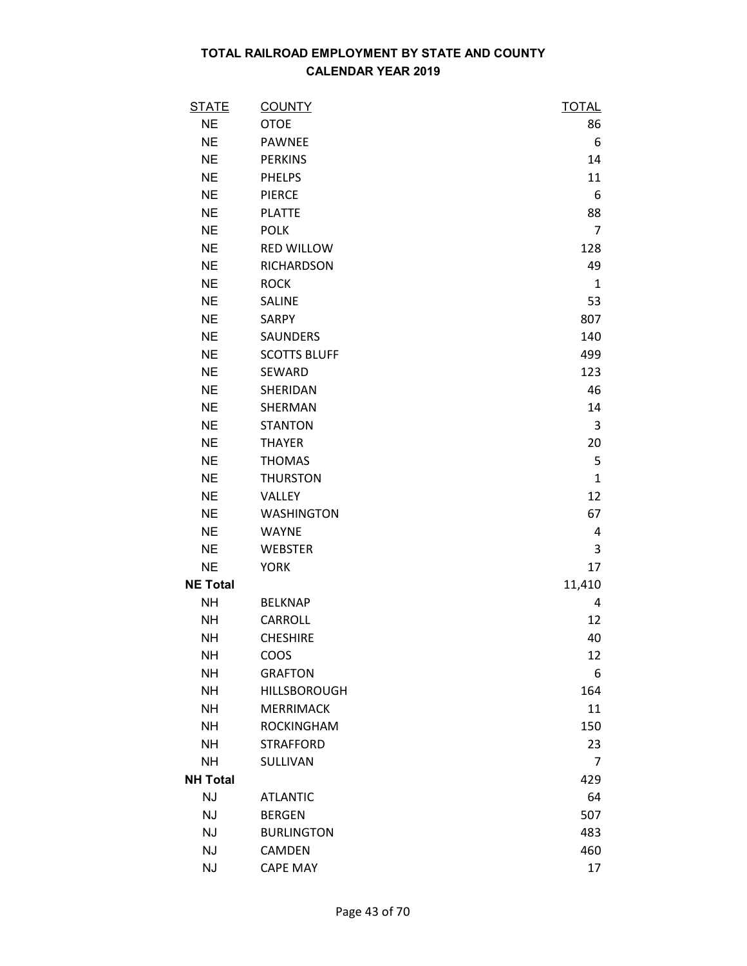| <b>STATE</b>    | <b>COUNTY</b>       | <b>TOTAL</b>   |
|-----------------|---------------------|----------------|
| <b>NE</b>       | <b>OTOE</b>         | 86             |
| <b>NE</b>       | <b>PAWNEE</b>       | 6              |
| <b>NE</b>       | <b>PERKINS</b>      | 14             |
| <b>NE</b>       | <b>PHELPS</b>       | 11             |
| <b>NE</b>       | <b>PIERCE</b>       | 6              |
| <b>NE</b>       | <b>PLATTE</b>       | 88             |
| <b>NE</b>       | <b>POLK</b>         | $\overline{7}$ |
| <b>NE</b>       | <b>RED WILLOW</b>   | 128            |
| <b>NE</b>       | <b>RICHARDSON</b>   | 49             |
| <b>NE</b>       | <b>ROCK</b>         | 1              |
| <b>NE</b>       | SALINE              | 53             |
| <b>NE</b>       | SARPY               | 807            |
| <b>NE</b>       | SAUNDERS            | 140            |
| <b>NE</b>       | <b>SCOTTS BLUFF</b> | 499            |
| <b>NE</b>       | SEWARD              | 123            |
| <b>NE</b>       | SHERIDAN            | 46             |
| <b>NE</b>       | SHERMAN             | 14             |
| <b>NE</b>       | <b>STANTON</b>      | 3              |
| <b>NE</b>       | <b>THAYER</b>       | 20             |
| <b>NE</b>       | <b>THOMAS</b>       | 5              |
| <b>NE</b>       | <b>THURSTON</b>     | $\mathbf{1}$   |
| <b>NE</b>       | VALLEY              | 12             |
| <b>NE</b>       | <b>WASHINGTON</b>   | 67             |
| <b>NE</b>       | <b>WAYNE</b>        | 4              |
| <b>NE</b>       | <b>WEBSTER</b>      | 3              |
| <b>NE</b>       | <b>YORK</b>         | 17             |
| <b>NE Total</b> |                     | 11,410         |
| <b>NH</b>       | <b>BELKNAP</b>      | 4              |
| <b>NH</b>       | CARROLL             | 12             |
| <b>NH</b>       | <b>CHESHIRE</b>     | 40             |
| <b>NH</b>       | COOS                | 12             |
| <b>NH</b>       | <b>GRAFTON</b>      | 6              |
| <b>NH</b>       | <b>HILLSBOROUGH</b> | 164            |
| <b>NH</b>       | <b>MERRIMACK</b>    | 11             |
| <b>NH</b>       | <b>ROCKINGHAM</b>   | 150            |
| <b>NH</b>       | <b>STRAFFORD</b>    | 23             |
| <b>NH</b>       | SULLIVAN            | $\overline{7}$ |
| <b>NH Total</b> |                     | 429            |
| <b>NJ</b>       | <b>ATLANTIC</b>     | 64             |
| <b>NJ</b>       | <b>BERGEN</b>       | 507            |
| <b>NJ</b>       | <b>BURLINGTON</b>   | 483            |
| NJ              | CAMDEN              | 460            |
| NJ              | <b>CAPE MAY</b>     | 17             |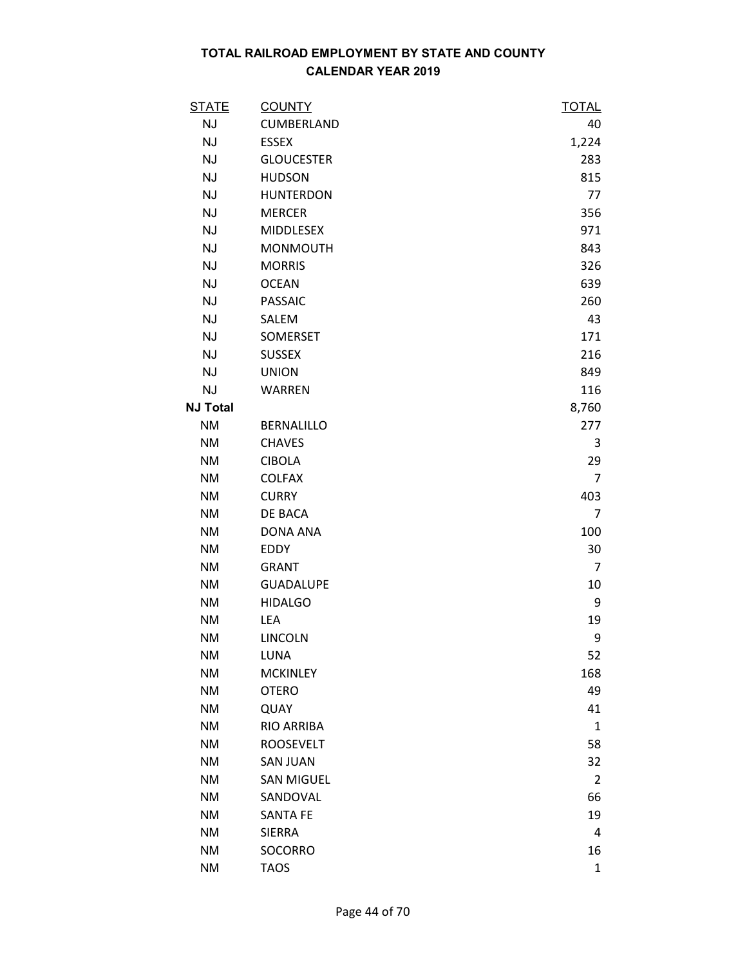| <u>STATE</u>    | <b>COUNTY</b>     | <u>TOTAL</u>   |
|-----------------|-------------------|----------------|
| <b>NJ</b>       | CUMBERLAND        | 40             |
| <b>NJ</b>       | <b>ESSEX</b>      | 1,224          |
| <b>NJ</b>       | <b>GLOUCESTER</b> | 283            |
| <b>NJ</b>       | <b>HUDSON</b>     | 815            |
| <b>NJ</b>       | <b>HUNTERDON</b>  | 77             |
| <b>NJ</b>       | <b>MERCER</b>     | 356            |
| <b>NJ</b>       | <b>MIDDLESEX</b>  | 971            |
| <b>NJ</b>       | <b>MONMOUTH</b>   | 843            |
| <b>NJ</b>       | <b>MORRIS</b>     | 326            |
| <b>NJ</b>       | <b>OCEAN</b>      | 639            |
| <b>NJ</b>       | <b>PASSAIC</b>    | 260            |
| <b>NJ</b>       | SALEM             | 43             |
| NJ              | SOMERSET          | 171            |
| <b>NJ</b>       | <b>SUSSEX</b>     | 216            |
| <b>NJ</b>       | <b>UNION</b>      | 849            |
| <b>NJ</b>       | <b>WARREN</b>     | 116            |
| <b>NJ Total</b> |                   | 8,760          |
| <b>NM</b>       | <b>BERNALILLO</b> | 277            |
| <b>NM</b>       | <b>CHAVES</b>     | 3              |
| <b>NM</b>       | <b>CIBOLA</b>     | 29             |
| <b>NM</b>       | <b>COLFAX</b>     | 7              |
| <b>NM</b>       | <b>CURRY</b>      | 403            |
| <b>NM</b>       | DE BACA           | 7              |
| <b>NM</b>       | <b>DONA ANA</b>   | 100            |
| <b>NM</b>       | EDDY              | 30             |
| <b>NM</b>       | <b>GRANT</b>      | 7              |
| <b>NM</b>       | <b>GUADALUPE</b>  | 10             |
| NM              | <b>HIDALGO</b>    | 9              |
| <b>NM</b>       | <b>LEA</b>        | 19             |
| <b>NM</b>       | <b>LINCOLN</b>    | 9              |
| NM              | LUNA              | 52             |
| <b>NM</b>       | <b>MCKINLEY</b>   | 168            |
| <b>NM</b>       | <b>OTERO</b>      | 49             |
| <b>NM</b>       | QUAY              | 41             |
| <b>NM</b>       | RIO ARRIBA        | 1              |
| <b>NM</b>       | <b>ROOSEVELT</b>  | 58             |
| <b>NM</b>       | <b>SAN JUAN</b>   | 32             |
| <b>NM</b>       | <b>SAN MIGUEL</b> | $\overline{2}$ |
| <b>NM</b>       | SANDOVAL          | 66             |
| <b>NM</b>       | <b>SANTA FE</b>   | 19             |
| <b>NM</b>       | <b>SIERRA</b>     | 4              |
| <b>NM</b>       | SOCORRO           | 16             |
| <b>NM</b>       | <b>TAOS</b>       | $\mathbf{1}$   |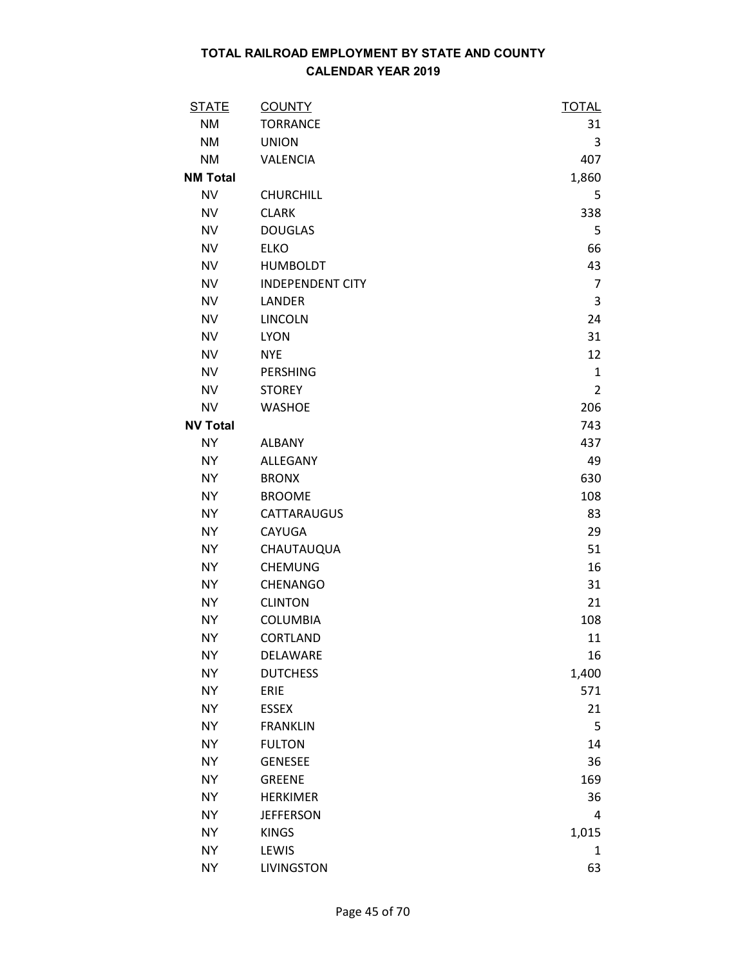| <b>STATE</b>    | <b>COUNTY</b>           | <b>TOTAL</b>   |
|-----------------|-------------------------|----------------|
| <b>NM</b>       | <b>TORRANCE</b>         | 31             |
| <b>NM</b>       | <b>UNION</b>            | 3              |
| <b>NM</b>       | VALENCIA                | 407            |
| <b>NM Total</b> |                         | 1,860          |
| <b>NV</b>       | <b>CHURCHILL</b>        | 5              |
| <b>NV</b>       | <b>CLARK</b>            | 338            |
| <b>NV</b>       | <b>DOUGLAS</b>          | 5              |
| <b>NV</b>       | <b>ELKO</b>             | 66             |
| <b>NV</b>       | <b>HUMBOLDT</b>         | 43             |
| <b>NV</b>       | <b>INDEPENDENT CITY</b> | 7              |
| <b>NV</b>       | LANDER                  | 3              |
| <b>NV</b>       | <b>LINCOLN</b>          | 24             |
| <b>NV</b>       | <b>LYON</b>             | 31             |
| <b>NV</b>       | <b>NYE</b>              | 12             |
| <b>NV</b>       | <b>PERSHING</b>         | $\mathbf{1}$   |
| <b>NV</b>       | <b>STOREY</b>           | $\overline{2}$ |
| <b>NV</b>       | <b>WASHOE</b>           | 206            |
| <b>NV Total</b> |                         | 743            |
| <b>NY</b>       | <b>ALBANY</b>           | 437            |
| <b>NY</b>       | ALLEGANY                | 49             |
| <b>NY</b>       | <b>BRONX</b>            | 630            |
| <b>NY</b>       | <b>BROOME</b>           | 108            |
| <b>NY</b>       | CATTARAUGUS             | 83             |
| <b>NY</b>       | CAYUGA                  | 29             |
| <b>NY</b>       | CHAUTAUQUA              | 51             |
| <b>NY</b>       | <b>CHEMUNG</b>          | 16             |
| <b>NY</b>       | CHENANGO                | 31             |
| <b>NY</b>       | <b>CLINTON</b>          | 21             |
| <b>NY</b>       | <b>COLUMBIA</b>         | 108            |
| <b>NY</b>       | CORTLAND                | 11             |
| <b>NY</b>       | DELAWARE                | 16             |
| <b>NY</b>       | <b>DUTCHESS</b>         | 1,400          |
| <b>NY</b>       | ERIE                    | 571            |
| <b>NY</b>       | <b>ESSEX</b>            | 21             |
| <b>NY</b>       | <b>FRANKLIN</b>         | 5              |
| <b>NY</b>       | <b>FULTON</b>           | 14             |
| <b>NY</b>       | <b>GENESEE</b>          | 36             |
| <b>NY</b>       | <b>GREENE</b>           | 169            |
| <b>NY</b>       | <b>HERKIMER</b>         | 36             |
| <b>NY</b>       | <b>JEFFERSON</b>        | 4              |
| <b>NY</b>       | <b>KINGS</b>            | 1,015          |
| <b>NY</b>       | LEWIS                   | 1              |
| <b>NY</b>       | <b>LIVINGSTON</b>       | 63             |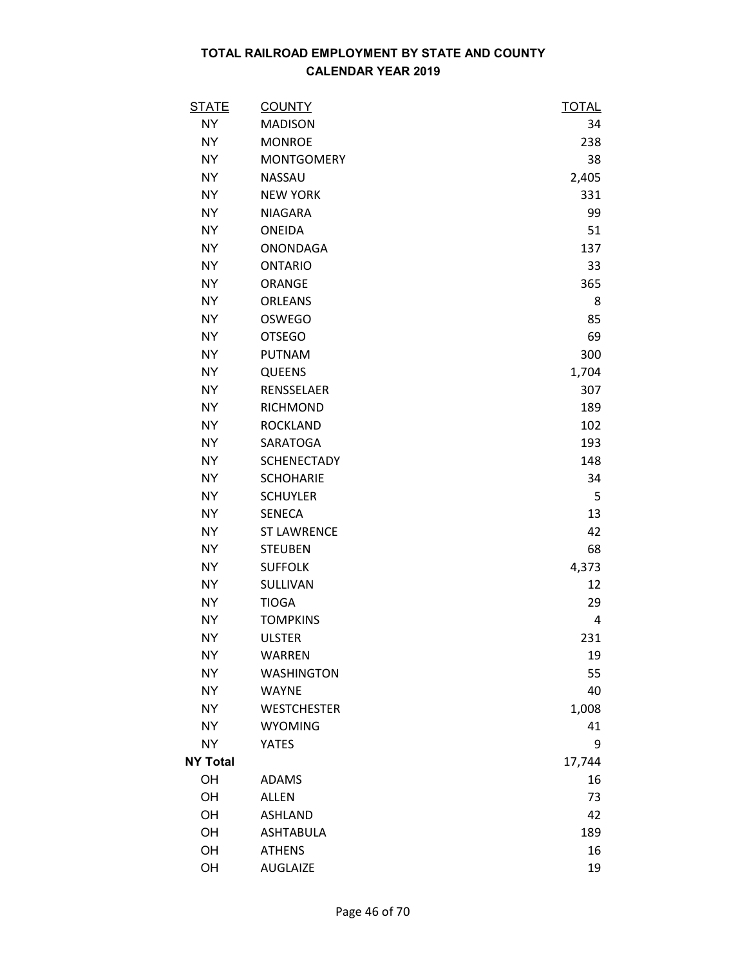| <u>STATE</u>    | <b>COUNTY</b>      | <u>TOTAL</u> |
|-----------------|--------------------|--------------|
| <b>NY</b>       | <b>MADISON</b>     | 34           |
| NY.             | <b>MONROE</b>      | 238          |
| <b>NY</b>       | <b>MONTGOMERY</b>  | 38           |
| <b>NY</b>       | <b>NASSAU</b>      | 2,405        |
| <b>NY</b>       | <b>NEW YORK</b>    | 331          |
| <b>NY</b>       | <b>NIAGARA</b>     | 99           |
| NY.             | <b>ONEIDA</b>      | 51           |
| <b>NY</b>       | <b>ONONDAGA</b>    | 137          |
| <b>NY</b>       | <b>ONTARIO</b>     | 33           |
| <b>NY</b>       | ORANGE             | 365          |
| <b>NY</b>       | <b>ORLEANS</b>     | 8            |
| <b>NY</b>       | <b>OSWEGO</b>      | 85           |
| <b>NY</b>       | <b>OTSEGO</b>      | 69           |
| NY.             | <b>PUTNAM</b>      | 300          |
| NY              | <b>QUEENS</b>      | 1,704        |
| <b>NY</b>       | RENSSELAER         | 307          |
| <b>NY</b>       | <b>RICHMOND</b>    | 189          |
| <b>NY</b>       | <b>ROCKLAND</b>    | 102          |
| <b>NY</b>       | SARATOGA           | 193          |
| <b>NY</b>       | <b>SCHENECTADY</b> | 148          |
| NY.             | <b>SCHOHARIE</b>   | 34           |
| <b>NY</b>       | <b>SCHUYLER</b>    | 5            |
| <b>NY</b>       | <b>SENECA</b>      | 13           |
| <b>NY</b>       | <b>ST LAWRENCE</b> | 42           |
| <b>NY</b>       | <b>STEUBEN</b>     | 68           |
| NY.             | <b>SUFFOLK</b>     | 4,373        |
| <b>NY</b>       | SULLIVAN           | 12           |
| NY.             | <b>TIOGA</b>       | 29           |
| <b>NY</b>       | <b>TOMPKINS</b>    | 4            |
| <b>NY</b>       | <b>ULSTER</b>      | 231          |
| <b>NY</b>       | <b>WARREN</b>      | 19           |
| <b>NY</b>       | <b>WASHINGTON</b>  | 55           |
| NY.             | <b>WAYNE</b>       | 40           |
| <b>NY</b>       | <b>WESTCHESTER</b> | 1,008        |
| <b>NY</b>       | <b>WYOMING</b>     | 41           |
| <b>NY</b>       | <b>YATES</b>       | 9            |
| <b>NY Total</b> |                    | 17,744       |
| OH              | <b>ADAMS</b>       | 16           |
| OH              | <b>ALLEN</b>       | 73           |
| OH              | <b>ASHLAND</b>     | 42           |
| OH              | <b>ASHTABULA</b>   | 189          |
| OH              | <b>ATHENS</b>      | 16           |
| OH              | <b>AUGLAIZE</b>    | 19           |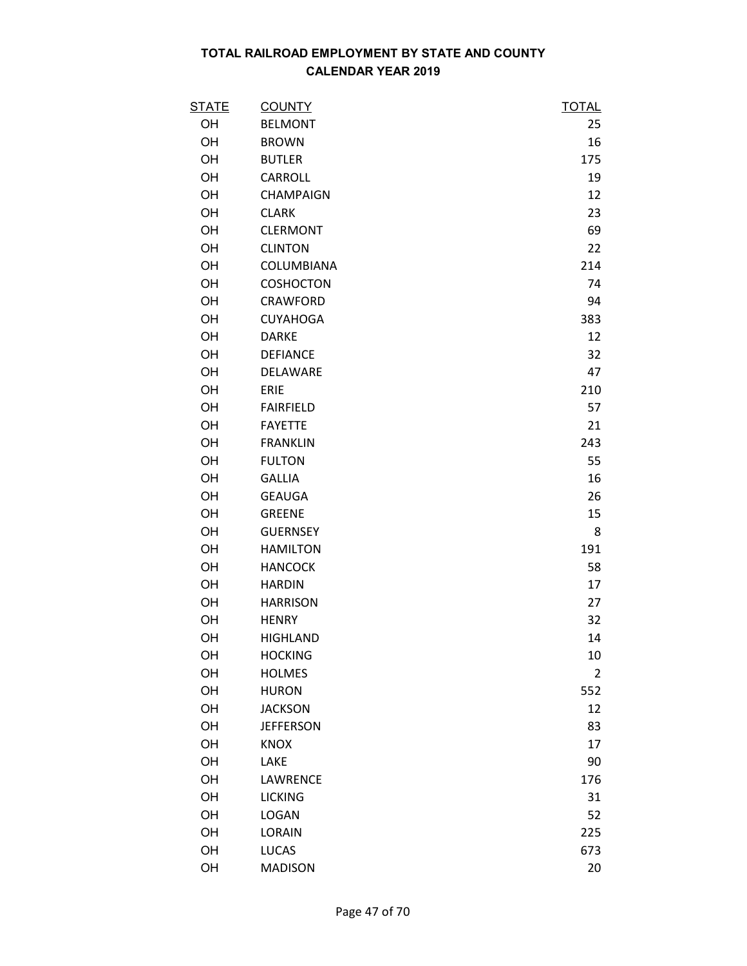| <b>STATE</b> | <b>COUNTY</b>    | <b>TOTAL</b>   |
|--------------|------------------|----------------|
| OH           | <b>BELMONT</b>   | 25             |
| OH           | <b>BROWN</b>     | 16             |
| OH           | <b>BUTLER</b>    | 175            |
| OH           | CARROLL          | 19             |
| OH           | <b>CHAMPAIGN</b> | 12             |
| OH           | <b>CLARK</b>     | 23             |
| OH           | <b>CLERMONT</b>  | 69             |
| OH           | <b>CLINTON</b>   | 22             |
| OH           | COLUMBIANA       | 214            |
| OH           | <b>COSHOCTON</b> | 74             |
| OH           | CRAWFORD         | 94             |
| OH           | <b>CUYAHOGA</b>  | 383            |
| OH           | <b>DARKE</b>     | 12             |
| OH           | <b>DEFIANCE</b>  | 32             |
| OH           | DELAWARE         | 47             |
| OH           | ERIE             | 210            |
| OH           | <b>FAIRFIELD</b> | 57             |
| OH           | <b>FAYETTE</b>   | 21             |
| OH           | <b>FRANKLIN</b>  | 243            |
| OH           | <b>FULTON</b>    | 55             |
| OH           | <b>GALLIA</b>    | 16             |
| OH           | <b>GEAUGA</b>    | 26             |
| OH           | <b>GREENE</b>    | 15             |
| OH           | <b>GUERNSEY</b>  | 8              |
| OH           | <b>HAMILTON</b>  | 191            |
| OH           | <b>HANCOCK</b>   | 58             |
| OH           | <b>HARDIN</b>    | 17             |
| OH           | <b>HARRISON</b>  | 27             |
| OH           | <b>HENRY</b>     | 32             |
| OH           | <b>HIGHLAND</b>  | 14             |
| OH           | <b>HOCKING</b>   | 10             |
| OH           | <b>HOLMES</b>    | $\overline{2}$ |
| OH           | <b>HURON</b>     | 552            |
| OH           | <b>JACKSON</b>   | 12             |
| OH           | <b>JEFFERSON</b> | 83             |
| OH           | <b>KNOX</b>      | 17             |
| OH           | LAKE             | 90             |
| OH           | LAWRENCE         | 176            |
| OH           | <b>LICKING</b>   | 31             |
| OH           | <b>LOGAN</b>     | 52             |
| OH           | LORAIN           | 225            |
| OH           | <b>LUCAS</b>     | 673            |
| OH           | <b>MADISON</b>   | 20             |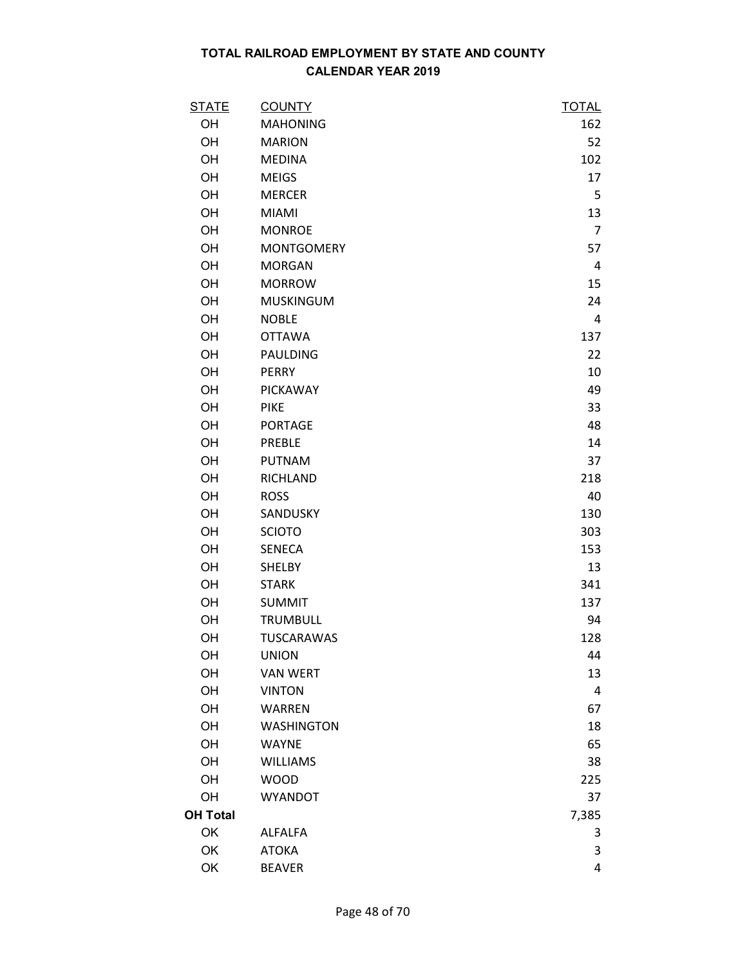| <b>STATE</b>    | <b>COUNTY</b>     | <b>TOTAL</b>   |
|-----------------|-------------------|----------------|
| OH              | <b>MAHONING</b>   | 162            |
| OH              | <b>MARION</b>     | 52             |
| OH              | <b>MEDINA</b>     | 102            |
| OH              | <b>MEIGS</b>      | 17             |
| OH              | <b>MERCER</b>     | 5              |
| OH              | <b>MIAMI</b>      | 13             |
| OH              | <b>MONROE</b>     | $\overline{7}$ |
| OH              | <b>MONTGOMERY</b> | 57             |
| OH              | <b>MORGAN</b>     | $\overline{a}$ |
| OH              | <b>MORROW</b>     | 15             |
| OH              | <b>MUSKINGUM</b>  | 24             |
| OH              | <b>NOBLE</b>      | 4              |
| OH              | <b>OTTAWA</b>     | 137            |
| OH              | PAULDING          | 22             |
| OH              | <b>PERRY</b>      | 10             |
| OH              | PICKAWAY          | 49             |
| OH              | <b>PIKE</b>       | 33             |
| OH              | <b>PORTAGE</b>    | 48             |
| OH              | <b>PREBLE</b>     | 14             |
| OH              | <b>PUTNAM</b>     | 37             |
| OH              | RICHLAND          | 218            |
| OH              | <b>ROSS</b>       | 40             |
| OH              | SANDUSKY          | 130            |
| OH              | <b>SCIOTO</b>     | 303            |
| OH              | <b>SENECA</b>     | 153            |
| OH              | <b>SHELBY</b>     | 13             |
| OH              | <b>STARK</b>      | 341            |
| OH              | <b>SUMMIT</b>     | 137            |
| OH              | <b>TRUMBULL</b>   | 94             |
| OH              | <b>TUSCARAWAS</b> | 128            |
| OH              | <b>UNION</b>      | 44             |
| OH              | <b>VAN WERT</b>   | 13             |
| OH              | <b>VINTON</b>     | 4              |
| OH              | <b>WARREN</b>     | 67             |
| OH              | <b>WASHINGTON</b> | 18             |
| OH              | <b>WAYNE</b>      | 65             |
| OH              | <b>WILLIAMS</b>   | 38             |
| OH              | <b>WOOD</b>       | 225            |
| OH              | <b>WYANDOT</b>    | 37             |
| <b>OH Total</b> |                   | 7,385          |
| OK              | <b>ALFALFA</b>    | 3              |
| OK              | <b>ATOKA</b>      | 3              |
| OK              | <b>BEAVER</b>     | 4              |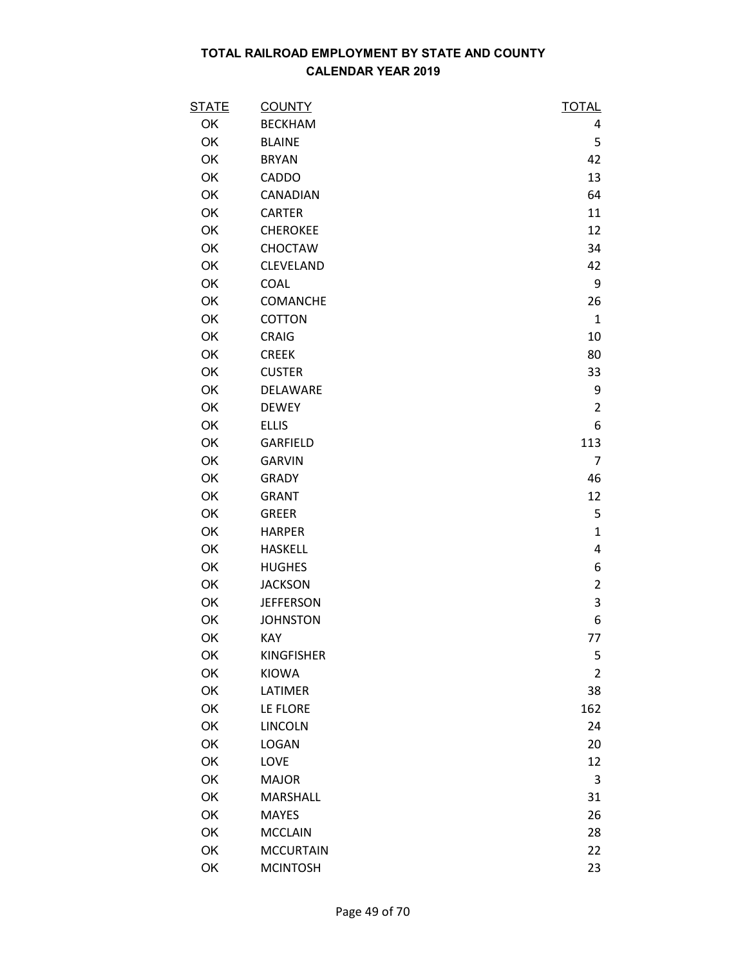| <u>STATE</u> | <b>COUNTY</b>     | <b>TOTAL</b>   |
|--------------|-------------------|----------------|
| OK           | <b>BECKHAM</b>    | 4              |
| OK           | <b>BLAINE</b>     | 5              |
| OK           | <b>BRYAN</b>      | 42             |
| OK           | CADDO             | 13             |
| OK           | CANADIAN          | 64             |
| OK           | <b>CARTER</b>     | 11             |
| OK           | <b>CHEROKEE</b>   | 12             |
| OK           | CHOCTAW           | 34             |
| OK           | CLEVELAND         | 42             |
| OK           | <b>COAL</b>       | 9              |
| OK           | COMANCHE          | 26             |
| OK           | COTTON            | $\mathbf{1}$   |
| OK           | CRAIG             | 10             |
| OK           | <b>CREEK</b>      | 80             |
| OK           | <b>CUSTER</b>     | 33             |
| OK           | DELAWARE          | 9              |
| OK           | <b>DEWEY</b>      | $\overline{2}$ |
| <b>OK</b>    | <b>ELLIS</b>      | 6              |
| OK           | GARFIELD          | 113            |
| OK           | <b>GARVIN</b>     | 7              |
| OK           | <b>GRADY</b>      | 46             |
| OK           | <b>GRANT</b>      | 12             |
| OK           | <b>GREER</b>      | 5              |
| OK           | <b>HARPER</b>     | $\mathbf{1}$   |
| OK           | <b>HASKELL</b>    | 4              |
| OK           | <b>HUGHES</b>     | 6              |
| OK           | <b>JACKSON</b>    | $\overline{2}$ |
| OK           | <b>JEFFERSON</b>  | 3              |
| OK           | <b>JOHNSTON</b>   | 6              |
| OK           | KAY               | 77             |
| OK           | <b>KINGFISHER</b> | 5              |
| OK           | <b>KIOWA</b>      | $\overline{2}$ |
| OK           | LATIMER           | 38             |
| OK           | LE FLORE          | 162            |
| OK           | <b>LINCOLN</b>    | 24             |
| OK           | <b>LOGAN</b>      | 20             |
| <b>OK</b>    | LOVE              | 12             |
| OK           | <b>MAJOR</b>      | 3              |
| OK           | MARSHALL          | 31             |
| OK           | <b>MAYES</b>      | 26             |
| OK           | <b>MCCLAIN</b>    | 28             |
| OK           | <b>MCCURTAIN</b>  | 22             |
| OK           | <b>MCINTOSH</b>   | 23             |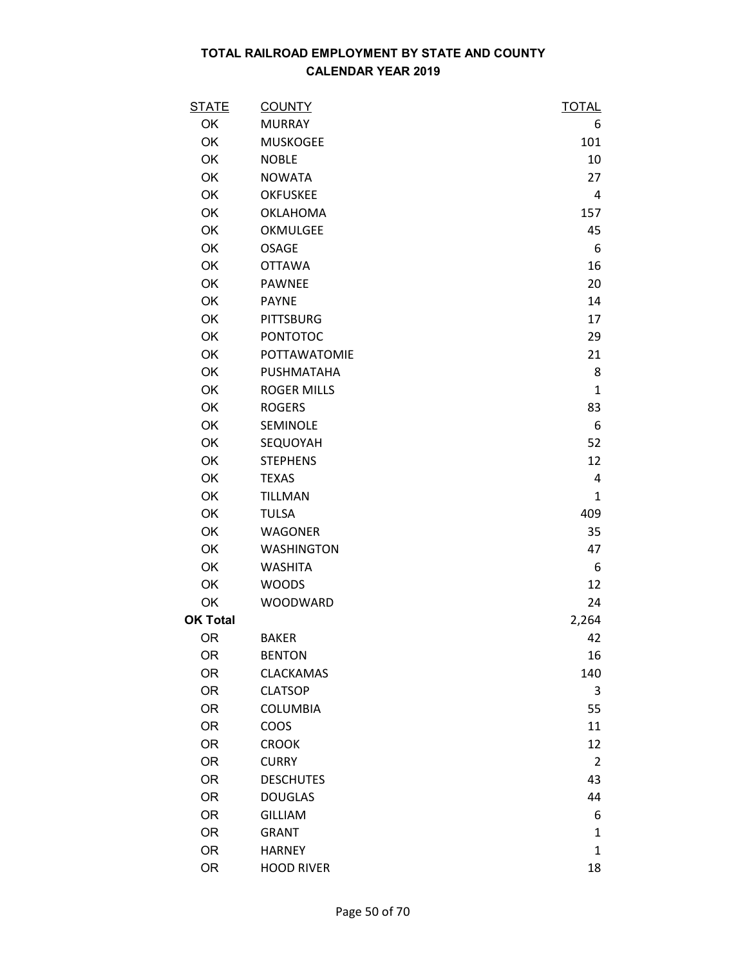| <b>STATE</b>    | <b>COUNTY</b>      | <b>TOTAL</b>   |
|-----------------|--------------------|----------------|
| OK              | <b>MURRAY</b>      | 6              |
| OK              | <b>MUSKOGEE</b>    | 101            |
| OK              | <b>NOBLE</b>       | 10             |
| OK              | <b>NOWATA</b>      | 27             |
| OK              | <b>OKFUSKEE</b>    | 4              |
| <b>OK</b>       | <b>OKLAHOMA</b>    | 157            |
| OK              | OKMULGEE           | 45             |
| OK              | <b>OSAGE</b>       | 6              |
| OK              | <b>OTTAWA</b>      | 16             |
| OK              | <b>PAWNEE</b>      | 20             |
| <b>OK</b>       | <b>PAYNE</b>       | 14             |
| OK              | <b>PITTSBURG</b>   | 17             |
| OK              | <b>PONTOTOC</b>    | 29             |
| OK              | POTTAWATOMIE       | 21             |
| OK              | PUSHMATAHA         | 8              |
| OK              | <b>ROGER MILLS</b> | $\mathbf{1}$   |
| OK              | <b>ROGERS</b>      | 83             |
| OK              | SEMINOLE           | 6              |
| OK              | SEQUOYAH           | 52             |
| OK              | <b>STEPHENS</b>    | 12             |
| OK              | <b>TEXAS</b>       | 4              |
| OK              | <b>TILLMAN</b>     | $\mathbf{1}$   |
| OK              | <b>TULSA</b>       | 409            |
| <b>OK</b>       | <b>WAGONER</b>     | 35             |
| OK              | <b>WASHINGTON</b>  | 47             |
| OK              | <b>WASHITA</b>     | 6              |
| OK              | <b>WOODS</b>       | 12             |
| OK              | WOODWARD           | 24             |
| <b>OK Total</b> |                    | 2,264          |
| <b>OR</b>       | <b>BAKER</b>       | 42             |
| <b>OR</b>       | <b>BENTON</b>      | 16             |
| <b>OR</b>       | <b>CLACKAMAS</b>   | 140            |
| <b>OR</b>       | <b>CLATSOP</b>     | 3              |
| <b>OR</b>       | <b>COLUMBIA</b>    | 55             |
| <b>OR</b>       | COOS               | 11             |
| <b>OR</b>       | <b>CROOK</b>       | 12             |
| <b>OR</b>       | <b>CURRY</b>       | $\overline{2}$ |
| <b>OR</b>       | <b>DESCHUTES</b>   | 43             |
| <b>OR</b>       | <b>DOUGLAS</b>     | 44             |
| <b>OR</b>       | <b>GILLIAM</b>     | 6              |
| <b>OR</b>       | <b>GRANT</b>       | 1              |
| <b>OR</b>       | <b>HARNEY</b>      | $\mathbf{1}$   |
| <b>OR</b>       | <b>HOOD RIVER</b>  | 18             |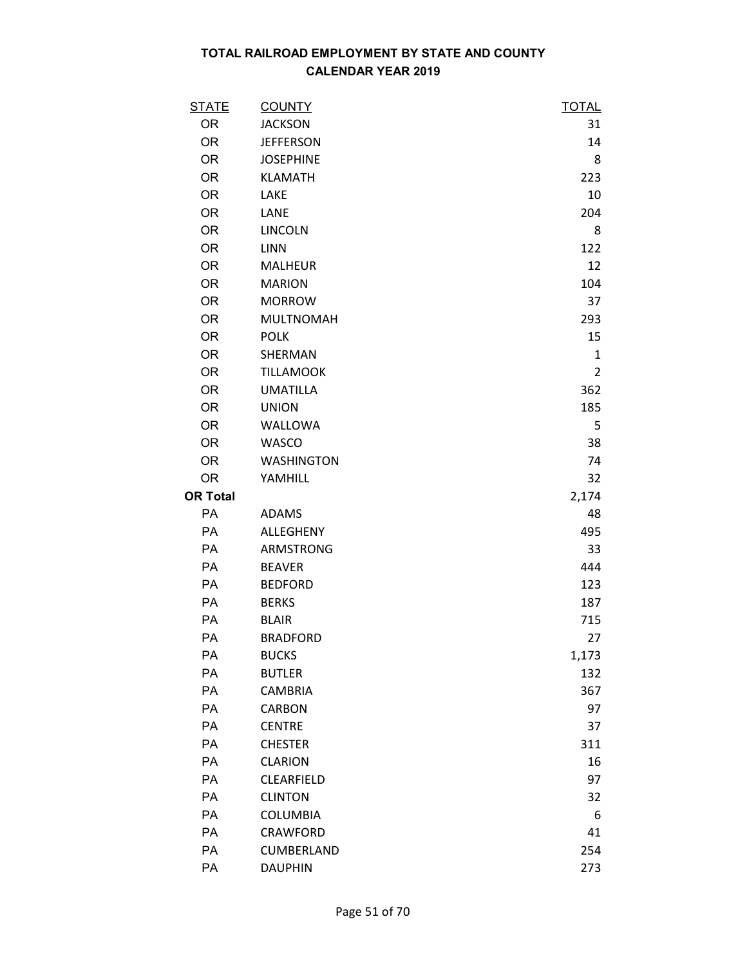| <b>STATE</b>    | <b>COUNTY</b>     | <b>TOTAL</b>   |
|-----------------|-------------------|----------------|
| <b>OR</b>       | <b>JACKSON</b>    | 31             |
| <b>OR</b>       | <b>JEFFERSON</b>  | 14             |
| <b>OR</b>       | <b>JOSEPHINE</b>  | 8              |
| <b>OR</b>       | <b>KLAMATH</b>    | 223            |
| <b>OR</b>       | LAKE              | 10             |
| <b>OR</b>       | LANE              | 204            |
| <b>OR</b>       | <b>LINCOLN</b>    | 8              |
| <b>OR</b>       | LINN              | 122            |
| <b>OR</b>       | <b>MALHEUR</b>    | 12             |
| <b>OR</b>       | <b>MARION</b>     | 104            |
| <b>OR</b>       | <b>MORROW</b>     | 37             |
| <b>OR</b>       | <b>MULTNOMAH</b>  | 293            |
| <b>OR</b>       | <b>POLK</b>       | 15             |
| <b>OR</b>       | SHERMAN           | $\mathbf{1}$   |
| <b>OR</b>       | <b>TILLAMOOK</b>  | $\overline{2}$ |
| <b>OR</b>       | <b>UMATILLA</b>   | 362            |
| <b>OR</b>       | <b>UNION</b>      | 185            |
| <b>OR</b>       | WALLOWA           | 5              |
| <b>OR</b>       | WASCO             | 38             |
| <b>OR</b>       | <b>WASHINGTON</b> | 74             |
| <b>OR</b>       | YAMHILL           | 32             |
| <b>OR Total</b> |                   | 2,174          |
| PA              | <b>ADAMS</b>      | 48             |
| PA              | ALLEGHENY         | 495            |
| PA              | ARMSTRONG         | 33             |
| PA              | <b>BEAVER</b>     | 444            |
| PA              | <b>BEDFORD</b>    | 123            |
| PA              | <b>BERKS</b>      | 187            |
| PA              | <b>BLAIR</b>      | 715            |
| PA              | <b>BRADFORD</b>   | 27             |
| PA              | <b>BUCKS</b>      | 1,173          |
| PA              | <b>BUTLER</b>     | 132            |
| PA              | <b>CAMBRIA</b>    | 367            |
| PA              | <b>CARBON</b>     | 97             |
| PA              | <b>CENTRE</b>     | 37             |
| PA              | <b>CHESTER</b>    | 311            |
| PA              | <b>CLARION</b>    | 16             |
| PA              | CLEARFIELD        | 97             |
| PA              | <b>CLINTON</b>    | 32             |
| PA              | <b>COLUMBIA</b>   | 6              |
| PA              | CRAWFORD          | 41             |
| PA              | CUMBERLAND        | 254            |
| PA              | <b>DAUPHIN</b>    | 273            |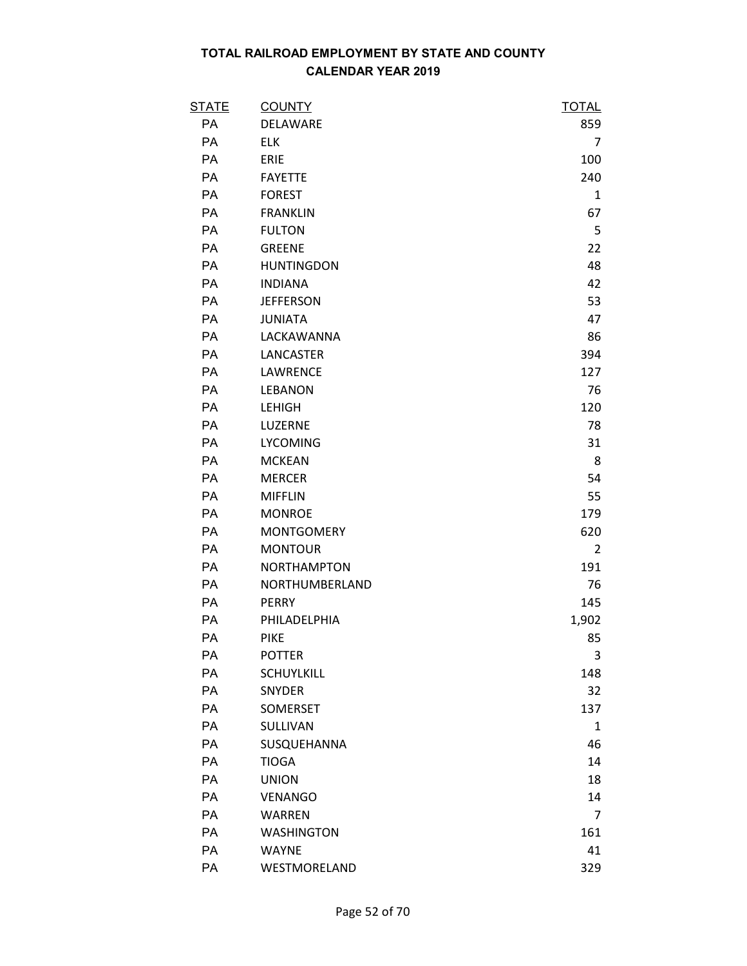| <b>STATE</b> | <b>COUNTY</b>      | <u>TOTAL</u>   |
|--------------|--------------------|----------------|
| PA           | DELAWARE           | 859            |
| PA           | <b>ELK</b>         | 7              |
| PA           | ERIE               | 100            |
| PA           | <b>FAYETTE</b>     | 240            |
| PA           | <b>FOREST</b>      | 1              |
| PA           | <b>FRANKLIN</b>    | 67             |
| PA           | <b>FULTON</b>      | 5              |
| PA           | <b>GREENE</b>      | 22             |
| PA           | <b>HUNTINGDON</b>  | 48             |
| PA           | <b>INDIANA</b>     | 42             |
| PA           | <b>JEFFERSON</b>   | 53             |
| PA           | <b>JUNIATA</b>     | 47             |
| PA           | LACKAWANNA         | 86             |
| PA           | LANCASTER          | 394            |
| PA           | LAWRENCE           | 127            |
| PA           | <b>LEBANON</b>     | 76             |
| PA           | <b>LEHIGH</b>      | 120            |
| PA           | LUZERNE            | 78             |
| PA           | <b>LYCOMING</b>    | 31             |
| PA           | <b>MCKEAN</b>      | 8              |
| PA           | <b>MERCER</b>      | 54             |
| PA           | <b>MIFFLIN</b>     | 55             |
| PA           | <b>MONROE</b>      | 179            |
| PA           | <b>MONTGOMERY</b>  | 620            |
| PA           | <b>MONTOUR</b>     | $\overline{2}$ |
| PA           | <b>NORTHAMPTON</b> | 191            |
| PA           | NORTHUMBERLAND     | 76             |
| PA           | <b>PERRY</b>       | 145            |
| <b>PA</b>    | PHILADELPHIA       | 1,902          |
| PA           | <b>PIKE</b>        | 85             |
| PA           | <b>POTTER</b>      | 3              |
| PA           | <b>SCHUYLKILL</b>  | 148            |
| PA           | <b>SNYDER</b>      | 32             |
| PA           | <b>SOMERSET</b>    | 137            |
| PA           | SULLIVAN           | $\mathbf{1}$   |
| PA           | SUSQUEHANNA        | 46             |
| PA           | <b>TIOGA</b>       | 14             |
| <b>PA</b>    | <b>UNION</b>       | 18             |
| PA           | <b>VENANGO</b>     | 14             |
| PA           | <b>WARREN</b>      | $\overline{7}$ |
| PA           | <b>WASHINGTON</b>  | 161            |
| PA           | <b>WAYNE</b>       | 41             |
| PA           | WESTMORELAND       | 329            |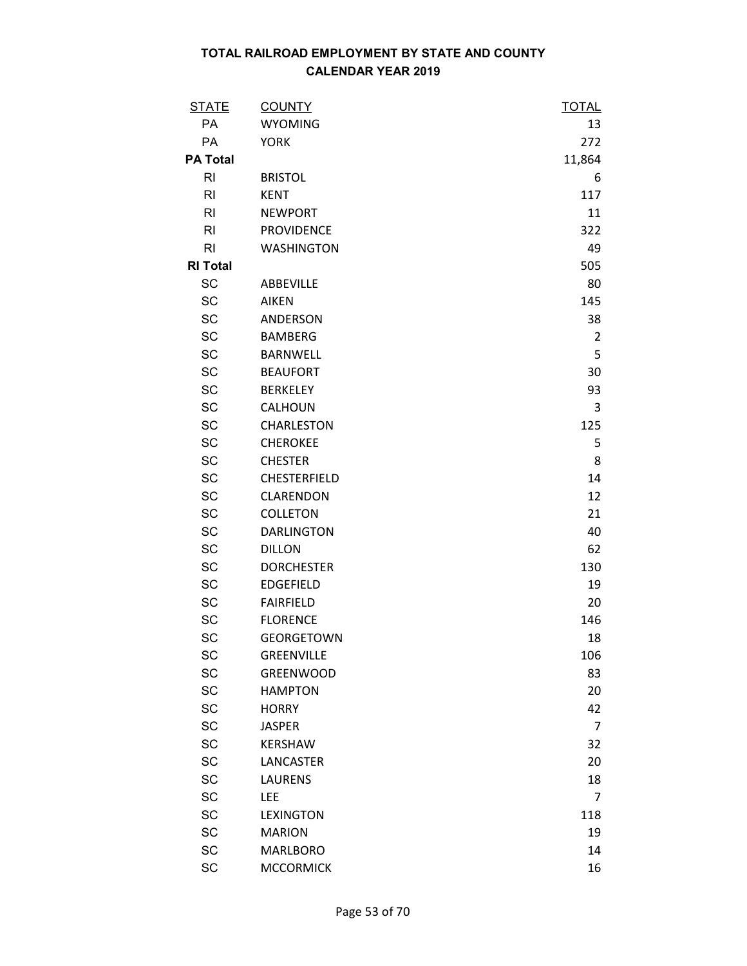| <b>STATE</b>    | <b>COUNTY</b>     | <u>TOTAL</u>   |
|-----------------|-------------------|----------------|
| PA              | <b>WYOMING</b>    | 13             |
| PA              | <b>YORK</b>       | 272            |
| <b>PA Total</b> |                   | 11,864         |
| RI              | <b>BRISTOL</b>    | 6              |
| R <sub>l</sub>  | <b>KENT</b>       | 117            |
| R <sub>l</sub>  | <b>NEWPORT</b>    | 11             |
| RI              | <b>PROVIDENCE</b> | 322            |
| R <sub>l</sub>  | <b>WASHINGTON</b> | 49             |
| <b>RI Total</b> |                   | 505            |
| SC              | ABBEVILLE         | 80             |
| <b>SC</b>       | <b>AIKEN</b>      | 145            |
| <b>SC</b>       | ANDERSON          | 38             |
| SC              | <b>BAMBERG</b>    | $\overline{2}$ |
| <b>SC</b>       | <b>BARNWELL</b>   | 5              |
| <b>SC</b>       | <b>BEAUFORT</b>   | 30             |
| <b>SC</b>       | <b>BERKELEY</b>   | 93             |
| <b>SC</b>       | CALHOUN           | 3              |
| <b>SC</b>       | CHARLESTON        | 125            |
| <b>SC</b>       | <b>CHEROKEE</b>   | 5              |
| <b>SC</b>       | <b>CHESTER</b>    | 8              |
| <b>SC</b>       | CHESTERFIELD      | 14             |
| <b>SC</b>       | CLARENDON         | 12             |
| <b>SC</b>       | <b>COLLETON</b>   | 21             |
| <b>SC</b>       | <b>DARLINGTON</b> | 40             |
| <b>SC</b>       | <b>DILLON</b>     | 62             |
| <b>SC</b>       | <b>DORCHESTER</b> | 130            |
| SC              | <b>EDGEFIELD</b>  | 19             |
| <b>SC</b>       | <b>FAIRFIELD</b>  | 20             |
| SC              | <b>FLORENCE</b>   | 146            |
| SC              | <b>GEORGETOWN</b> | 18             |
| <b>SC</b>       | <b>GREENVILLE</b> | 106            |
| SC              | <b>GREENWOOD</b>  | 83             |
| <b>SC</b>       | <b>HAMPTON</b>    | 20             |
| <b>SC</b>       | <b>HORRY</b>      | 42             |
| <b>SC</b>       | <b>JASPER</b>     | $\overline{7}$ |
| <b>SC</b>       | <b>KERSHAW</b>    | 32             |
| <b>SC</b>       | LANCASTER         | 20             |
| <b>SC</b>       | <b>LAURENS</b>    | 18             |
| <b>SC</b>       | <b>LEE</b>        | 7              |
| <b>SC</b>       | <b>LEXINGTON</b>  | 118            |
| <b>SC</b>       | <b>MARION</b>     | 19             |
| <b>SC</b>       | <b>MARLBORO</b>   | 14             |
| <b>SC</b>       | <b>MCCORMICK</b>  | 16             |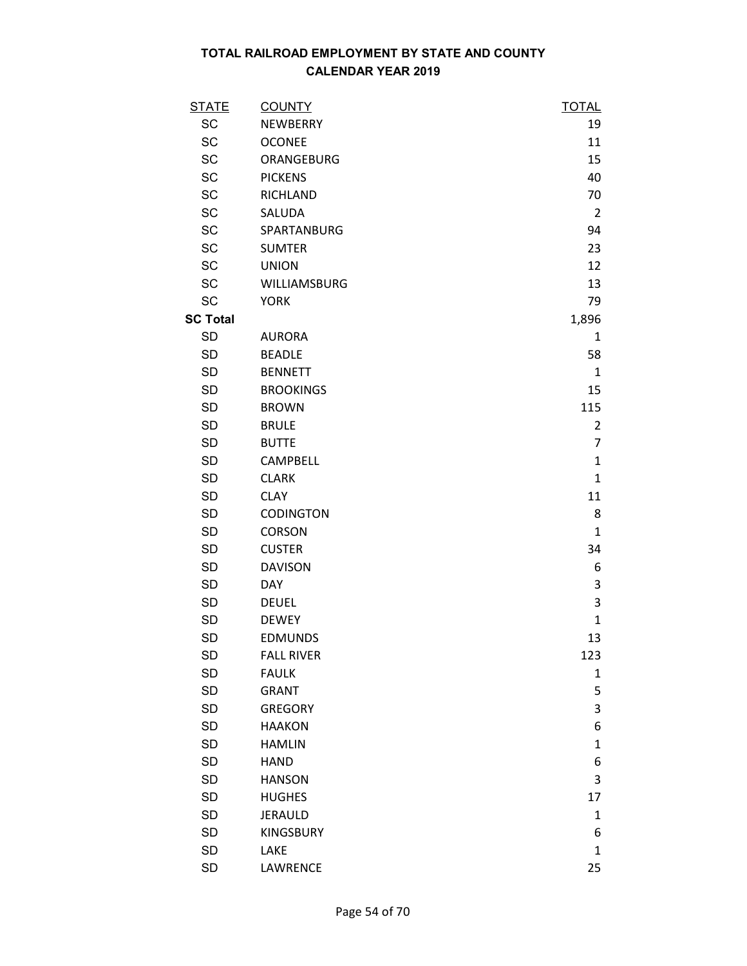| <b>STATE</b>    | <b>COUNTY</b>     | <b>TOTAL</b>   |
|-----------------|-------------------|----------------|
| <b>SC</b>       | <b>NEWBERRY</b>   | 19             |
| SC              | <b>OCONEE</b>     | 11             |
| <b>SC</b>       | ORANGEBURG        | 15             |
| <b>SC</b>       | <b>PICKENS</b>    | 40             |
| SC              | <b>RICHLAND</b>   | 70             |
| <b>SC</b>       | SALUDA            | $\overline{2}$ |
| SC              | SPARTANBURG       | 94             |
| SC              | <b>SUMTER</b>     | 23             |
| SC              | <b>UNION</b>      | 12             |
| <b>SC</b>       | WILLIAMSBURG      | 13             |
| SC              | <b>YORK</b>       | 79             |
| <b>SC Total</b> |                   | 1,896          |
| <b>SD</b>       | <b>AURORA</b>     | $\mathbf{1}$   |
| <b>SD</b>       | <b>BEADLE</b>     | 58             |
| <b>SD</b>       | <b>BENNETT</b>    | $\mathbf{1}$   |
| <b>SD</b>       | <b>BROOKINGS</b>  | 15             |
| <b>SD</b>       | <b>BROWN</b>      | 115            |
| <b>SD</b>       | <b>BRULE</b>      | $\overline{2}$ |
| <b>SD</b>       | <b>BUTTE</b>      | $\overline{7}$ |
| <b>SD</b>       | CAMPBELL          | $\mathbf{1}$   |
| <b>SD</b>       | <b>CLARK</b>      | $\mathbf{1}$   |
| <b>SD</b>       | <b>CLAY</b>       | 11             |
| <b>SD</b>       | <b>CODINGTON</b>  | 8              |
| <b>SD</b>       | <b>CORSON</b>     | $\mathbf{1}$   |
| <b>SD</b>       | <b>CUSTER</b>     | 34             |
| <b>SD</b>       | <b>DAVISON</b>    | 6              |
| SD              | <b>DAY</b>        | 3              |
| <b>SD</b>       | <b>DEUEL</b>      | 3              |
| <b>SD</b>       | <b>DEWEY</b>      | $\mathbf{1}$   |
| <b>SD</b>       | <b>EDMUNDS</b>    | 13             |
| <b>SD</b>       | <b>FALL RIVER</b> | 123            |
| <b>SD</b>       | <b>FAULK</b>      | 1              |
| SD              | <b>GRANT</b>      | 5              |
| <b>SD</b>       | <b>GREGORY</b>    | 3              |
| <b>SD</b>       | <b>HAAKON</b>     | 6              |
| <b>SD</b>       | <b>HAMLIN</b>     | $\mathbf{1}$   |
| <b>SD</b>       | <b>HAND</b>       | 6              |
| <b>SD</b>       | <b>HANSON</b>     | 3              |
| SD              | <b>HUGHES</b>     | 17             |
| <b>SD</b>       | <b>JERAULD</b>    | $\mathbf{1}$   |
| <b>SD</b>       | <b>KINGSBURY</b>  | 6              |
| SD              | LAKE              | $\mathbf{1}$   |
| <b>SD</b>       | LAWRENCE          | 25             |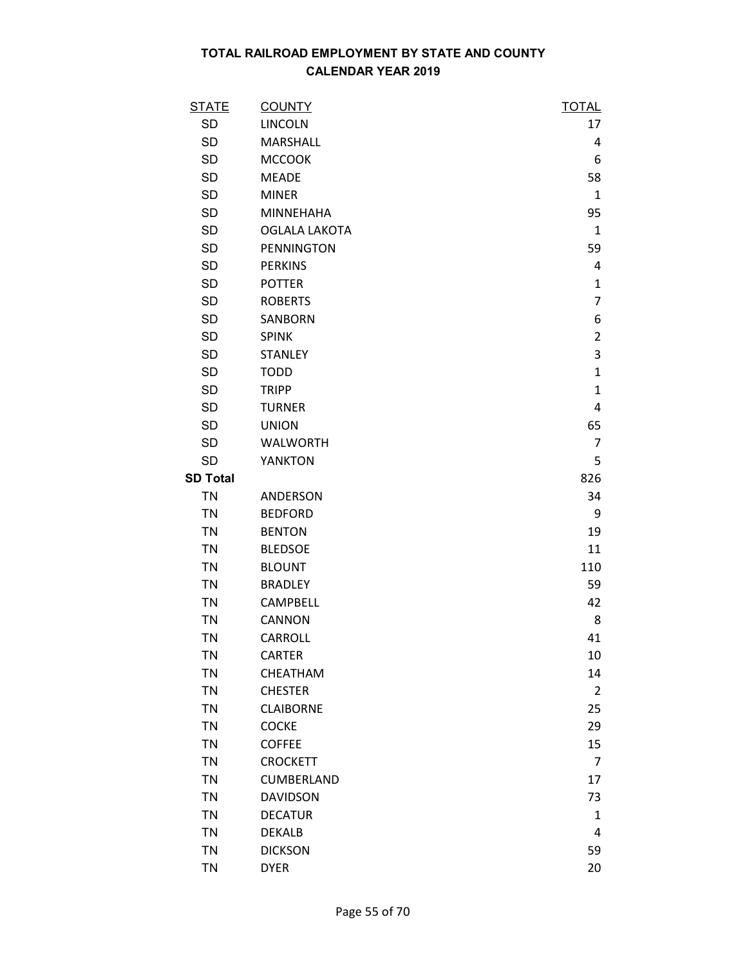| <b>STATE</b>    | <b>COUNTY</b>        | <b>TOTAL</b>   |
|-----------------|----------------------|----------------|
| <b>SD</b>       | <b>LINCOLN</b>       | 17             |
| <b>SD</b>       | <b>MARSHALL</b>      | 4              |
| <b>SD</b>       | <b>MCCOOK</b>        | 6              |
| <b>SD</b>       | <b>MEADE</b>         | 58             |
| <b>SD</b>       | <b>MINER</b>         | $\mathbf{1}$   |
| <b>SD</b>       | <b>MINNEHAHA</b>     | 95             |
| <b>SD</b>       | <b>OGLALA LAKOTA</b> | $\mathbf{1}$   |
| <b>SD</b>       | <b>PENNINGTON</b>    | 59             |
| <b>SD</b>       | <b>PERKINS</b>       | 4              |
| <b>SD</b>       | <b>POTTER</b>        | $\mathbf{1}$   |
| <b>SD</b>       | <b>ROBERTS</b>       | 7              |
| <b>SD</b>       | SANBORN              | 6              |
| <b>SD</b>       | <b>SPINK</b>         | $\overline{2}$ |
| <b>SD</b>       | <b>STANLEY</b>       | 3              |
| <b>SD</b>       | <b>TODD</b>          | $\mathbf{1}$   |
| <b>SD</b>       | <b>TRIPP</b>         | $\mathbf{1}$   |
| <b>SD</b>       | <b>TURNER</b>        | 4              |
| <b>SD</b>       | <b>UNION</b>         | 65             |
| <b>SD</b>       | <b>WALWORTH</b>      | $\overline{7}$ |
| <b>SD</b>       | <b>YANKTON</b>       | 5              |
| <b>SD Total</b> |                      | 826            |
| <b>TN</b>       | ANDERSON             | 34             |
| <b>TN</b>       | <b>BEDFORD</b>       | 9              |
| <b>TN</b>       | <b>BENTON</b>        | 19             |
| <b>TN</b>       | <b>BLEDSOE</b>       | 11             |
| <b>TN</b>       | <b>BLOUNT</b>        | 110            |
| <b>TN</b>       | <b>BRADLEY</b>       | 59             |
| <b>TN</b>       | CAMPBELL             | 42             |
| <b>TN</b>       | CANNON               | 8              |
| <b>TN</b>       | <b>CARROLL</b>       | 41             |
| TN              | <b>CARTER</b>        | 10             |
| <b>TN</b>       | CHEATHAM             | 14             |
| <b>TN</b>       | <b>CHESTER</b>       | 2              |
| <b>TN</b>       | <b>CLAIBORNE</b>     | 25             |
| <b>TN</b>       | <b>COCKE</b>         | 29             |
| <b>TN</b>       | <b>COFFEE</b>        | 15             |
| <b>TN</b>       | <b>CROCKETT</b>      | 7              |
| <b>TN</b>       | CUMBERLAND           | 17             |
| <b>TN</b>       | <b>DAVIDSON</b>      | 73             |
| <b>TN</b>       | <b>DECATUR</b>       | $\mathbf{1}$   |
| <b>TN</b>       | <b>DEKALB</b>        | 4              |
| <b>TN</b>       | <b>DICKSON</b>       | 59             |
| <b>TN</b>       | <b>DYER</b>          | 20             |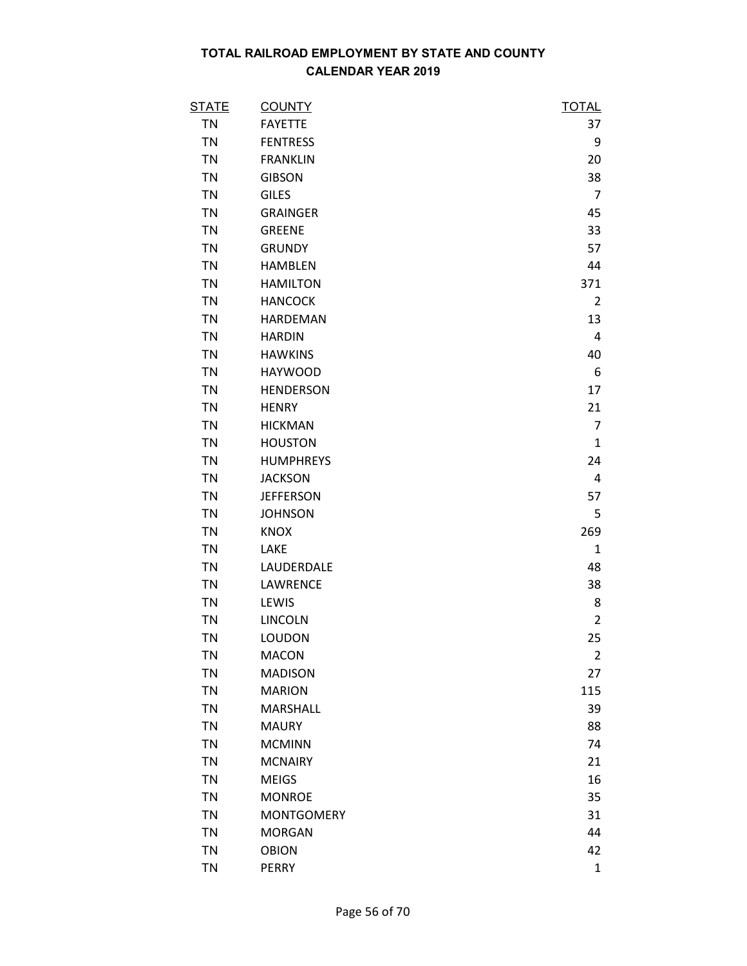| <u>STATE</u> | <b>COUNTY</b>     | <u>TOTAL</u>   |
|--------------|-------------------|----------------|
| <b>TN</b>    | <b>FAYETTE</b>    | 37             |
| <b>TN</b>    | <b>FENTRESS</b>   | 9              |
| TN           | <b>FRANKLIN</b>   | 20             |
| <b>TN</b>    | <b>GIBSON</b>     | 38             |
| <b>TN</b>    | <b>GILES</b>      | $\overline{7}$ |
| <b>TN</b>    | <b>GRAINGER</b>   | 45             |
| <b>TN</b>    | <b>GREENE</b>     | 33             |
| <b>TN</b>    | <b>GRUNDY</b>     | 57             |
| <b>TN</b>    | <b>HAMBLEN</b>    | 44             |
| <b>TN</b>    | <b>HAMILTON</b>   | 371            |
| <b>TN</b>    | <b>HANCOCK</b>    | $\overline{2}$ |
| <b>TN</b>    | HARDEMAN          | 13             |
| <b>TN</b>    | <b>HARDIN</b>     | 4              |
| <b>TN</b>    | <b>HAWKINS</b>    | 40             |
| <b>TN</b>    | <b>HAYWOOD</b>    | 6              |
| <b>TN</b>    | <b>HENDERSON</b>  | 17             |
| <b>TN</b>    | <b>HENRY</b>      | 21             |
| <b>TN</b>    | <b>HICKMAN</b>    | $\overline{7}$ |
| <b>TN</b>    | <b>HOUSTON</b>    | $\mathbf{1}$   |
| <b>TN</b>    | <b>HUMPHREYS</b>  | 24             |
| <b>TN</b>    | <b>JACKSON</b>    | 4              |
| <b>TN</b>    | <b>JEFFERSON</b>  | 57             |
| <b>TN</b>    | <b>JOHNSON</b>    | 5              |
| <b>TN</b>    | <b>KNOX</b>       | 269            |
| <b>TN</b>    | LAKE              | $\mathbf{1}$   |
| <b>TN</b>    | LAUDERDALE        | 48             |
| <b>TN</b>    | LAWRENCE          | 38             |
| <b>TN</b>    | LEWIS             | 8              |
| <b>TN</b>    | <b>LINCOLN</b>    | $\overline{2}$ |
| <b>TN</b>    | LOUDON            | 25             |
| <b>TN</b>    | <b>MACON</b>      | $\overline{c}$ |
| <b>TN</b>    | <b>MADISON</b>    | 27             |
| <b>TN</b>    | <b>MARION</b>     | 115            |
| <b>TN</b>    | MARSHALL          | 39             |
| <b>TN</b>    | <b>MAURY</b>      | 88             |
| <b>TN</b>    | <b>MCMINN</b>     | 74             |
| <b>TN</b>    | <b>MCNAIRY</b>    | 21             |
| <b>TN</b>    | <b>MEIGS</b>      | 16             |
| <b>TN</b>    | <b>MONROE</b>     | 35             |
| <b>TN</b>    | <b>MONTGOMERY</b> | 31             |
| <b>TN</b>    | <b>MORGAN</b>     | 44             |
| <b>TN</b>    | <b>OBION</b>      | 42             |
| <b>TN</b>    | PERRY             | $\mathbf{1}$   |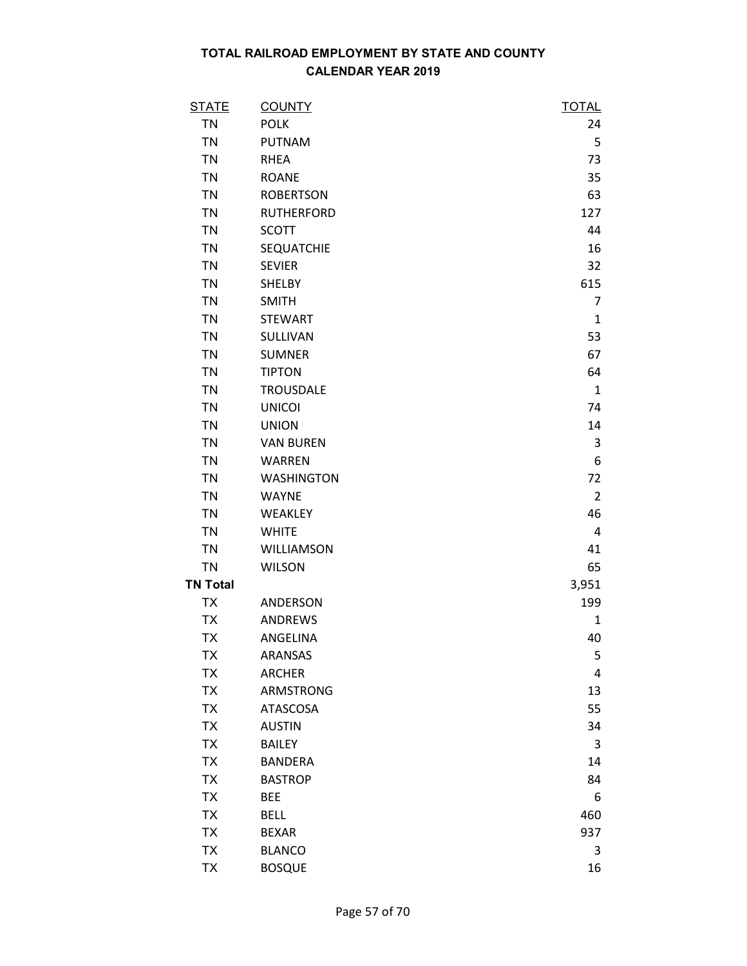| <b>STATE</b>    | <b>COUNTY</b>     | <b>TOTAL</b>   |
|-----------------|-------------------|----------------|
| <b>TN</b>       | <b>POLK</b>       | 24             |
| <b>TN</b>       | <b>PUTNAM</b>     | 5              |
| <b>TN</b>       | <b>RHEA</b>       | 73             |
| <b>TN</b>       | <b>ROANE</b>      | 35             |
| <b>TN</b>       | <b>ROBERTSON</b>  | 63             |
| <b>TN</b>       | <b>RUTHERFORD</b> | 127            |
| <b>TN</b>       | <b>SCOTT</b>      | 44             |
| <b>TN</b>       | <b>SEQUATCHIE</b> | 16             |
| <b>TN</b>       | <b>SEVIER</b>     | 32             |
| <b>TN</b>       | <b>SHELBY</b>     | 615            |
| <b>TN</b>       | <b>SMITH</b>      | $\overline{7}$ |
| <b>TN</b>       | <b>STEWART</b>    | $\mathbf{1}$   |
| <b>TN</b>       | SULLIVAN          | 53             |
| <b>TN</b>       | <b>SUMNER</b>     | 67             |
| <b>TN</b>       | <b>TIPTON</b>     | 64             |
| <b>TN</b>       | <b>TROUSDALE</b>  | $\mathbf{1}$   |
| <b>TN</b>       | <b>UNICOI</b>     | 74             |
| <b>TN</b>       | <b>UNION</b>      | 14             |
| <b>TN</b>       | <b>VAN BUREN</b>  | 3              |
| <b>TN</b>       | <b>WARREN</b>     | 6              |
| <b>TN</b>       | <b>WASHINGTON</b> | 72             |
| <b>TN</b>       | <b>WAYNE</b>      | $\overline{2}$ |
| <b>TN</b>       | WEAKLEY           | 46             |
| <b>TN</b>       | <b>WHITE</b>      | 4              |
| <b>TN</b>       | WILLIAMSON        | 41             |
| <b>TN</b>       | <b>WILSON</b>     | 65             |
| <b>TN Total</b> |                   | 3,951          |
| <b>TX</b>       | ANDERSON          | 199            |
| <b>TX</b>       | <b>ANDREWS</b>    | 1              |
| <b>TX</b>       | ANGELINA          | 40             |
| TX              | <b>ARANSAS</b>    | 5              |
| <b>TX</b>       | <b>ARCHER</b>     | 4              |
| <b>TX</b>       | <b>ARMSTRONG</b>  | 13             |
| <b>TX</b>       | ATASCOSA          | 55             |
| <b>TX</b>       | <b>AUSTIN</b>     | 34             |
| <b>TX</b>       | <b>BAILEY</b>     | 3              |
| <b>TX</b>       | <b>BANDERA</b>    | 14             |
| <b>TX</b>       | <b>BASTROP</b>    | 84             |
| <b>TX</b>       | <b>BEE</b>        | 6              |
| <b>TX</b>       | <b>BELL</b>       | 460            |
| <b>TX</b>       | <b>BEXAR</b>      | 937            |
| <b>TX</b>       | <b>BLANCO</b>     | 3              |
| <b>TX</b>       | <b>BOSQUE</b>     | 16             |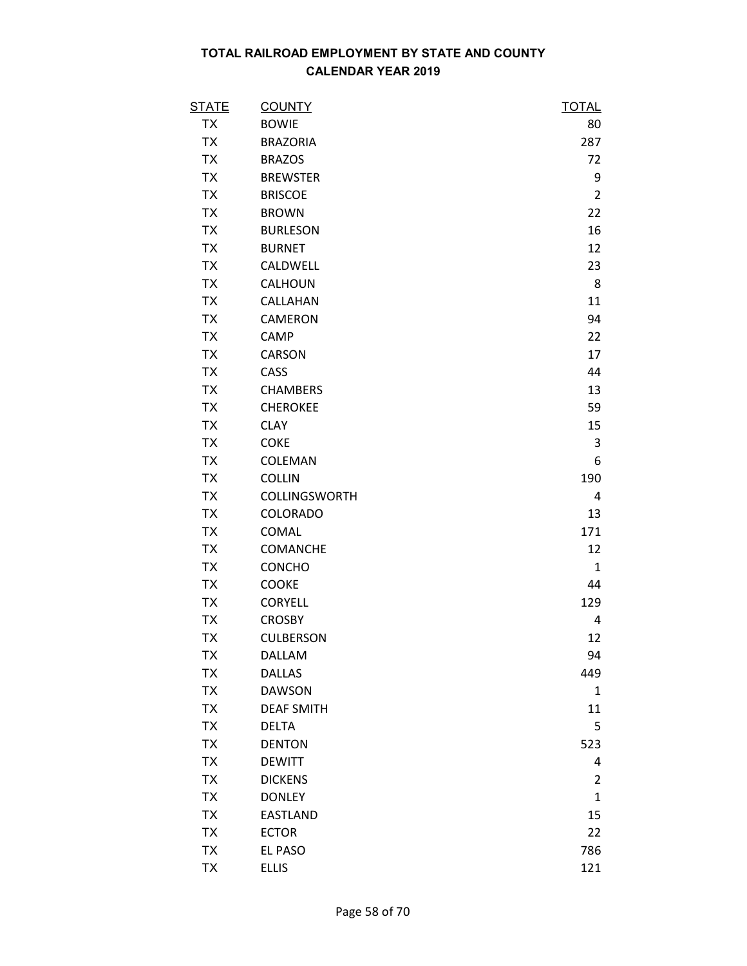| <b>STATE</b> | <b>COUNTY</b>     | <b>TOTAL</b>   |
|--------------|-------------------|----------------|
| <b>TX</b>    | <b>BOWIE</b>      | 80             |
| <b>TX</b>    | <b>BRAZORIA</b>   | 287            |
| <b>TX</b>    | <b>BRAZOS</b>     | 72             |
| <b>TX</b>    | <b>BREWSTER</b>   | 9              |
| <b>TX</b>    | <b>BRISCOE</b>    | $\overline{2}$ |
| <b>TX</b>    | <b>BROWN</b>      | 22             |
| TX           | <b>BURLESON</b>   | 16             |
| <b>TX</b>    | <b>BURNET</b>     | 12             |
| <b>TX</b>    | CALDWELL          | 23             |
| <b>TX</b>    | CALHOUN           | 8              |
| <b>TX</b>    | CALLAHAN          | 11             |
| <b>TX</b>    | CAMERON           | 94             |
| <b>TX</b>    | CAMP              | 22             |
| <b>TX</b>    | CARSON            | 17             |
| <b>TX</b>    | CASS              | 44             |
| <b>TX</b>    | <b>CHAMBERS</b>   | 13             |
| <b>TX</b>    | <b>CHEROKEE</b>   | 59             |
| <b>TX</b>    | <b>CLAY</b>       | 15             |
| <b>TX</b>    | <b>COKE</b>       | 3              |
| <b>TX</b>    | COLEMAN           | 6              |
| <b>TX</b>    | <b>COLLIN</b>     | 190            |
| <b>TX</b>    | COLLINGSWORTH     | 4              |
| <b>TX</b>    | <b>COLORADO</b>   | 13             |
| <b>TX</b>    | COMAL             | 171            |
| <b>TX</b>    | COMANCHE          | 12             |
| <b>TX</b>    | CONCHO            | $\mathbf{1}$   |
| <b>TX</b>    | <b>COOKE</b>      | 44             |
| <b>TX</b>    | <b>CORYELL</b>    | 129            |
| <b>TX</b>    | <b>CROSBY</b>     | 4              |
| <b>TX</b>    | <b>CULBERSON</b>  | 12             |
| TX           | DALLAM            | 94             |
| <b>TX</b>    | <b>DALLAS</b>     | 449            |
| <b>TX</b>    | <b>DAWSON</b>     | $\mathbf{1}$   |
| <b>TX</b>    | <b>DEAF SMITH</b> | 11             |
| <b>TX</b>    | <b>DELTA</b>      | 5              |
| <b>TX</b>    | <b>DENTON</b>     | 523            |
| <b>TX</b>    | <b>DEWITT</b>     | 4              |
| <b>TX</b>    | <b>DICKENS</b>    | $\overline{2}$ |
| <b>TX</b>    | <b>DONLEY</b>     | $\mathbf{1}$   |
| <b>TX</b>    | <b>EASTLAND</b>   | 15             |
| <b>TX</b>    | <b>ECTOR</b>      | 22             |
| <b>TX</b>    | EL PASO           | 786            |
| <b>TX</b>    | <b>ELLIS</b>      | 121            |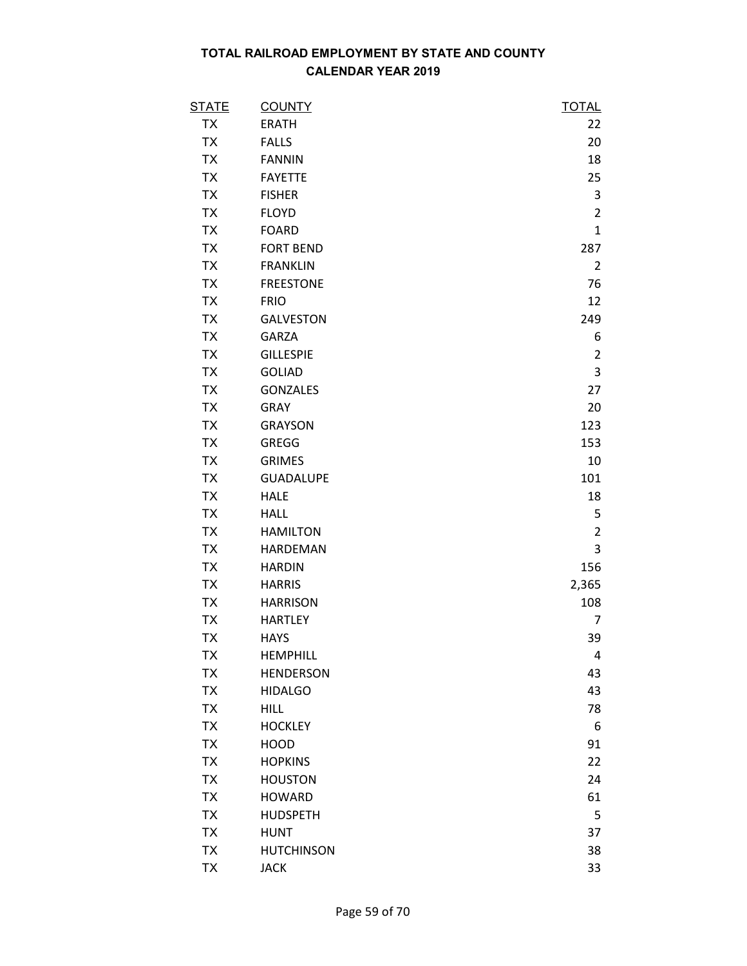| <b>STATE</b> | <b>COUNTY</b>     | <b>TOTAL</b>   |
|--------------|-------------------|----------------|
| TX           | <b>ERATH</b>      | 22             |
| ТX           | <b>FALLS</b>      | 20             |
| <b>TX</b>    | <b>FANNIN</b>     | 18             |
| <b>TX</b>    | <b>FAYETTE</b>    | 25             |
| <b>TX</b>    | <b>FISHER</b>     | 3              |
| <b>TX</b>    | <b>FLOYD</b>      | $\overline{2}$ |
| TX           | <b>FOARD</b>      | $\mathbf{1}$   |
| <b>TX</b>    | <b>FORT BEND</b>  | 287            |
| <b>TX</b>    | <b>FRANKLIN</b>   | $\overline{2}$ |
| <b>TX</b>    | <b>FREESTONE</b>  | 76             |
| <b>TX</b>    | <b>FRIO</b>       | 12             |
| <b>TX</b>    | <b>GALVESTON</b>  | 249            |
| <b>TX</b>    | <b>GARZA</b>      | 6              |
| TX           | <b>GILLESPIE</b>  | $\overline{2}$ |
| <b>TX</b>    | <b>GOLIAD</b>     | 3              |
| <b>TX</b>    | <b>GONZALES</b>   | 27             |
| <b>TX</b>    | <b>GRAY</b>       | 20             |
| <b>TX</b>    | <b>GRAYSON</b>    | 123            |
| TX           | <b>GREGG</b>      | 153            |
| <b>TX</b>    | <b>GRIMES</b>     | 10             |
| <b>TX</b>    | <b>GUADALUPE</b>  | 101            |
| <b>TX</b>    | <b>HALE</b>       | 18             |
| <b>TX</b>    | <b>HALL</b>       | 5              |
| <b>TX</b>    | <b>HAMILTON</b>   | $\overline{2}$ |
| <b>TX</b>    | <b>HARDEMAN</b>   | 3              |
| TX           | <b>HARDIN</b>     | 156            |
| <b>TX</b>    | <b>HARRIS</b>     | 2,365          |
| TX           | <b>HARRISON</b>   | 108            |
| <b>TX</b>    | <b>HARTLEY</b>    | 7              |
| <b>TX</b>    | <b>HAYS</b>       | 39             |
| TX           | <b>HEMPHILL</b>   | 4              |
| <b>TX</b>    | <b>HENDERSON</b>  | 43             |
| TX           | <b>HIDALGO</b>    | 43             |
| <b>TX</b>    | <b>HILL</b>       | 78             |
| <b>TX</b>    | <b>HOCKLEY</b>    | 6              |
| TX           | <b>HOOD</b>       | 91             |
| <b>TX</b>    | <b>HOPKINS</b>    | 22             |
| TX           | <b>HOUSTON</b>    | 24             |
| <b>TX</b>    | <b>HOWARD</b>     | 61             |
| <b>TX</b>    | <b>HUDSPETH</b>   | 5              |
| <b>TX</b>    | <b>HUNT</b>       | 37             |
| <b>TX</b>    | <b>HUTCHINSON</b> | 38             |
| <b>TX</b>    | <b>JACK</b>       | 33             |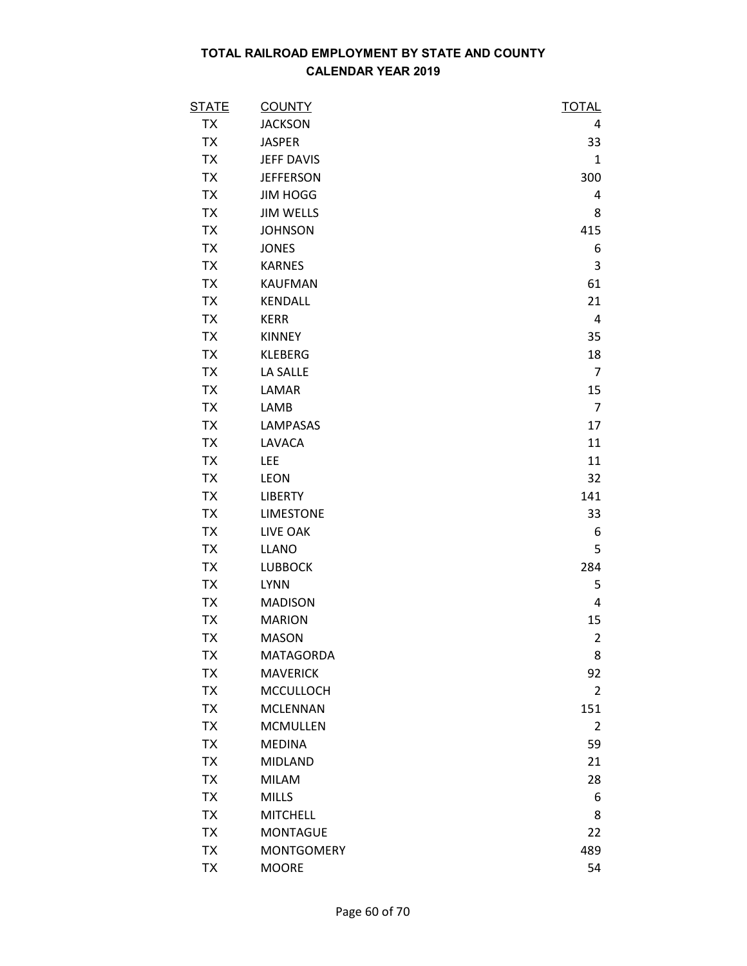| <b>STATE</b> | <b>COUNTY</b>     | <u>TOTAL</u>   |
|--------------|-------------------|----------------|
| <b>TX</b>    | <b>JACKSON</b>    | 4              |
| <b>TX</b>    | <b>JASPER</b>     | 33             |
| <b>TX</b>    | <b>JEFF DAVIS</b> | $\mathbf{1}$   |
| <b>TX</b>    | <b>JEFFERSON</b>  | 300            |
| <b>TX</b>    | <b>JIM HOGG</b>   | 4              |
| <b>TX</b>    | <b>JIM WELLS</b>  | 8              |
| <b>TX</b>    | <b>JOHNSON</b>    | 415            |
| <b>TX</b>    | <b>JONES</b>      | 6              |
| <b>TX</b>    | <b>KARNES</b>     | 3              |
| <b>TX</b>    | <b>KAUFMAN</b>    | 61             |
| <b>TX</b>    | KENDALL           | 21             |
| <b>TX</b>    | <b>KERR</b>       | 4              |
| <b>TX</b>    | <b>KINNEY</b>     | 35             |
| <b>TX</b>    | <b>KLEBERG</b>    | 18             |
| <b>TX</b>    | LA SALLE          | $\overline{7}$ |
| <b>TX</b>    | LAMAR             | 15             |
| <b>TX</b>    | LAMB              | $\overline{7}$ |
| <b>TX</b>    | <b>LAMPASAS</b>   | 17             |
| <b>TX</b>    | LAVACA            | 11             |
| <b>TX</b>    | <b>LEE</b>        | 11             |
| <b>TX</b>    | <b>LEON</b>       | 32             |
| <b>TX</b>    | <b>LIBERTY</b>    | 141            |
| <b>TX</b>    | <b>LIMESTONE</b>  | 33             |
| <b>TX</b>    | LIVE OAK          | 6              |
| <b>TX</b>    | LLANO             | 5              |
| <b>TX</b>    | <b>LUBBOCK</b>    | 284            |
| <b>TX</b>    | <b>LYNN</b>       | 5              |
| <b>TX</b>    | <b>MADISON</b>    | 4              |
| <b>TX</b>    | <b>MARION</b>     | 15             |
| <b>TX</b>    | <b>MASON</b>      | $\overline{2}$ |
| TX           | <b>MATAGORDA</b>  | 8              |
| <b>TX</b>    | <b>MAVERICK</b>   | 92             |
| <b>TX</b>    | <b>MCCULLOCH</b>  | 2              |
| <b>TX</b>    | <b>MCLENNAN</b>   | 151            |
| <b>TX</b>    | <b>MCMULLEN</b>   | $\overline{2}$ |
| TX           | <b>MEDINA</b>     | 59             |
| <b>TX</b>    | <b>MIDLAND</b>    | 21             |
| TX           | <b>MILAM</b>      | 28             |
| <b>TX</b>    | <b>MILLS</b>      | 6              |
| <b>TX</b>    | <b>MITCHELL</b>   | 8              |
| TX           | <b>MONTAGUE</b>   | 22             |
| TX           | <b>MONTGOMERY</b> | 489            |
| ТX           | <b>MOORE</b>      | 54             |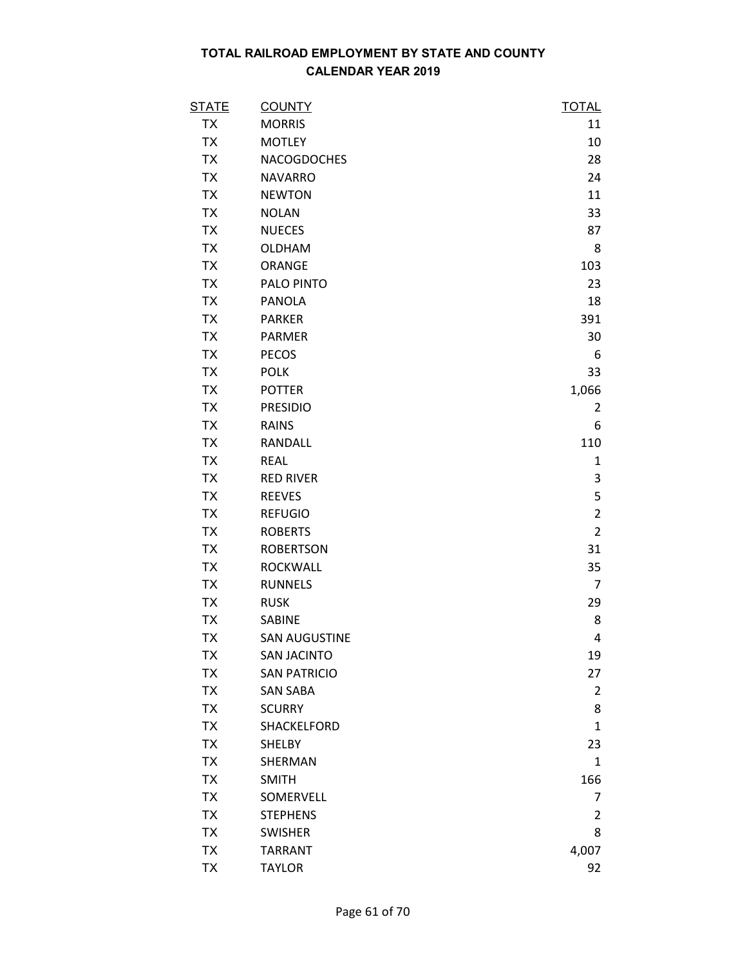| <u>STATE</u> | <b>COUNTY</b>        | <b>TOTAL</b>   |
|--------------|----------------------|----------------|
| TX           | <b>MORRIS</b>        | 11             |
| TX           | <b>MOTLEY</b>        | 10             |
| <b>TX</b>    | <b>NACOGDOCHES</b>   | 28             |
| <b>TX</b>    | <b>NAVARRO</b>       | 24             |
| <b>TX</b>    | <b>NEWTON</b>        | 11             |
| <b>TX</b>    | <b>NOLAN</b>         | 33             |
| TX           | <b>NUECES</b>        | 87             |
| <b>TX</b>    | <b>OLDHAM</b>        | 8              |
| <b>TX</b>    | ORANGE               | 103            |
| <b>TX</b>    | PALO PINTO           | 23             |
| <b>TX</b>    | <b>PANOLA</b>        | 18             |
| TX           | <b>PARKER</b>        | 391            |
| <b>TX</b>    | <b>PARMER</b>        | 30             |
| <b>TX</b>    | <b>PECOS</b>         | 6              |
| <b>TX</b>    | <b>POLK</b>          | 33             |
| <b>TX</b>    | <b>POTTER</b>        | 1,066          |
| TX           | <b>PRESIDIO</b>      | 2              |
| <b>TX</b>    | <b>RAINS</b>         | 6              |
| TX           | RANDALL              | 110            |
| <b>TX</b>    | <b>REAL</b>          | $\mathbf{1}$   |
| <b>TX</b>    | <b>RED RIVER</b>     | 3              |
| <b>TX</b>    | <b>REEVES</b>        | 5              |
| <b>TX</b>    | <b>REFUGIO</b>       | $\overline{2}$ |
| <b>TX</b>    | <b>ROBERTS</b>       | $\overline{2}$ |
| <b>TX</b>    | <b>ROBERTSON</b>     | 31             |
| TX           | <b>ROCKWALL</b>      | 35             |
| <b>TX</b>    | <b>RUNNELS</b>       | $\overline{7}$ |
| <b>TX</b>    | <b>RUSK</b>          | 29             |
| TX           | SABINE               | 8              |
| <b>TX</b>    | <b>SAN AUGUSTINE</b> | 4              |
| TX           | <b>SAN JACINTO</b>   | 19             |
| <b>TX</b>    | <b>SAN PATRICIO</b>  | 27             |
| TX           | <b>SAN SABA</b>      | 2              |
| <b>TX</b>    | <b>SCURRY</b>        | 8              |
| <b>TX</b>    | SHACKELFORD          | $\mathbf{1}$   |
| TX           | <b>SHELBY</b>        | 23             |
| <b>TX</b>    | SHERMAN              | $\mathbf{1}$   |
| TX           | <b>SMITH</b>         | 166            |
| <b>TX</b>    | SOMERVELL            | 7              |
| <b>TX</b>    | <b>STEPHENS</b>      | $\overline{2}$ |
| <b>TX</b>    | <b>SWISHER</b>       | 8              |
| <b>TX</b>    | <b>TARRANT</b>       | 4,007          |
| <b>TX</b>    | <b>TAYLOR</b>        | 92             |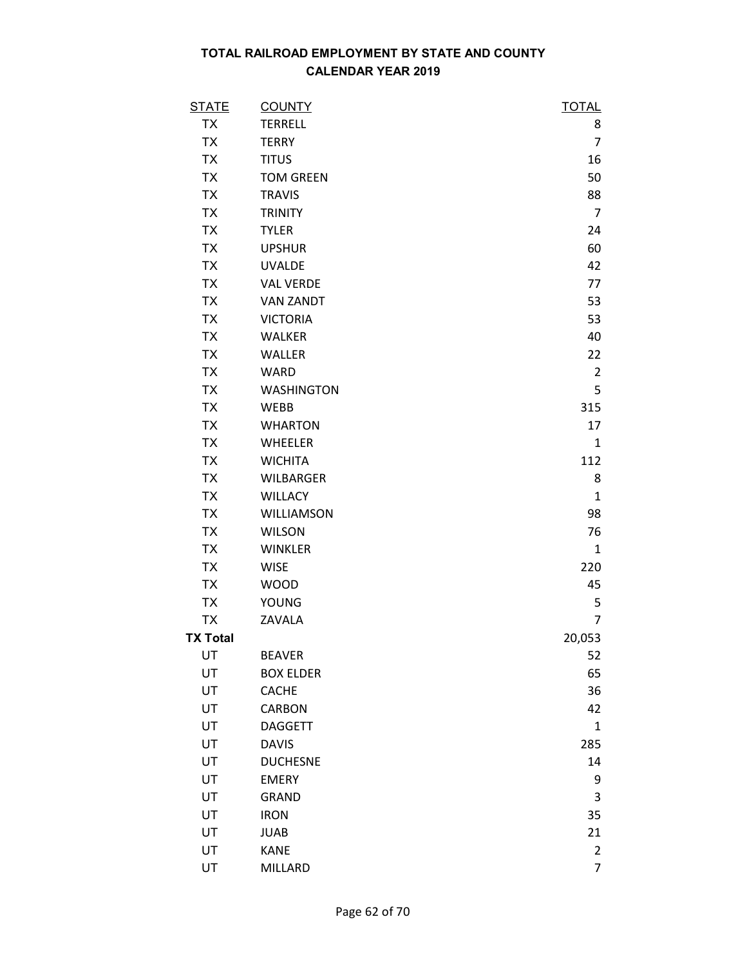| <b>STATE</b>    | <b>COUNTY</b>     | <b>TOTAL</b>   |
|-----------------|-------------------|----------------|
| <b>TX</b>       | <b>TERRELL</b>    | 8              |
| <b>TX</b>       | <b>TERRY</b>      | $\overline{7}$ |
| <b>TX</b>       | <b>TITUS</b>      | 16             |
| <b>TX</b>       | <b>TOM GREEN</b>  | 50             |
| <b>TX</b>       | <b>TRAVIS</b>     | 88             |
| <b>TX</b>       | <b>TRINITY</b>    | $\overline{7}$ |
| <b>TX</b>       | <b>TYLER</b>      | 24             |
| <b>TX</b>       | <b>UPSHUR</b>     | 60             |
| <b>TX</b>       | <b>UVALDE</b>     | 42             |
| <b>TX</b>       | <b>VAL VERDE</b>  | 77             |
| <b>TX</b>       | <b>VAN ZANDT</b>  | 53             |
| <b>TX</b>       | <b>VICTORIA</b>   | 53             |
| <b>TX</b>       | <b>WALKER</b>     | 40             |
| <b>TX</b>       | WALLER            | 22             |
| <b>TX</b>       | <b>WARD</b>       | $\overline{2}$ |
| <b>TX</b>       | <b>WASHINGTON</b> | 5              |
| <b>TX</b>       | WEBB              | 315            |
| <b>TX</b>       | <b>WHARTON</b>    | 17             |
| <b>TX</b>       | WHEELER           | $\mathbf{1}$   |
| <b>TX</b>       | <b>WICHITA</b>    | 112            |
| <b>TX</b>       | <b>WILBARGER</b>  | 8              |
| <b>TX</b>       | <b>WILLACY</b>    | $\mathbf{1}$   |
| <b>TX</b>       | WILLIAMSON        | 98             |
| <b>TX</b>       | <b>WILSON</b>     | 76             |
| <b>TX</b>       | <b>WINKLER</b>    | $\mathbf{1}$   |
| <b>TX</b>       | <b>WISE</b>       | 220            |
| <b>TX</b>       | <b>WOOD</b>       | 45             |
| <b>TX</b>       | <b>YOUNG</b>      | 5              |
| <b>TX</b>       | ZAVALA            | $\overline{7}$ |
| <b>TX Total</b> |                   | 20,053         |
| UT              | <b>BEAVER</b>     | 52             |
| UT              | <b>BOX ELDER</b>  | 65             |
| UT              | <b>CACHE</b>      | 36             |
| UT              | <b>CARBON</b>     | 42             |
| UT              | <b>DAGGETT</b>    | $\mathbf{1}$   |
| UT              | <b>DAVIS</b>      | 285            |
| UT              | <b>DUCHESNE</b>   | 14             |
| UT              | <b>EMERY</b>      | 9              |
| UT              | <b>GRAND</b>      | 3              |
| UT              | <b>IRON</b>       | 35             |
| UT              | <b>JUAB</b>       | 21             |
| UT              | <b>KANE</b>       | $\overline{2}$ |
| UT              | <b>MILLARD</b>    | $\overline{7}$ |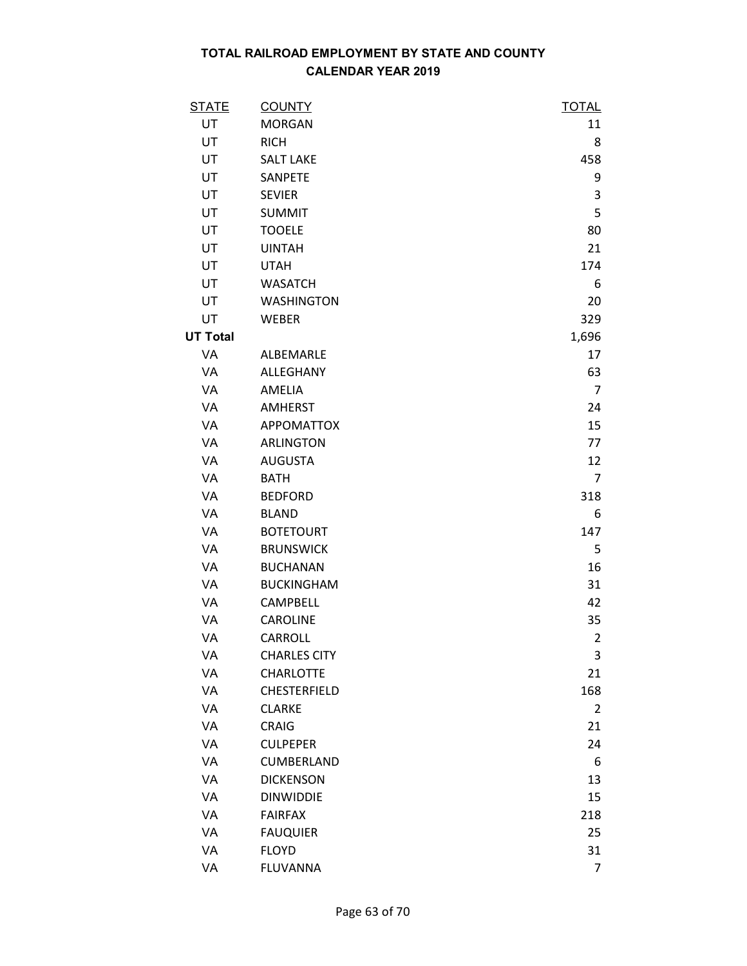| <b>STATE</b>    | <b>COUNTY</b>       | <b>TOTAL</b>   |
|-----------------|---------------------|----------------|
| UT              | <b>MORGAN</b>       | 11             |
| UT              | <b>RICH</b>         | 8              |
| UT              | <b>SALT LAKE</b>    | 458            |
| UT              | SANPETE             | 9              |
| UT              | <b>SEVIER</b>       | 3              |
| UT              | <b>SUMMIT</b>       | 5              |
| UT              | <b>TOOELE</b>       | 80             |
| UT              | <b>UINTAH</b>       | 21             |
| UT              | <b>UTAH</b>         | 174            |
| UT              | <b>WASATCH</b>      | 6              |
| UT              | <b>WASHINGTON</b>   | 20             |
| UT              | <b>WEBER</b>        | 329            |
| <b>UT Total</b> |                     | 1,696          |
| VA              | ALBEMARLE           | 17             |
| VA              | ALLEGHANY           | 63             |
| VA              | AMELIA              | $\overline{7}$ |
| VA              | <b>AMHERST</b>      | 24             |
| VA              | <b>APPOMATTOX</b>   | 15             |
| VA              | <b>ARLINGTON</b>    | 77             |
| VA              | <b>AUGUSTA</b>      | 12             |
| VA              | <b>BATH</b>         | $\overline{7}$ |
| VA              | <b>BEDFORD</b>      | 318            |
| VA              | <b>BLAND</b>        | 6              |
| VA              | <b>BOTETOURT</b>    | 147            |
| VA              | <b>BRUNSWICK</b>    | 5              |
| VA              | <b>BUCHANAN</b>     | 16             |
| VA              | <b>BUCKINGHAM</b>   | 31             |
| VA              | CAMPBELL            | 42             |
| VA              | <b>CAROLINE</b>     | 35             |
| <b>VA</b>       | <b>CARROLL</b>      | $\overline{2}$ |
| VA              | <b>CHARLES CITY</b> | 3              |
| VA              | <b>CHARLOTTE</b>    | 21             |
| VA              | CHESTERFIELD        | 168            |
| VA              | <b>CLARKE</b>       | $\overline{2}$ |
| VA              | <b>CRAIG</b>        | 21             |
| VA              | <b>CULPEPER</b>     | 24             |
| VA              | <b>CUMBERLAND</b>   | 6              |
| VA              | <b>DICKENSON</b>    | 13             |
| VA              | <b>DINWIDDIE</b>    | 15             |
| VA              | <b>FAIRFAX</b>      | 218            |
| VA              | <b>FAUQUIER</b>     | 25             |
| VA              | <b>FLOYD</b>        | 31             |
| VA              | <b>FLUVANNA</b>     | 7              |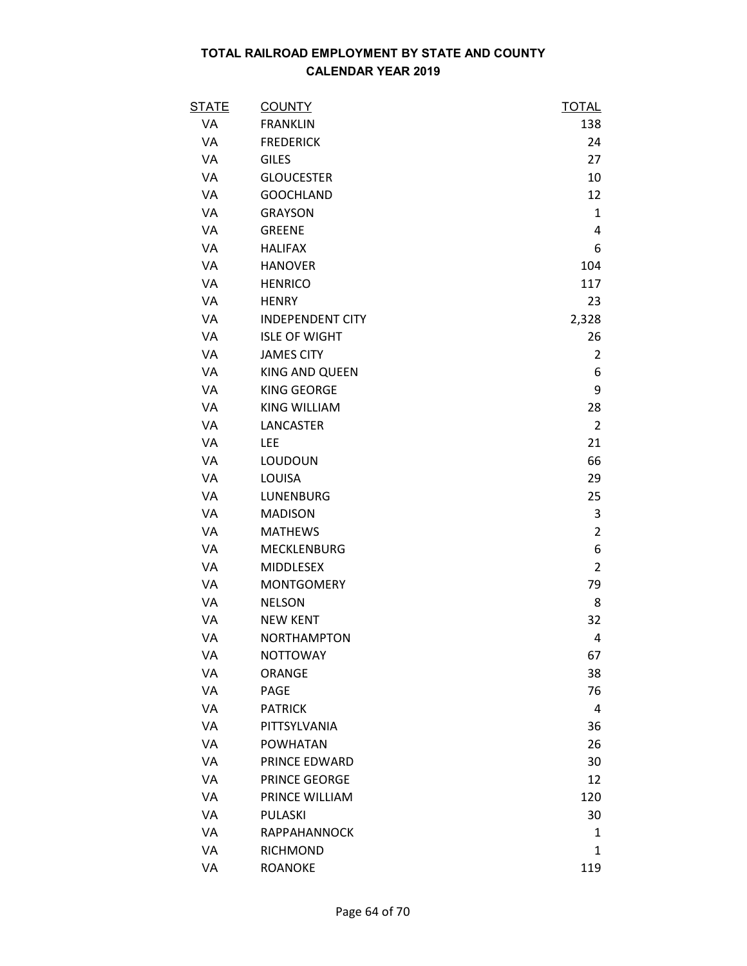| <b>STATE</b> | <b>COUNTY</b>           | <b>TOTAL</b>   |
|--------------|-------------------------|----------------|
| VA           | <b>FRANKLIN</b>         | 138            |
| VA           | <b>FREDERICK</b>        | 24             |
| VA           | <b>GILES</b>            | 27             |
| VA           | <b>GLOUCESTER</b>       | 10             |
| VA           | <b>GOOCHLAND</b>        | 12             |
| VA           | <b>GRAYSON</b>          | $\mathbf{1}$   |
| VA           | <b>GREENE</b>           | 4              |
| VA           | <b>HALIFAX</b>          | 6              |
| VA           | <b>HANOVER</b>          | 104            |
| VA           | <b>HENRICO</b>          | 117            |
| VA           | <b>HENRY</b>            | 23             |
| VA           | <b>INDEPENDENT CITY</b> | 2,328          |
| VA           | <b>ISLE OF WIGHT</b>    | 26             |
| VA           | <b>JAMES CITY</b>       | $\overline{2}$ |
| VA           | KING AND QUEEN          | 6              |
| VA           | KING GEORGE             | 9              |
| <b>VA</b>    | <b>KING WILLIAM</b>     | 28             |
| VA           | LANCASTER               | $\overline{2}$ |
| VA           | <b>LEE</b>              | 21             |
| VA           | LOUDOUN                 | 66             |
| VA           | LOUISA                  | 29             |
| VA           | LUNENBURG               | 25             |
| VA           | <b>MADISON</b>          | 3              |
| VA           | <b>MATHEWS</b>          | $\overline{2}$ |
| VA           | MECKLENBURG             | 6              |
| VA           | MIDDLESEX               | $\overline{2}$ |
| VA           | <b>MONTGOMERY</b>       | 79             |
| VA           | <b>NELSON</b>           | 8              |
| VA           | <b>NEW KENT</b>         | 32             |
| VA           | <b>NORTHAMPTON</b>      | 4              |
| VA           | <b>NOTTOWAY</b>         | 67             |
| VA           | ORANGE                  | 38             |
| VA           | PAGE                    | 76             |
| VA           | <b>PATRICK</b>          | 4              |
| VA           | PITTSYLVANIA            | 36             |
| VA           | <b>POWHATAN</b>         | 26             |
| VA           | PRINCE EDWARD           | 30             |
| VA           | <b>PRINCE GEORGE</b>    | 12             |
| VA           | PRINCE WILLIAM          | 120            |
| VA           | <b>PULASKI</b>          | 30             |
| VA           | RAPPAHANNOCK            | 1              |
| VA           | RICHMOND                | 1              |
| VA           | <b>ROANOKE</b>          | 119            |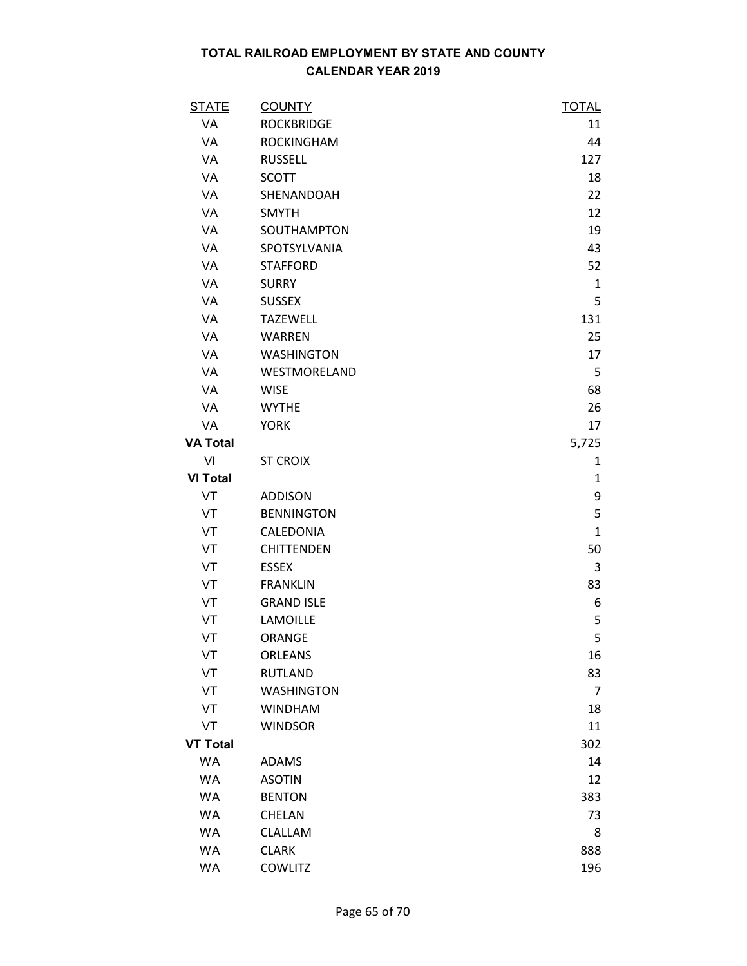| <b>STATE</b>    | <b>COUNTY</b>     | <b>TOTAL</b> |
|-----------------|-------------------|--------------|
| <b>VA</b>       | <b>ROCKBRIDGE</b> | 11           |
| VA              | <b>ROCKINGHAM</b> | 44           |
| VA              | <b>RUSSELL</b>    | 127          |
| VA              | <b>SCOTT</b>      | 18           |
| VA              | SHENANDOAH        | 22           |
| <b>VA</b>       | <b>SMYTH</b>      | 12           |
| VA              | SOUTHAMPTON       | 19           |
| VA              | SPOTSYLVANIA      | 43           |
| VA              | <b>STAFFORD</b>   | 52           |
| VA              | <b>SURRY</b>      | 1            |
| VA              | <b>SUSSEX</b>     | 5            |
| VA              | <b>TAZEWELL</b>   | 131          |
| VA              | <b>WARREN</b>     | 25           |
| VA              | <b>WASHINGTON</b> | 17           |
| VA              | WESTMORELAND      | 5            |
| VA              | <b>WISE</b>       | 68           |
| <b>VA</b>       | <b>WYTHE</b>      | 26           |
| VA              | <b>YORK</b>       | 17           |
| <b>VA Total</b> |                   | 5,725        |
| VI              | <b>ST CROIX</b>   | 1            |
| <b>VI Total</b> |                   | 1            |
| VT              | <b>ADDISON</b>    | 9            |
| VT              | <b>BENNINGTON</b> | 5            |
| VT              | CALEDONIA         | $\mathbf{1}$ |
| VT              | <b>CHITTENDEN</b> | 50           |
| VT              | <b>ESSEX</b>      | 3            |
| VT              | <b>FRANKLIN</b>   | 83           |
| VT              | <b>GRAND ISLE</b> | 6            |
| VT              | LAMOILLE          | 5            |
| VT              | ORANGE            | 5            |
| VT              | <b>ORLEANS</b>    | 16           |
| VT              | <b>RUTLAND</b>    | 83           |
| VT              | <b>WASHINGTON</b> | 7            |
| VT              | <b>WINDHAM</b>    | 18           |
| VT              | <b>WINDSOR</b>    | 11           |
| <b>VT Total</b> |                   | 302          |
| WA              | <b>ADAMS</b>      | 14           |
| <b>WA</b>       | <b>ASOTIN</b>     | 12           |
| <b>WA</b>       | <b>BENTON</b>     | 383          |
| WA              | CHELAN            | 73           |
| <b>WA</b>       | CLALLAM           | 8            |
| <b>WA</b>       | <b>CLARK</b>      | 888          |
| WA              | <b>COWLITZ</b>    | 196          |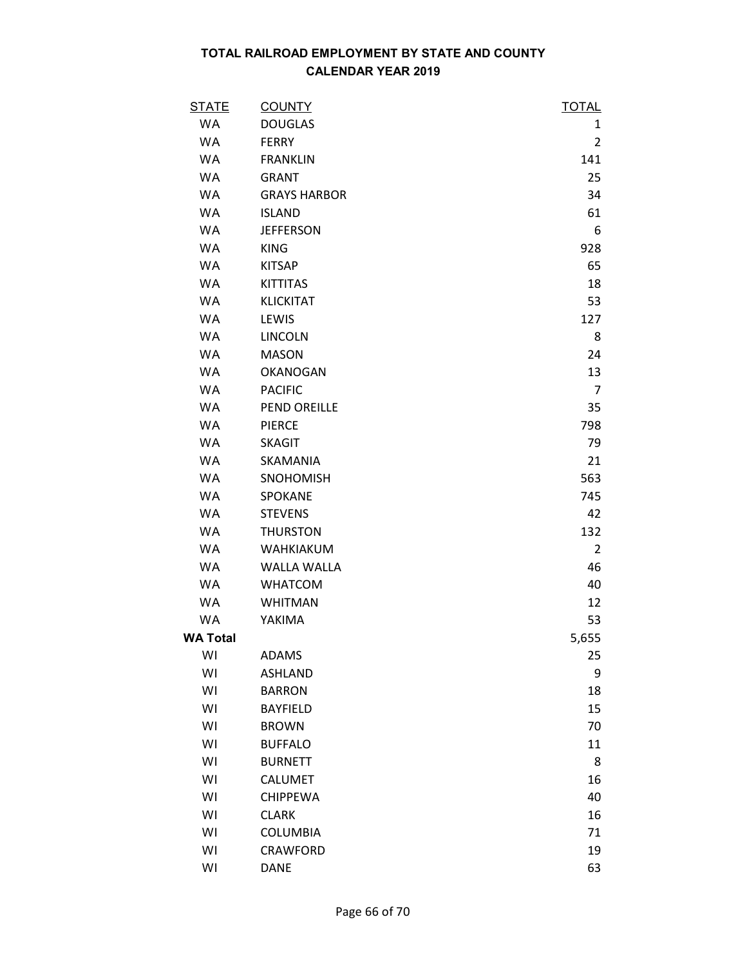| <b>STATE</b>    | <b>COUNTY</b>       | <b>TOTAL</b>   |
|-----------------|---------------------|----------------|
| WA              | <b>DOUGLAS</b>      | 1              |
| WA              | <b>FERRY</b>        | $\overline{2}$ |
| <b>WA</b>       | <b>FRANKLIN</b>     | 141            |
| <b>WA</b>       | <b>GRANT</b>        | 25             |
| <b>WA</b>       | <b>GRAYS HARBOR</b> | 34             |
| <b>WA</b>       | <b>ISLAND</b>       | 61             |
| WA              | <b>JEFFERSON</b>    | 6              |
| <b>WA</b>       | <b>KING</b>         | 928            |
| <b>WA</b>       | <b>KITSAP</b>       | 65             |
| WA              | <b>KITTITAS</b>     | 18             |
| <b>WA</b>       | <b>KLICKITAT</b>    | 53             |
| <b>WA</b>       | LEWIS               | 127            |
| <b>WA</b>       | <b>LINCOLN</b>      | 8              |
| WA              | <b>MASON</b>        | 24             |
| <b>WA</b>       | <b>OKANOGAN</b>     | 13             |
| <b>WA</b>       | <b>PACIFIC</b>      | $\overline{7}$ |
| WA              | PEND OREILLE        | 35             |
| <b>WA</b>       | <b>PIERCE</b>       | 798            |
| WA              | <b>SKAGIT</b>       | 79             |
| <b>WA</b>       | <b>SKAMANIA</b>     | 21             |
| WA              | <b>SNOHOMISH</b>    | 563            |
| WA              | SPOKANE             | 745            |
| <b>WA</b>       | <b>STEVENS</b>      | 42             |
| <b>WA</b>       | <b>THURSTON</b>     | 132            |
| <b>WA</b>       | <b>WAHKIAKUM</b>    | 2              |
| WA              | <b>WALLA WALLA</b>  | 46             |
| <b>WA</b>       | <b>WHATCOM</b>      | 40             |
| WA              | <b>WHITMAN</b>      | 12             |
| WA              | YAKIMA              | 53             |
| <b>WA Total</b> |                     | 5,655          |
| WI              | <b>ADAMS</b>        | 25             |
| WI              | <b>ASHLAND</b>      | 9              |
| WI              | <b>BARRON</b>       | 18             |
| WI              | <b>BAYFIELD</b>     | 15             |
| WI              | <b>BROWN</b>        | 70             |
| WI              | <b>BUFFALO</b>      | 11             |
| WI              | <b>BURNETT</b>      | 8              |
| WI              | <b>CALUMET</b>      | 16             |
| WI              | <b>CHIPPEWA</b>     | 40             |
| WI              | <b>CLARK</b>        | 16             |
| WI              | <b>COLUMBIA</b>     | 71             |
| WI              | CRAWFORD            | 19             |
| WI              | <b>DANE</b>         | 63             |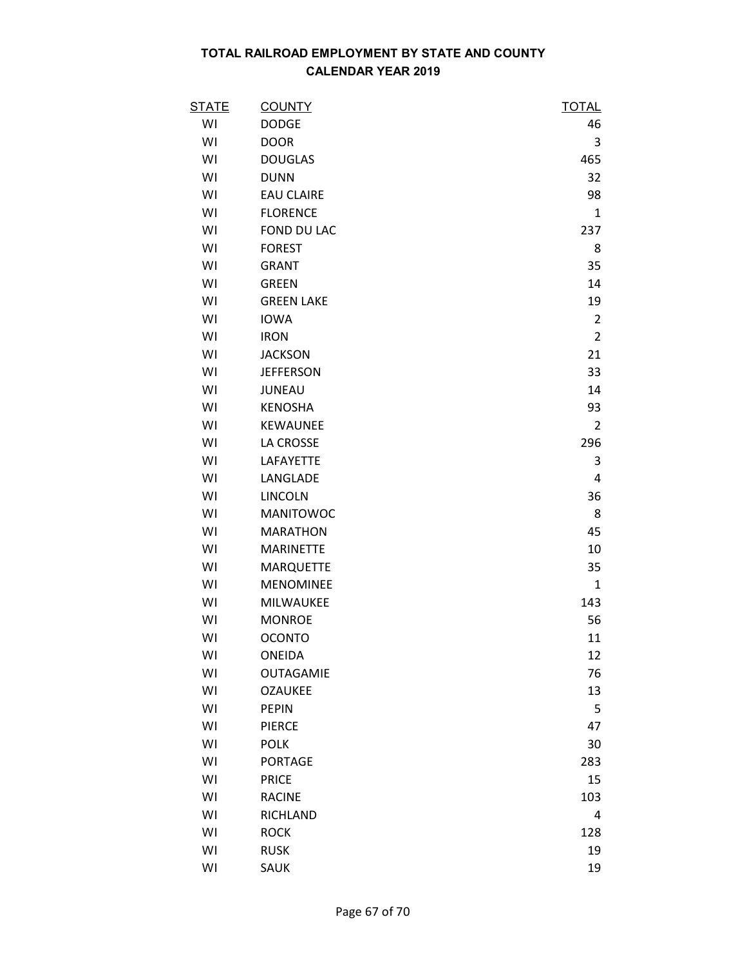| <b>STATE</b> | <b>COUNTY</b>     | <b>TOTAL</b>   |
|--------------|-------------------|----------------|
| WI           | <b>DODGE</b>      | 46             |
| WI           | <b>DOOR</b>       | 3              |
| WI           | <b>DOUGLAS</b>    | 465            |
| WI           | <b>DUNN</b>       | 32             |
| WI           | <b>EAU CLAIRE</b> | 98             |
| WI           | <b>FLORENCE</b>   | $\mathbf{1}$   |
| WI           | FOND DU LAC       | 237            |
| WI           | <b>FOREST</b>     | 8              |
| WI           | <b>GRANT</b>      | 35             |
| WI           | <b>GREEN</b>      | 14             |
| WI           | <b>GREEN LAKE</b> | 19             |
| WI           | <b>IOWA</b>       | $\overline{2}$ |
| WI           | <b>IRON</b>       | $\overline{2}$ |
| WI           | <b>JACKSON</b>    | 21             |
| WI           | <b>JEFFERSON</b>  | 33             |
| WI           | <b>JUNEAU</b>     | 14             |
| WI           | <b>KENOSHA</b>    | 93             |
| WI           | <b>KEWAUNEE</b>   | $\overline{2}$ |
| WI           | LA CROSSE         | 296            |
| WI           | LAFAYETTE         | 3              |
| WI           | LANGLADE          | 4              |
| WI           | <b>LINCOLN</b>    | 36             |
| WI           | <b>MANITOWOC</b>  | 8              |
| WI           | <b>MARATHON</b>   | 45             |
| WI           | <b>MARINETTE</b>  | 10             |
| WI           | <b>MARQUETTE</b>  | 35             |
| WI           | <b>MENOMINEE</b>  | $\mathbf{1}$   |
| WI           | MILWAUKEE         | 143            |
| WI           | <b>MONROE</b>     | 56             |
| WI           | <b>OCONTO</b>     | 11             |
| WI           | ONEIDA            | 12             |
| WI           | <b>OUTAGAMIE</b>  | 76             |
| WI           | <b>OZAUKEE</b>    | 13             |
| WI           | <b>PEPIN</b>      | 5              |
| WI           | <b>PIERCE</b>     | 47             |
| WI           | <b>POLK</b>       | 30             |
| WI           | <b>PORTAGE</b>    | 283            |
| WI           | <b>PRICE</b>      | 15             |
| WI           | <b>RACINE</b>     | 103            |
| WI           | <b>RICHLAND</b>   | 4              |
| WI           | <b>ROCK</b>       | 128            |
| WI           | <b>RUSK</b>       | 19             |
| WI           | SAUK              | 19             |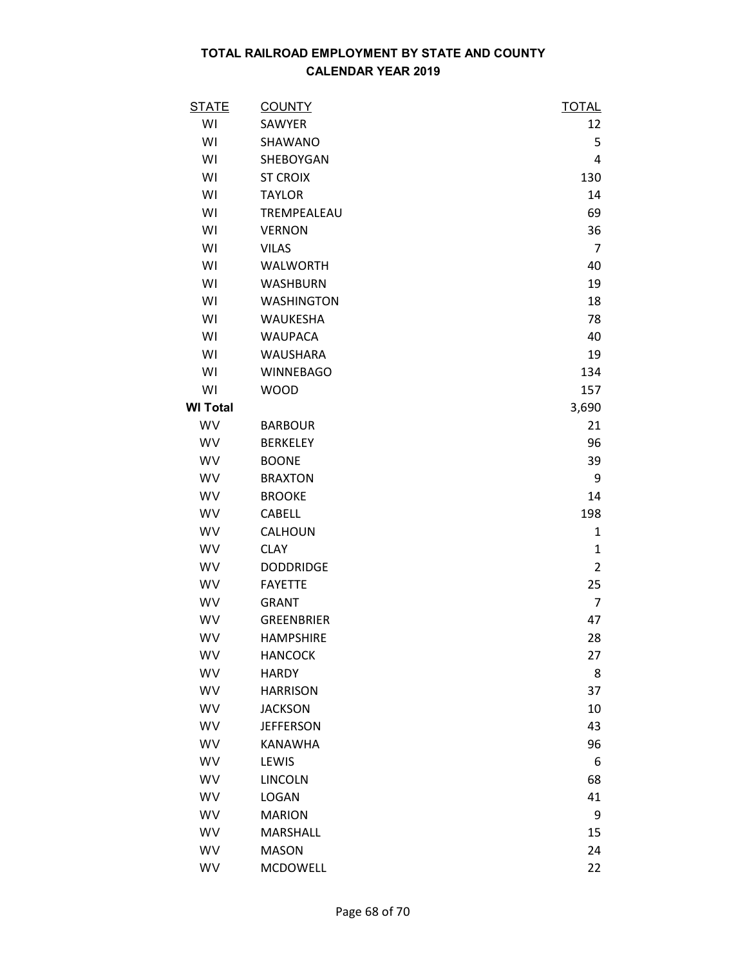| <b>STATE</b>    | <b>COUNTY</b>     | <b>TOTAL</b>   |
|-----------------|-------------------|----------------|
| WI              | SAWYER            | 12             |
| WI              | SHAWANO           | 5              |
| WI              | SHEBOYGAN         | 4              |
| WI              | <b>ST CROIX</b>   | 130            |
| WI              | <b>TAYLOR</b>     | 14             |
| WI              | TREMPEALEAU       | 69             |
| WI              | <b>VERNON</b>     | 36             |
| WI              | <b>VILAS</b>      | $\overline{7}$ |
| WI              | <b>WALWORTH</b>   | 40             |
| WI              | <b>WASHBURN</b>   | 19             |
| WI              | <b>WASHINGTON</b> | 18             |
| WI              | WAUKESHA          | 78             |
| WI              | <b>WAUPACA</b>    | 40             |
| WI              | <b>WAUSHARA</b>   | 19             |
| WI              | <b>WINNEBAGO</b>  | 134            |
| WI              | <b>WOOD</b>       | 157            |
| <b>WI Total</b> |                   | 3,690          |
| WV              | <b>BARBOUR</b>    | 21             |
| WV              | <b>BERKELEY</b>   | 96             |
| WV              | <b>BOONE</b>      | 39             |
| WV              | <b>BRAXTON</b>    | 9              |
| WV              | <b>BROOKE</b>     | 14             |
| WV              | <b>CABELL</b>     | 198            |
| WV              | CALHOUN           | 1              |
| WV              | <b>CLAY</b>       | $\mathbf{1}$   |
| WV              | <b>DODDRIDGE</b>  | $\overline{2}$ |
| WV              | <b>FAYETTE</b>    | 25             |
| WV              | <b>GRANT</b>      | $\overline{7}$ |
| WV              | <b>GREENBRIER</b> | 47             |
| WV              | <b>HAMPSHIRE</b>  | 28             |
| <b>WV</b>       | <b>HANCOCK</b>    | 27             |
| WV              | <b>HARDY</b>      | 8              |
| WV              | <b>HARRISON</b>   | 37             |
| <b>WV</b>       | <b>JACKSON</b>    | 10             |
| WV              | <b>JEFFERSON</b>  | 43             |
| WV              | <b>KANAWHA</b>    | 96             |
| WV              | LEWIS             | 6              |
| WV              | LINCOLN           | 68             |
| <b>WV</b>       | <b>LOGAN</b>      | 41             |
| WV              | <b>MARION</b>     | 9              |
| WV              | MARSHALL          | 15             |
| WV              | <b>MASON</b>      | 24             |
| WV              | <b>MCDOWELL</b>   | 22             |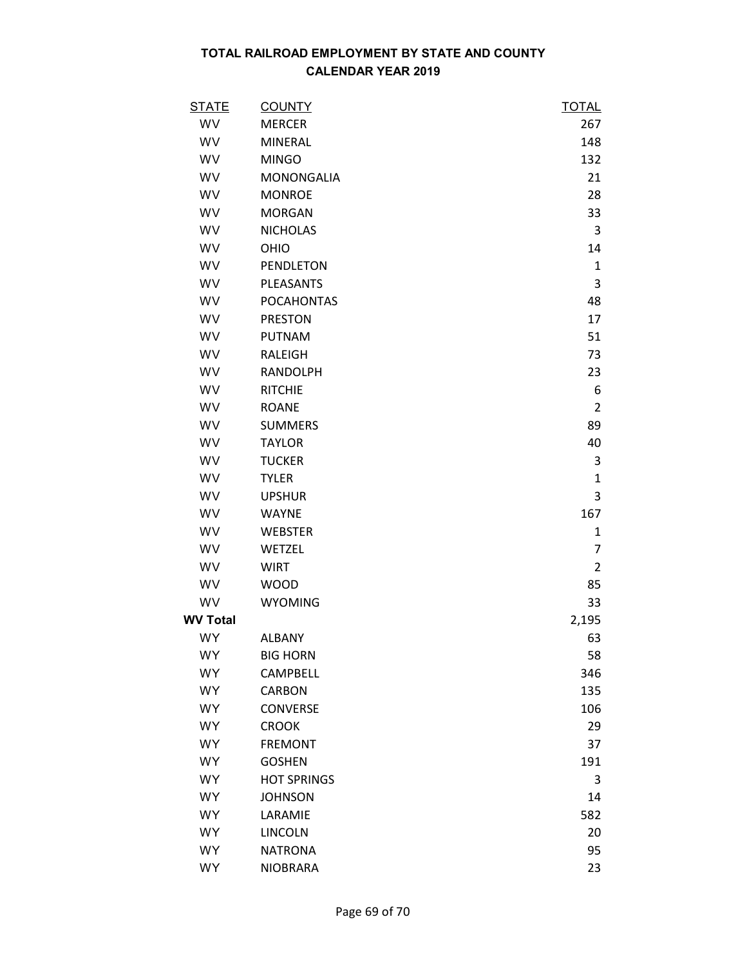| <b>STATE</b>    | <b>COUNTY</b>      | <b>TOTAL</b>   |
|-----------------|--------------------|----------------|
| WV              | <b>MERCER</b>      | 267            |
| WV              | <b>MINERAL</b>     | 148            |
| WV              | <b>MINGO</b>       | 132            |
| WV              | <b>MONONGALIA</b>  | 21             |
| WV              | <b>MONROE</b>      | 28             |
| WV              | <b>MORGAN</b>      | 33             |
| WV              | <b>NICHOLAS</b>    | 3              |
| WV              | OHIO               | 14             |
| WV              | <b>PENDLETON</b>   | $\mathbf{1}$   |
| WV              | <b>PLEASANTS</b>   | 3              |
| WV              | <b>POCAHONTAS</b>  | 48             |
| WV              | <b>PRESTON</b>     | 17             |
| WV              | <b>PUTNAM</b>      | 51             |
| WV              | RALEIGH            | 73             |
| WV              | <b>RANDOLPH</b>    | 23             |
| WV              | <b>RITCHIE</b>     | 6              |
| WV              | <b>ROANE</b>       | $\overline{2}$ |
| WV              | <b>SUMMERS</b>     | 89             |
| WV              | <b>TAYLOR</b>      | 40             |
| WV              | <b>TUCKER</b>      | 3              |
| WV              | <b>TYLER</b>       | $\mathbf{1}$   |
| WV              | <b>UPSHUR</b>      | 3              |
| WV              | <b>WAYNE</b>       | 167            |
| WV              | <b>WEBSTER</b>     | 1              |
| WV              | WETZEL             | $\overline{7}$ |
| WV              | <b>WIRT</b>        | $\overline{2}$ |
| WV              | <b>WOOD</b>        | 85             |
| WV              | <b>WYOMING</b>     | 33             |
| <b>WV Total</b> |                    | 2,195          |
| <b>WY</b>       | <b>ALBANY</b>      | 63             |
| <b>WY</b>       | <b>BIG HORN</b>    | 58             |
| <b>WY</b>       | <b>CAMPBELL</b>    | 346            |
| <b>WY</b>       | <b>CARBON</b>      | 135            |
| <b>WY</b>       | <b>CONVERSE</b>    | 106            |
| <b>WY</b>       | <b>CROOK</b>       | 29             |
| <b>WY</b>       | <b>FREMONT</b>     | 37             |
| <b>WY</b>       | <b>GOSHEN</b>      | 191            |
| <b>WY</b>       | <b>HOT SPRINGS</b> | 3              |
| <b>WY</b>       | <b>JOHNSON</b>     | 14             |
| <b>WY</b>       | LARAMIE            | 582            |
| <b>WY</b>       | <b>LINCOLN</b>     | 20             |
| <b>WY</b>       | <b>NATRONA</b>     | 95             |
| <b>WY</b>       | <b>NIOBRARA</b>    | 23             |